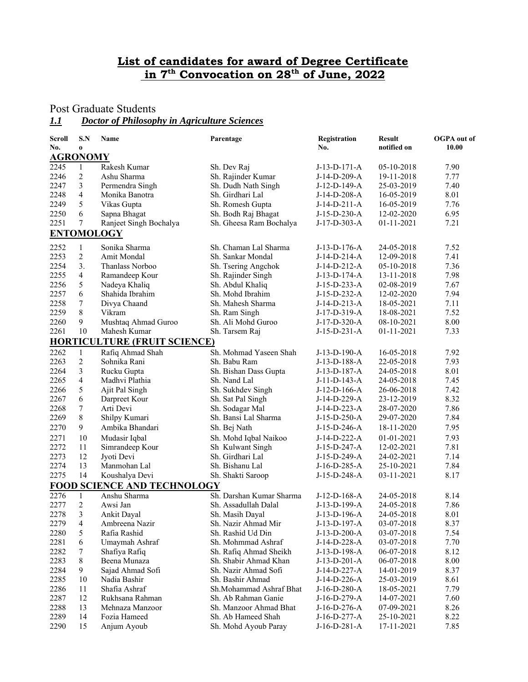## **List of candidates for award of Degree Certificate** in 7<sup>th</sup> Convocation on 28<sup>th</sup> of June, 2022

## Post Graduate Students

# *1.1 Doctor of Philosophy in Agriculture Sciences*

| Scroll          | S.N              | Name                                | Parentage                | Registration   | <b>Result</b> | <b>OGPA</b> out of |
|-----------------|------------------|-------------------------------------|--------------------------|----------------|---------------|--------------------|
| No.             | $\bf o$          |                                     |                          | No.            | notified on   | 10.00              |
| <b>AGRONOMY</b> |                  |                                     |                          |                |               |                    |
| 2245            | $\mathbf{1}$     | Rakesh Kumar                        | Sh. Dev Raj              | J-13-D-171-A   | 05-10-2018    | 7.90               |
| 2246            | 2                | Ashu Sharma                         | Sh. Rajinder Kumar       | J-14-D-209-A   | 19-11-2018    | 7.77               |
| 2247            | 3                | Permendra Singh                     | Sh. Dudh Nath Singh      | J-12-D-149-A   | 25-03-2019    | 7.40               |
| 2248            | $\overline{4}$   | Monika Banotra                      | Sh. Girdhari Lal         | J-14-D-208-A   | 16-05-2019    | 8.01               |
| 2249            | 5                | Vikas Gupta                         | Sh. Romesh Gupta         | $J-14-D-211-A$ | 16-05-2019    | 7.76               |
| 2250            | 6                | Sapna Bhagat                        | Sh. Bodh Raj Bhagat      | J-15-D-230-A   | 12-02-2020    | 6.95               |
| 2251            | $\overline{7}$   | Ranjeet Singh Bochalya              | Sh. Gheesa Ram Bochalya  | J-17-D-303-A   | 01-11-2021    | 7.21               |
|                 |                  | <b>ENTOMOLOGY</b>                   |                          |                |               |                    |
| 2252            | $\mathbf{1}$     | Sonika Sharma                       | Sh. Chaman Lal Sharma    | $J-13-D-176-A$ | 24-05-2018    | 7.52               |
| 2253            | $\overline{2}$   | Amit Mondal                         | Sh. Sankar Mondal        | J-14-D-214-A   | 12-09-2018    | 7.41               |
| 2254            | 3.               | Thanlass Norboo                     | Sh. Tsering Angchok      | J-14-D-212-A   | 05-10-2018    | 7.36               |
| 2255            | $\overline{4}$   | Ramandeep Kour                      | Sh. Rajinder Singh       | J-13-D-174-A   | 13-11-2018    | 7.98               |
| 2256            | 5                | Nadeya Khaliq                       | Sh. Abdul Khaliq         | J-15-D-233-A   | 02-08-2019    | 7.67               |
| 2257            | 6                | Shahida Ibrahim                     | Sh. Mohd Ibrahim         | J-15-D-232-A   | 12-02-2020    | 7.94               |
| 2258            | $\boldsymbol{7}$ | Divya Chaand                        | Sh. Mahesh Sharma        | $J-14-D-213-A$ | 18-05-2021    | 7.11               |
| 2259            | 8                | Vikram                              | Sh. Ram Singh            | J-17-D-319-A   | 18-08-2021    | 7.52               |
| 2260            | 9                | Mushtaq Ahmad Guroo                 | Sh. Ali Mohd Guroo       | J-17-D-320-A   | 08-10-2021    | 8.00               |
| 2261            | 10               | Mahesh Kumar                        | Sh. Tarsem Raj           | $J-15-D-231-A$ | 01-11-2021    | 7.33               |
|                 |                  | <b>HORTICULTURE (FRUIT SCIENCE)</b> |                          |                |               |                    |
| 2262            | $\mathbf{1}$     | Rafiq Ahmad Shah                    | Sh. Mohmad Yaseen Shah   | $J-13-D-190-A$ | 16-05-2018    | 7.92               |
| 2263            | $\overline{2}$   | Sohnika Rani                        | Sh. Babu Ram             | J-13-D-188-A   | 22-05-2018    | 7.93               |
| 2264            | 3                | Rucku Gupta                         | Sh. Bishan Dass Gupta    | J-13-D-187-A   | 24-05-2018    | 8.01               |
| 2265            | $\overline{4}$   | Madhvi Plathia                      | Sh. Nand Lal             | J-11-D-143-A   | 24-05-2018    | 7.45               |
| 2266            | 5                | Ajit Pal Singh                      | Sh. Sukhdev Singh        | J-12-D-166-A   | 26-06-2018    | 7.42               |
| 2267            | 6                | Darpreet Kour                       | Sh. Sat Pal Singh        | J-14-D-229-A   | 23-12-2019    | 8.32               |
| 2268            | 7                | Arti Devi                           | Sh. Sodagar Mal          | J-14-D-223-A   | 28-07-2020    | 7.86               |
| 2269            | 8                | Shilpy Kumari                       | Sh. Bansi Lal Sharma     | $J-15-D-250-A$ | 29-07-2020    | 7.84               |
| 2270            | 9                | Ambika Bhandari                     | Sh. Bej Nath             | J-15-D-246-A   | 18-11-2020    | 7.95               |
|                 |                  |                                     |                          |                |               |                    |
| 2271            | 10               | Mudasir Iqbal                       | Sh. Mohd Iqbal Naikoo    | J-14-D-222-A   | 01-01-2021    | 7.93               |
| 2272            | 11               | Simrandeep Kour                     | Sh Kulwant Singh         | J-15-D-247-A   | 12-02-2021    | 7.81               |
| 2273            | 12               | Jyoti Devi                          | Sh. Girdhari Lal         | J-15-D-249-A   | 24-02-2021    | 7.14               |
| 2274            | 13               | Manmohan Lal                        | Sh. Bishanu Lal          | J-16-D-285-A   | 25-10-2021    | 7.84               |
| 2275            | 14               | Koushalya Devi                      | Sh. Shakti Saroop        | J-15-D-248-A   | 03-11-2021    | 8.17               |
|                 |                  | <b>FOOD SCIENCE AND TECHNOLOGY</b>  |                          |                |               |                    |
| 2276            | $\mathbf{1}$     | Anshu Sharma                        | Sh. Darshan Kumar Sharma | $J-12-D-168-A$ | 24-05-2018    | 8.14               |
| 2277            | $\overline{2}$   | Awsi Jan                            | Sh. Assadullah Dalal     | J-13-D-199-A   | 24-05-2018    | 7.86               |
| 2278            | 3                | Ankit Dayal                         | Sh. Masih Dayal          | J-13-D-196-A   | 24-05-2018    | 8.01               |
| 2279            | $\overline{4}$   | Ambreena Nazir                      | Sh. Nazir Ahmad Mir      | J-13-D-197-A   | 03-07-2018    | 8.37               |
| 2280            | 5                | Rafia Rashid                        | Sh. Rashid Ud Din        | $J-13-D-200-A$ | 03-07-2018    | 7.54               |
| 2281            | 6                | Umaymah Ashraf                      | Sh. Mohmmad Ashraf       | J-14-D-228-A   | 03-07-2018    | 7.70               |
| 2282            | 7                | Shafiya Rafiq                       | Sh. Rafiq Ahmad Sheikh   | J-13-D-198-A   | 06-07-2018    | 8.12               |
| 2283            | 8                | Beena Munaza                        | Sh. Shabir Ahmad Khan    | $J-13-D-201-A$ | 06-07-2018    | 8.00               |
| 2284            | 9                | Sajad Ahmad Sofi                    | Sh. Nazir Ahmad Sofi     | J-14-D-227-A   | 14-01-2019    | 8.37               |
| 2285            | 10               | Nadia Bashir                        | Sh. Bashir Ahmad         | J-14-D-226-A   | 25-03-2019    | 8.61               |
| 2286            | 11               | Shafia Ashraf                       | Sh.Mohammad Ashraf Bhat  | J-16-D-280-A   | 18-05-2021    | 7.79               |
| 2287            | 12               | Rukhsana Rahman                     | Sh. Ab Rahman Ganie      | J-16-D-279-A   | 14-07-2021    | 7.60               |
| 2288            | 13               | Mehnaza Manzoor                     | Sh. Manzoor Ahmad Bhat   | J-16-D-276-A   | 07-09-2021    | 8.26               |
| 2289            | 14               | Fozia Hameed                        | Sh. Ab Hameed Shah       | J-16-D-277-A   | 25-10-2021    | 8.22               |
| 2290            | 15               | Anjum Ayoub                         | Sh. Mohd Ayoub Paray     | J-16-D-281-A   | 17-11-2021    | 7.85               |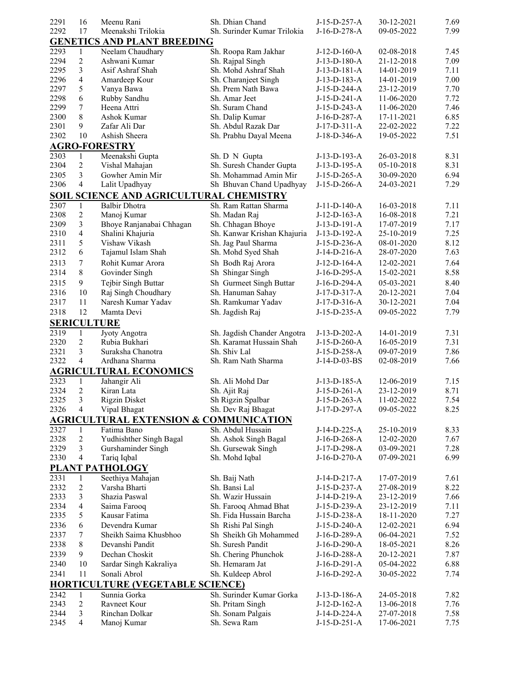| 2291               | 16             | Meenu Rani                                        | Sh. Dhian Chand             | J-15-D-257-A   | 30-12-2021 | 7.69 |
|--------------------|----------------|---------------------------------------------------|-----------------------------|----------------|------------|------|
| 2292               | 17             | Meenakshi Trilokia                                | Sh. Surinder Kumar Trilokia | $J-16-D-278-A$ | 09-05-2022 | 7.99 |
|                    |                | <b>GENETICS AND PLANT BREEDING</b>                |                             |                |            |      |
| 2293               | 1              | Neelam Chaudhary                                  | Sh. Roopa Ram Jakhar        | $J-12-D-160-A$ | 02-08-2018 | 7.45 |
| 2294               | 2              | Ashwani Kumar                                     | Sh. Rajpal Singh            | $J-13-D-180-A$ | 21-12-2018 | 7.09 |
| 2295               | 3              | Asif Ashraf Shah                                  | Sh. Mohd Ashraf Shah        | J-13-D-181-A   | 14-01-2019 | 7.11 |
| 2296               | 4              | Amardeep Kour                                     | Sh. Charanjeet Singh        | $J-13-D-183-A$ | 14-01-2019 | 7.00 |
| 2297               | 5              | Vanya Bawa                                        | Sh. Prem Nath Bawa          | J-15-D-244-A   | 23-12-2019 | 7.70 |
| 2298               | 6              | Rubby Sandhu                                      | Sh. Amar Jeet               | J-15-D-241-A   | 11-06-2020 | 7.72 |
| 2299               | $\tau$         | Heena Attri                                       | Sh. Suram Chand             | J-15-D-243-A   | 11-06-2020 | 7.46 |
| 2300               | 8              | Ashok Kumar                                       | Sh. Dalip Kumar             | J-16-D-287-A   | 17-11-2021 | 6.85 |
| 2301               | 9              | Zafar Ali Dar                                     | Sh. Abdul Razak Dar         | $J-17-D-311-A$ | 22-02-2022 | 7.22 |
| 2302               | 10             | Ashish Sheera                                     | Sh. Prabhu Dayal Meena      | J-18-D-346-A   | 19-05-2022 | 7.51 |
|                    |                | <b>AGRO-FORESTRY</b>                              |                             |                |            |      |
| 2303               | $\mathbf{1}$   | Meenakshi Gupta                                   | Sh. D N Gupta               | J-13-D-193-A   | 26-03-2018 | 8.31 |
| 2304               | 2              | Vishal Mahajan                                    | Sh. Suresh Chander Gupta    | J-13-D-195-A   | 05-10-2018 | 8.31 |
| 2305               | 3              | Gowher Amin Mir                                   | Sh. Mohammad Amin Mir       | $J-15-D-265-A$ | 30-09-2020 | 6.94 |
| 2306               | 4              | Lalit Upadhyay                                    | Sh Bhuvan Chand Upadhyay    | J-15-D-266-A   | 24-03-2021 | 7.29 |
|                    |                | SOIL SCIENCE AND AGRICULTURAL CHEMISTRY           |                             |                |            |      |
|                    |                |                                                   |                             |                |            |      |
| 2307               | 1              | <b>Balbir Dhotra</b>                              | Sh. Ram Rattan Sharma       | $J-11-D-140-A$ | 16-03-2018 | 7.11 |
| 2308               | $\overline{c}$ | Manoj Kumar                                       | Sh. Madan Raj               | $J-12-D-163-A$ | 16-08-2018 | 7.21 |
| 2309               | 3              | Bhoye Ranjanabai Chhagan                          | Sh. Chhagan Bhoye           | J-13-D-191-A   | 17-07-2019 | 7.17 |
| 2310               | $\overline{4}$ | Shalini Khajuria                                  | Sh. Kanwar Krishan Khajuria | J-13-D-192-A   | 25-10-2019 | 7.25 |
| 2311               | 5              | Vishaw Vikash                                     | Sh. Jag Paul Sharma         | J-15-D-236-A   | 08-01-2020 | 8.12 |
| 2312               | 6              | Tajamul Islam Shah                                | Sh. Mohd Syed Shah          | J-14-D-216-A   | 28-07-2020 | 7.63 |
| 2313               | 7              | Rohit Kumar Arora                                 | Sh Bodh Raj Arora           | $J-12-D-164-A$ | 12-02-2021 | 7.64 |
| 2314               | 8              | Govinder Singh                                    | Sh Shingar Singh            | J-16-D-295-A   | 15-02-2021 | 8.58 |
| 2315               | 9              | Tejbir Singh Buttar                               | Sh Gurmeet Singh Buttar     | J-16-D-294-A   | 05-03-2021 | 8.40 |
| 2316               | 10             | Raj Singh Choudhary                               | Sh. Hanuman Sahay           | $J-17-D-317-A$ | 20-12-2021 | 7.04 |
| 2317               | 11             | Naresh Kumar Yadav                                | Sh. Ramkumar Yadav          | J-17-D-316-A   | 30-12-2021 | 7.04 |
| 2318               | 12             | Mamta Devi                                        | Sh. Jagdish Raj             | J-15-D-235-A   | 09-05-2022 | 7.79 |
| <b>SERICULTURE</b> |                |                                                   |                             |                |            |      |
| 2319               | $\mathbf{1}$   | Jyoty Angotra                                     | Sh. Jagdish Chander Angotra | J-13-D-202-A   | 14-01-2019 | 7.31 |
| 2320               | $\overline{2}$ | Rubia Bukhari                                     | Sh. Karamat Hussain Shah    | J-15-D-260-A   | 16-05-2019 | 7.31 |
| 2321               | 3              | Suraksha Chanotra                                 | Sh. Shiv Lal                | $J-15-D-258-A$ | 09-07-2019 | 7.86 |
| 2322               | 4              | Ardhana Sharma                                    | Sh. Ram Nath Sharma         | J-14-D-03-BS   | 02-08-2019 | 7.66 |
|                    |                | <b>AGRICULTURAL ECONOMICS</b>                     |                             |                |            |      |
| 2323               | 1              | Jahangir Ali                                      | Sh. Ali Mohd Dar            | J-13-D-185-A   | 12-06-2019 | 7.15 |
| 2324               | $\overline{2}$ | Kiran Lata                                        | Sh. Ajit Raj                | $J-15-D-261-A$ | 23-12-2019 | 8.71 |
| 2325               | 3              | <b>Rigzin Disket</b>                              | Sh Rigzin Spalbar           | J-15-D-263-A   | 11-02-2022 | 7.54 |
| 2326               | $\overline{4}$ | Vipal Bhagat                                      | Sh. Dev Raj Bhagat          | J-17-D-297-A   | 09-05-2022 | 8.25 |
|                    |                |                                                   |                             |                |            |      |
|                    |                | <b>AGRICULTURAL EXTENSION &amp; COMMUNICATION</b> |                             |                |            |      |
| 2327               | 1              | Fatima Bano                                       | Sh. Abdul Hussain           | J-14-D-225-A   | 25-10-2019 | 8.33 |
| 2328               | $\overline{c}$ | Yudhishther Singh Bagal                           | Sh. Ashok Singh Bagal       | J-16-D-268-A   | 12-02-2020 | 7.67 |
| 2329               | 3              | Gurshaminder Singh                                | Sh. Gursewak Singh          | J-17-D-298-A   | 03-09-2021 | 7.28 |
| 2330               | 4              | Tariq Iqbal                                       | Sh. Mohd Iqbal              | J-16-D-270-A   | 07-09-2021 | 6.99 |
|                    |                | <b>PLANT PATHOLOGY</b>                            |                             |                |            |      |
| 2331               | 1              | Seethiya Mahajan                                  | Sh. Baij Nath               | J-14-D-217-A   | 17-07-2019 | 7.61 |
| 2332               | $\overline{2}$ | Varsha Bharti                                     | Sh. Bansi Lal               | J-15-D-237-A   | 27-08-2019 | 8.22 |
| 2333               | 3              | Shazia Paswal                                     | Sh. Wazir Hussain           | J-14-D-219-A   | 23-12-2019 | 7.66 |
| 2334               | 4              | Saima Farooq                                      | Sh. Farooq Ahmad Bhat       | J-15-D-239-A   | 23-12-2019 | 7.11 |
| 2335               | 5              | Kausar Fatima                                     | Sh. Fida Hussain Barcha     | J-15-D-238-A   | 18-11-2020 | 7.27 |
| 2336               | 6              | Devendra Kumar                                    | Sh Rishi Pal Singh          | J-15-D-240-A   | 12-02-2021 | 6.94 |
| 2337               | 7              | Sheikh Saima Khusbhoo                             | Sh Sheikh Gh Mohammed       | J-16-D-289-A   | 06-04-2021 | 7.52 |
| 2338               | 8              | Devanshi Pandit                                   | Sh. Suresh Pandit           | J-16-D-290-A   | 18-05-2021 | 8.26 |
| 2339               | 9              | Dechan Choskit                                    | Sh. Chering Phunchok        | J-16-D-288-A   | 20-12-2021 | 7.87 |
| 2340               | 10             | Sardar Singh Kakraliya                            | Sh. Hemaram Jat             | J-16-D-291-A   | 05-04-2022 | 6.88 |
| 2341               | 11             | Sonali Abrol                                      | Sh. Kuldeep Abrol           | J-16-D-292-A   | 30-05-2022 | 7.74 |
|                    |                | <b>HORTICULTURE (VEGETABLE SCIENCE)</b>           |                             |                |            |      |
| 2342               | 1              | Sunnia Gorka                                      | Sh. Surinder Kumar Gorka    | J-13-D-186-A   | 24-05-2018 | 7.82 |
| 2343               | 2              | Ravneet Kour                                      | Sh. Pritam Singh            | $J-12-D-162-A$ | 13-06-2018 | 7.76 |
| 2344               | 3              | Rinchan Dolkar                                    | Sh. Sonam Palgais           | J-14-D-224-A   | 27-07-2018 | 7.58 |
| 2345               | $\overline{4}$ | Manoj Kumar                                       | Sh. Sewa Ram                | $J-15-D-251-A$ | 17-06-2021 | 7.75 |
|                    |                |                                                   |                             |                |            |      |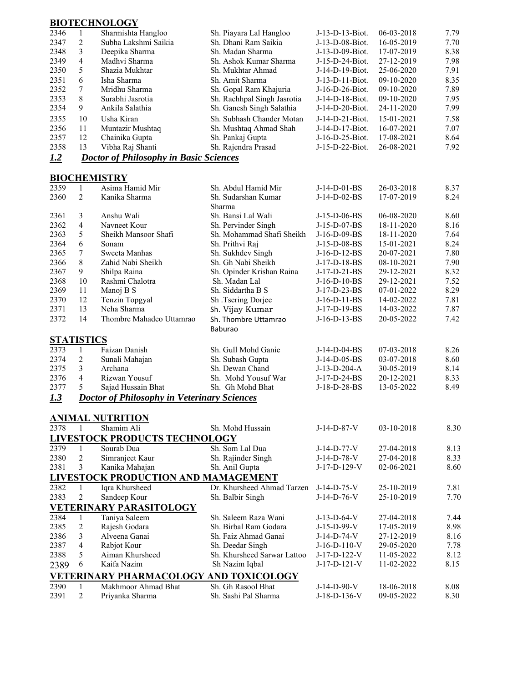## **BIOTECHNOLOGY**

| 2346              | $\mathbf{1}$   | Sharmishta Hangloo                                 | Sh. Piayara Lal Hangloo                 | J-13-D-13-Biot.                    | 06-03-2018 | 7.79 |
|-------------------|----------------|----------------------------------------------------|-----------------------------------------|------------------------------------|------------|------|
| 2347              | $\overline{c}$ | Subha Lakshmi Saikia                               | Sh. Dhani Ram Saikia                    | J-13-D-08-Biot.                    | 16-05-2019 | 7.70 |
| 2348              | 3              | Deepika Sharma                                     | Sh. Madan Sharma                        | J-13-D-09-Biot.                    | 17-07-2019 | 8.38 |
| 2349              | $\overline{4}$ | Madhvi Sharma                                      | Sh. Ashok Kumar Sharma                  | J-15-D-24-Biot.                    | 27-12-2019 | 7.98 |
| 2350              | 5              | Shazia Mukhtar                                     | Sh. Mukhtar Ahmad                       | J-14-D-19-Biot.                    | 25-06-2020 | 7.91 |
| 2351              | 6              | Isha Sharma                                        | Sh. Amit Sharma                         | J-13-D-11-Biot.                    | 09-10-2020 | 8.35 |
| 2352              | 7              | Mridhu Sharma                                      | Sh. Gopal Ram Khajuria                  | J-16-D-26-Biot.                    | 09-10-2020 | 7.89 |
| 2353              | 8              | Surabhi Jasrotia                                   | Sh. Rachhpal Singh Jasrotia             | J-14-D-18-Biot.                    | 09-10-2020 | 7.95 |
| 2354              | 9              | Ankila Salathia                                    | Sh. Ganesh Singh Salathia               | J-14-D-20-Biot.                    | 24-11-2020 | 7.99 |
| 2355              | 10             | Usha Kiran                                         | Sh. Subhash Chander Motan               | J-14-D-21-Biot.                    | 15-01-2021 | 7.58 |
| 2356              | 11             | Muntazir Mushtaq                                   | Sh. Mushtaq Ahmad Shah                  | J-14-D-17-Biot.                    | 16-07-2021 | 7.07 |
| 2357              | 12             | Chainika Gupta                                     |                                         |                                    | 17-08-2021 | 8.64 |
| 2358              | 13             | Vibha Raj Shanti                                   | Sh. Pankaj Gupta<br>Sh. Rajendra Prasad | J-16-D-25-Biot.<br>J-15-D-22-Biot. | 26-08-2021 | 7.92 |
| 1.2               |                | <b>Doctor of Philosophy in Basic Sciences</b>      |                                         |                                    |            |      |
|                   |                |                                                    |                                         |                                    |            |      |
|                   |                | <b>BIOCHEMISTRY</b>                                |                                         |                                    |            |      |
| 2359              | 1              | Asima Hamid Mir                                    | Sh. Abdul Hamid Mir                     | J-14-D-01-BS                       | 26-03-2018 | 8.37 |
| 2360              | 2              | Kanika Sharma                                      | Sh. Sudarshan Kumar                     | J-14-D-02-BS                       | 17-07-2019 | 8.24 |
|                   |                |                                                    | Sharma                                  |                                    |            |      |
| 2361              | 3              | Anshu Wali                                         | Sh. Bansi Lal Wali                      | J-15-D-06-BS                       | 06-08-2020 | 8.60 |
| 2362              | $\overline{4}$ | Navneet Kour                                       | Sh. Pervinder Singh                     | J-15-D-07-BS                       | 18-11-2020 | 8.16 |
| 2363              | 5              | Sheikh Mansoor Shafi                               | Sh. Mohammad Shafi Sheikh               | J-16-D-09-BS                       | 18-11-2020 | 7.64 |
| 2364              | 6              | Sonam                                              | Sh. Prithvi Raj                         | J-15-D-08-BS                       | 15-01-2021 | 8.24 |
| 2365              | 7              | Sweeta Manhas                                      | Sh. Sukhdev Singh                       | J-16-D-12-BS                       | 20-07-2021 | 7.80 |
| 2366              | 8              | Zahid Nabi Sheikh                                  | Sh. Gh Nabi Sheikh                      | J-17-D-18-BS                       | 08-10-2021 | 7.90 |
| 2367              | 9              | Shilpa Raina                                       | Sh. Opinder Krishan Raina               | J-17-D-21-BS                       | 29-12-2021 | 8.32 |
| 2368              | 10             | Rashmi Chalotra                                    | Sh. Madan Lal                           | J-16-D-10-BS                       | 29-12-2021 | 7.52 |
| 2369              | 11             | Manoj B S                                          | Sh. Siddartha B S                       | J-17-D-23-BS                       | 07-01-2022 | 8.29 |
| 2370              | 12             | Tenzin Topgyal                                     | Sh .Tsering Dorjee                      | J-16-D-11-BS                       | 14-02-2022 | 7.81 |
| 2371              | 13             | Neha Sharma                                        | Sh. Vijay Kumar                         | J-17-D-19-BS                       | 14-03-2022 | 7.87 |
| 2372              | 14             | Thombre Mahadeo Uttamrao                           | Sh. Thombre Uttamrao                    | J-16-D-13-BS                       | 20-05-2022 | 7.42 |
|                   |                |                                                    | Baburao                                 |                                    |            |      |
| <b>STATISTICS</b> |                |                                                    |                                         |                                    |            |      |
| 2373              | $\mathbf{1}$   | Faizan Danish                                      | Sh. Gull Mohd Ganie                     | J-14-D-04-BS                       | 07-03-2018 | 8.26 |
| 2374              | $\overline{c}$ | Sunali Mahajan                                     | Sh. Subash Gupta                        | J-14-D-05-BS                       | 03-07-2018 | 8.60 |
| 2375              | 3              | Archana                                            | Sh. Dewan Chand                         | J-13-D-204-A                       | 30-05-2019 | 8.14 |
| 2376              | $\overline{4}$ | Rizwan Yousuf                                      | Sh. Mohd Yousuf War                     | J-17-D-24-BS                       | 20-12-2021 | 8.33 |
| 2377              | 5              | Sajad Hussain Bhat                                 | Sh. Gh Mohd Bhat                        | J-18-D-28-BS                       | 13-05-2022 | 8.49 |
| 1.3               |                | <b>Doctor of Philosophy in Veterinary Sciences</b> |                                         |                                    |            |      |
|                   |                |                                                    |                                         |                                    |            |      |
|                   |                | <b>ANIMAL NUTRITION</b>                            |                                         |                                    |            |      |
| 2378              | 1              | Shamim Ali                                         | Sh. Mohd Hussain                        | J-14-D-87-V                        | 03-10-2018 | 8.30 |
|                   |                | <b>LIVESTOCK PRODUCTS TECHNOLOGY</b>               |                                         |                                    |            |      |
| 2379              | $\mathbf{1}$   | Sourab Dua                                         | Sh. Som Lal Dua                         | J-14-D-77-V                        | 27-04-2018 | 8.13 |
| 2380              | $\sqrt{2}$     | Simranjeet Kaur                                    | Sh. Rajinder Singh                      | J-14-D-78-V                        | 27-04-2018 | 8.33 |
| 2381              | 3              | Kanika Mahajan                                     | Sh. Anil Gupta                          | J-17-D-129-V                       | 02-06-2021 | 8.60 |
|                   |                | LIVESTOCK PRODUCTION AND MAMAGEMENT                |                                         |                                    |            |      |
| 2382              | 1              | Iqra Khursheed                                     | Dr. Khursheed Ahmad Tarzen              | J-14-D-75-V                        | 25-10-2019 | 7.81 |
| 2383              | $\overline{c}$ | Sandeep Kour                                       | Sh. Balbir Singh                        | J-14-D-76-V                        | 25-10-2019 | 7.70 |
|                   |                | <b>VETERINARY PARASITOLOGY</b>                     |                                         |                                    |            |      |
| 2384              | 1              | Taniya Saleem                                      | Sh. Saleem Raza Wani                    | $J-13-D-64-V$                      | 27-04-2018 | 7.44 |
| 2385              | $\sqrt{2}$     | Rajesh Godara                                      | Sh. Birbal Ram Godara                   | J-15-D-99-V                        | 17-05-2019 | 8.98 |
| 2386              | 3              | Alveena Ganai                                      | Sh. Faiz Ahmad Ganai                    | J-14-D-74-V                        | 27-12-2019 | 8.16 |
| 2387              | $\overline{4}$ | Rabjot Kour                                        | Sh. Deedar Singh                        | $J-16-D-110-V$                     | 29-05-2020 | 7.78 |
| 2388              | 5              | Aiman Khursheed<br>Kaifa Nazim                     | Sh. Khursheed Sarwar Lattoo             | J-17-D-122-V                       | 11-05-2022 | 8.12 |
| 2389              | 6              |                                                    | Sh Nazim Iqbal                          | $J-17-D-121-V$                     | 11-02-2022 | 8.15 |
|                   |                | VETERINARY PHARMACOLOGY AND TOXICOLOGY             |                                         |                                    |            |      |
| 2390              | 1              | Makhmoor Ahmad Bhat                                | Sh. Gh Rasool Bhat                      | J-14-D-90-V                        | 18-06-2018 | 8.08 |
| 2391              | 2              | Priyanka Sharma                                    | Sh. Sashi Pal Sharma                    | J-18-D-136-V                       | 09-05-2022 | 8.30 |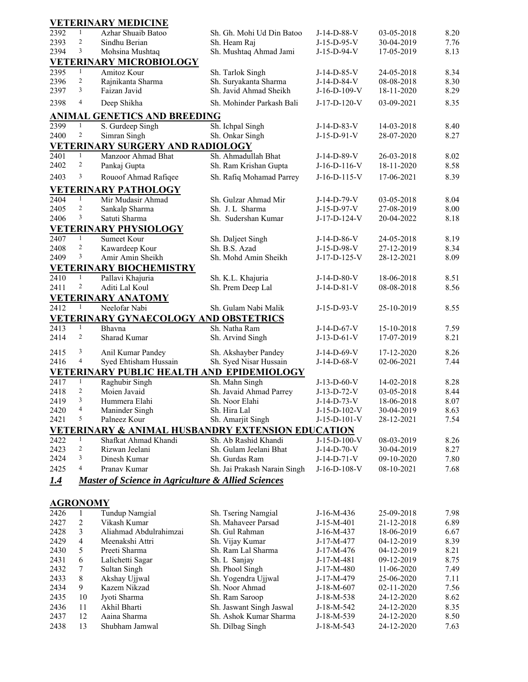|                         |                     | <b>VETERINARY MEDICINE</b>                                                |                                              |                               |                          |              |
|-------------------------|---------------------|---------------------------------------------------------------------------|----------------------------------------------|-------------------------------|--------------------------|--------------|
| 2392                    | $\mathbf{1}$        | Azhar Shuaib Batoo                                                        | Sh. Gh. Mohi Ud Din Batoo                    | J-14-D-88-V                   | 03-05-2018               | 8.20         |
| 2393                    | $\overline{2}$      | Sindhu Berian                                                             | Sh. Heam Raj                                 | $J-15-D-95-V$                 | 30-04-2019               | 7.76         |
| 2394                    | 3                   | Mohsina Mushtaq                                                           | Sh. Mushtaq Ahmad Jami                       | J-15-D-94-V                   | 17-05-2019               | 8.13         |
|                         |                     | <b>VETERINARY MICROBIOLOGY</b>                                            |                                              |                               |                          |              |
| 2395                    | $\mathbf{1}$        | Amitoz Kour                                                               | Sh. Tarlok Singh                             | $J-14-D-85-V$                 | 24-05-2018               | 8.34         |
| 2396                    | $\overline{c}$      | Rajnikanta Sharma                                                         | Sh. Suryakanta Sharma                        | J-14-D-84-V                   | 08-08-2018               | 8.30         |
| 2397                    | 3                   | Faizan Javid                                                              | Sh. Javid Ahmad Sheikh                       | $J-16-D-109-V$                | 18-11-2020               | 8.29         |
| 2398                    | $\overline{4}$      | Deep Shikha                                                               | Sh. Mohinder Parkash Bali                    | J-17-D-120-V                  | 03-09-2021               | 8.35         |
|                         |                     | <b>ANIMAL GENETICS AND BREEDING</b>                                       |                                              |                               |                          |              |
| 2399                    | $\mathbf{1}$        | S. Gurdeep Singh                                                          | Sh. Ichpal Singh                             | $J-14-D-83-V$                 | 14-03-2018               | 8.40         |
| 2400                    | $\overline{2}$      | Simran Singh                                                              | Sh. Onkar Singh                              | $J-15-D-91-V$                 | 28-07-2020               | 8.27         |
|                         | $\mathbf{1}$        | VETERINARY SURGERY AND RADIOLOGY                                          |                                              |                               |                          |              |
| 2401<br>2402            | $\overline{2}$      | Manzoor Ahmad Bhat                                                        | Sh. Ahmadullah Bhat<br>Sh. Ram Krishan Gupta | J-14-D-89-V<br>$J-16-D-116-V$ | 26-03-2018<br>18-11-2020 | 8.02<br>8.58 |
|                         |                     | Pankaj Gupta                                                              |                                              |                               |                          |              |
| 2403                    | 3                   | Rouoof Ahmad Rafiqee                                                      | Sh. Rafiq Mohamad Parrey                     | $J-16-D-115-V$                | 17-06-2021               | 8.39         |
|                         |                     | <b>VETERINARY PATHOLOGY</b>                                               |                                              |                               |                          |              |
| 2404                    | $\mathbf{1}$        | Mir Mudasir Ahmad                                                         | Sh. Gulzar Ahmad Mir                         | J-14-D-79-V                   | 03-05-2018               | 8.04         |
| 2405                    | $\overline{c}$      | Sankalp Sharma                                                            | Sh. J. L Sharma                              | J-15-D-97-V                   | 27-08-2019               | 8.00         |
| 2406                    | 3                   | Satuti Sharma                                                             | Sh. Sudershan Kumar                          | J-17-D-124-V                  | 20-04-2022               | 8.18         |
|                         |                     | <b>VETERINARY PHYSIOLOGY</b>                                              |                                              |                               |                          |              |
| 2407                    | $\mathbf{1}$        | Sumeet Kour                                                               | Sh. Daljeet Singh                            | $J-14-D-86-V$                 | 24-05-2018               | 8.19         |
| 2408                    | $\overline{2}$<br>3 | Kawardeep Kour                                                            | Sh. B.S. Azad                                | J-15-D-98-V                   | 27-12-2019               | 8.34         |
| 2409                    |                     | Amir Amin Sheikh                                                          | Sh. Mohd Amin Sheikh                         | J-17-D-125-V                  | 28-12-2021               | 8.09         |
|                         |                     | <b>VETERINARY BIOCHEMISTRY</b>                                            |                                              |                               |                          |              |
| 2410<br>2411            | 1<br>2              | Pallavi Khajuria<br>Aditi Lal Koul                                        | Sh. K.L. Khajuria                            | $J-14-D-80-V$<br>J-14-D-81-V  | 18-06-2018<br>08-08-2018 | 8.51<br>8.56 |
|                         |                     |                                                                           | Sh. Prem Deep Lal                            |                               |                          |              |
| 2412                    | 1                   | <b>VETERINARY ANATOMY</b><br>Neelofar Nabi                                | Sh. Gulam Nabi Malik                         | J-15-D-93-V                   | 25-10-2019               | 8.55         |
|                         |                     | <b>VETERINARY GYNAECOLOGY AND OBSTETRICS</b>                              |                                              |                               |                          |              |
| 2413                    | $\mathbf{1}$        | Bhavna                                                                    | Sh. Natha Ram                                | J-14-D-67-V                   | 15-10-2018               | 7.59         |
| 2414                    | 2                   | Sharad Kumar                                                              | Sh. Arvind Singh                             | $J-13-D-61-V$                 | 17-07-2019               | 8.21         |
|                         |                     |                                                                           |                                              |                               |                          |              |
| 2415                    | 3                   | Anil Kumar Pandey                                                         | Sh. Akshayber Pandey                         | $J-14-D-69-V$                 | 17-12-2020               | 8.26         |
| 2416                    | 4                   | Syed Ehtisham Hussain                                                     | Sh. Syed Nisar Hussain                       | $J-14-D-68-V$                 | 02-06-2021               | 7.44         |
|                         |                     | VETERINARY PUBLIC HEALTH AND EPIDEMIOLOGY                                 |                                              |                               |                          |              |
| 2417                    | 1                   | Raghubir Singh                                                            | Sh. Mahn Singh                               | $J-13-D-60-V$                 | 14-02-2018               | 8.28         |
| 2418                    | 2<br>3              | Moien Javaid                                                              | Sh. Javaid Ahmad Parrey                      | J-13-D-72-V                   | 03-05-2018               | 8.44         |
| 2419                    | $\overline{4}$      | Hummera Elahi                                                             | Sh. Noor Elahi                               | J-14-D-73-V                   | 18-06-2018               | 8.07         |
| 2420<br>2421            | 5                   | Maninder Singh<br>Palneez Kour                                            | Sh. Hira Lal                                 | J-15-D-102-V<br>J-15-D-101-V  | 30-04-2019<br>28-12-2021 | 8.63<br>7.54 |
|                         |                     |                                                                           | Sh. Amarjit Singh                            |                               |                          |              |
| 2422                    | $\mathbf{1}$        | VETERINARY & ANIMAL HUSBANDRY EXTENSION EDUCATION<br>Shafkat Ahmad Khandi | Sh. Ab Rashid Khandi                         | J-15-D-100-V                  | 08-03-2019               | 8.26         |
| 2423                    | $\overline{2}$      | Rizwan Jeelani                                                            | Sh. Gulam Jeelani Bhat                       | $J-14-D-70-V$                 | 30-04-2019               | 8.27         |
| 2424                    | 3                   | Dinesh Kumar                                                              | Sh. Gurdas Ram                               | $J-14-D-71-V$                 | 09-10-2020               | 7.80         |
| 2425                    | 4                   | Pranav Kumar                                                              | Sh. Jai Prakash Narain Singh                 | $J-16-D-108-V$                | 08-10-2021               | 7.68         |
|                         |                     |                                                                           |                                              |                               |                          |              |
| 1.4                     |                     | <b>Master of Science in Agriculture &amp; Allied Sciences</b>             |                                              |                               |                          |              |
|                         |                     |                                                                           |                                              |                               |                          |              |
| <b>AGRONOMY</b><br>2426 | 1                   | <b>Tundup Namgial</b>                                                     | Sh. Tsering Namgial                          |                               |                          |              |
| 2427                    | $\sqrt{2}$          | Vikash Kumar                                                              | Sh. Mahaveer Parsad                          | J-16-M-436<br>$J-15-M-401$    | 25-09-2018               | 7.98<br>6.89 |
| 2428                    | 3                   | Aliahmad Abdulrahimzai                                                    | Sh. Gul Rahman                               | J-16-M-437                    | 21-12-2018<br>18-06-2019 | 6.67         |
| 2429                    | 4                   | Meenakshi Attri                                                           | Sh. Vijay Kumar                              | J-17-M-477                    | 04-12-2019               | 8.39         |
| 2430                    | 5                   | Preeti Sharma                                                             | Sh. Ram Lal Sharma                           | J-17-M-476                    | 04-12-2019               | 8.21         |
| 2431                    | 6                   | Lalichetti Sagar                                                          | Sh. L Sanjay                                 | J-17-M-481                    | 09-12-2019               | 8.75         |
| 2432                    | 7                   | Sultan Singh                                                              | Sh. Phool Singh                              | J-17-M-480                    | 11-06-2020               | 7.49         |
| 2433                    | 8                   | Akshay Ujjwal                                                             | Sh. Yogendra Ujjwal                          | J-17-M-479                    | 25-06-2020               | 7.11         |
| 2434                    | 9                   | Kazem Nikzad                                                              | Sh. Noor Ahmad                               | $J-18-M-607$                  | 02-11-2020               | 7.56         |
| 2435                    | 10                  | Jyoti Sharma                                                              | Sh. Ram Saroop                               | $J-18-M-538$                  | 24-12-2020               | 8.62         |
| 2436                    | 11                  | Akhil Bharti                                                              | Sh. Jaswant Singh Jaswal                     | J-18-M-542                    | 24-12-2020               | 8.35         |
| 2437                    | 12                  | Aaina Sharma                                                              | Sh. Ashok Kumar Sharma                       | J-18-M-539                    | 24-12-2020               | 8.50         |
| 2438                    | 13                  | Shubham Jamwal                                                            | Sh. Dilbag Singh                             | J-18-M-543                    | 24-12-2020               | 7.63         |
|                         |                     |                                                                           |                                              |                               |                          |              |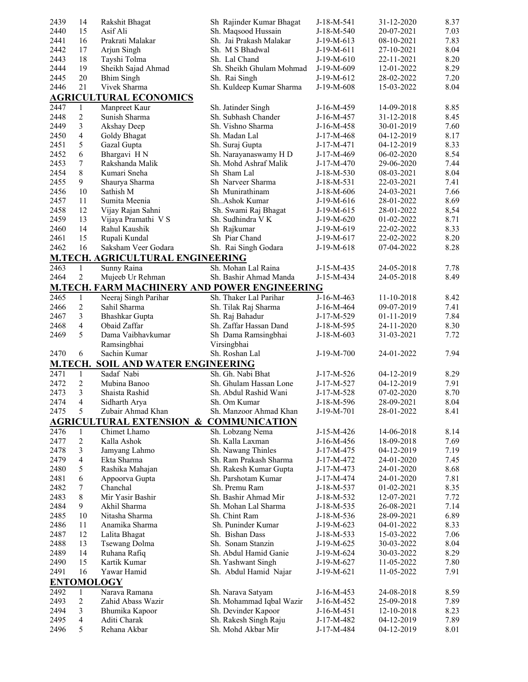| 2439 | 14             | Rakshit Bhagat                            | Sh Rajinder Kumar Bhagat                            | J-18-M-541   | 31-12-2020 | 8.37 |
|------|----------------|-------------------------------------------|-----------------------------------------------------|--------------|------------|------|
| 2440 | 15             | Asif Ali                                  | Sh. Maqsood Hussain                                 | $J-18-M-540$ | 20-07-2021 | 7.03 |
| 2441 | 16             | Prakrati Malakar                          | Sh. Jai Prakash Malakar                             | J-19-M-613   | 08-10-2021 | 7.83 |
| 2442 | 17             | Arjun Singh                               | Sh. M S Bhadwal                                     | J-19-M-611   | 27-10-2021 | 8.04 |
| 2443 | 18             | Tayshi Tolma                              | Sh. Lal Chand                                       | $J-19-M-610$ | 22-11-2021 | 8.20 |
| 2444 | 19             | Sheikh Sajad Ahmad                        | Sh. Sheikh Ghulam Mohmad                            | J-19-M-609   | 12-01-2022 | 8.29 |
| 2445 | 20             | <b>Bhim Singh</b>                         | Sh. Rai Singh                                       | $J-19-M-612$ |            | 7.20 |
|      |                |                                           |                                                     |              | 28-02-2022 |      |
| 2446 | 21             | Vivek Sharma                              | Sh. Kuldeep Kumar Sharma                            | J-19-M-608   | 15-03-2022 | 8.04 |
|      |                | <b>AGRICULTURAL ECONOMICS</b>             |                                                     |              |            |      |
| 2447 | 1              | Manpreet Kaur                             | Sh. Jatinder Singh                                  | J-16-M-459   | 14-09-2018 | 8.85 |
| 2448 | $\overline{c}$ | Sunish Sharma                             | Sh. Subhash Chander                                 | $J-16-M-457$ | 31-12-2018 | 8.45 |
| 2449 | 3              | Akshay Deep                               | Sh. Vishno Sharma                                   | J-16-M-458   | 30-01-2019 | 7.60 |
| 2450 | $\overline{4}$ | Goldy Bhagat                              | Sh. Madan Lal                                       | J-17-M-468   | 04-12-2019 | 8.17 |
| 2451 | 5              | Gazal Gupta                               | Sh. Suraj Gupta                                     | J-17-M-471   | 04-12-2019 | 8.33 |
| 2452 | 6              | Bhargavi HN                               | Sh. Narayanaswamy H D                               | J-17-M-469   | 06-02-2020 | 8.54 |
| 2453 | 7              | Rakshanda Malik                           | Sh. Mohd Ashraf Malik                               | $J-17-M-470$ | 29-06-2020 | 7.44 |
| 2454 | 8              | Kumari Sneha                              | Sh Sham Lal                                         | $J-18-M-530$ | 08-03-2021 | 8.04 |
| 2455 | 9              | Shaurya Sharma                            | Sh Narveer Sharma                                   | J-18-M-531   | 22-03-2021 | 7.41 |
| 2456 | 10             | Sathish M                                 | Sh Munirathinam                                     | $J-18-M-606$ | 24-03-2021 | 7.66 |
| 2457 | 11             | Sumita Meenia                             | Sh. Ashok Kumar                                     | $J-19-M-616$ | 28-01-2022 | 8.69 |
| 2458 | 12             | Vijay Rajan Sahni                         | Sh. Swami Raj Bhagat                                | $J-19-M-615$ | 28-01-2022 | 8,54 |
| 2459 | 13             | Vijaya Pramathi V S                       | Sh. Sudhindra V K                                   | J-19-M-620   | 01-02-2022 | 8.71 |
| 2460 | 14             | Rahul Kaushik                             | Sh Rajkumar                                         | J-19-M-619   | 22-02-2022 | 8.33 |
| 2461 | 15             |                                           | Sh Piar Chand                                       | $J-19-M-617$ |            | 8.20 |
|      |                | Rupali Kundal                             |                                                     |              | 22-02-2022 | 8.28 |
| 2462 | 16             | Saksham Veer Godara                       | Sh. Rai Singh Godara                                | $J-19-M-618$ | 07-04-2022 |      |
|      |                | M.TECH. AGRICULTURAL ENGINEERING          |                                                     |              |            |      |
| 2463 | $\mathbf{1}$   | Sunny Raina                               | Sh. Mohan Lal Raina                                 | J-15-M-435   | 24-05-2018 | 7.78 |
| 2464 | 2              | Mujeeb Ur Rehman                          | Sh. Bashir Ahmad Manda                              | J-15-M-434   | 24-05-2018 | 8.49 |
|      |                |                                           | <b>M.TECH. FARM MACHINERY AND POWER ENGINEERING</b> |              |            |      |
| 2465 | 1              | Neeraj Singh Parihar                      | Sh. Thaker Lal Parihar                              | J-16-M-463   | 11-10-2018 | 8.42 |
| 2466 | 2              | Sahil Sharma                              | Sh. Tilak Raj Sharma                                | J-16-M-464   | 09-07-2019 | 7.41 |
| 2467 | $\overline{3}$ | <b>Bhashkar Gupta</b>                     | Sh. Raj Bahadur                                     | J-17-M-529   | 01-11-2019 | 7.84 |
|      |                |                                           |                                                     |              |            |      |
|      |                |                                           |                                                     |              |            |      |
| 2468 | $\overline{4}$ | Obaid Zaffar                              | Sh. Zaffar Hassan Dand                              | J-18-M-595   | 24-11-2020 | 8.30 |
| 2469 | 5              | Dama Vaibhavkumar                         | Sh Dama Ramsingbhai                                 | $J-18-M-603$ | 31-03-2021 | 7.72 |
|      |                | Ramsingbhai                               | Virsingbhai                                         |              |            |      |
| 2470 | 6              | Sachin Kumar                              | Sh. Roshan Lal                                      | J-19-M-700   | 24-01-2022 | 7.94 |
|      |                | <b>M.TECH. SOIL AND WATER ENGINEERING</b> |                                                     |              |            |      |
| 2471 | $\mathbf{1}$   | Sadaf Nabi                                | Sh. Gh. Nabi Bhat                                   | $J-17-M-526$ | 04-12-2019 | 8.29 |
| 2472 | 2              | Mubina Banoo                              | Sh. Ghulam Hassan Lone                              | J-17-M-527   | 04-12-2019 | 7.91 |
| 2473 | 3              | Shaista Rashid                            | Sh. Abdul Rashid Wani                               | J-17-M-528   | 07-02-2020 | 8.70 |
| 2474 | 4              | Sidharth Arya                             | Sh. Om Kumar                                        | J-18-M-596   | 28-09-2021 | 8.04 |
| 2475 | 5              | Zubair Ahmad Khan                         | Sh. Manzoor Ahmad Khan                              | J-19-M-701   | 28-01-2022 | 8.41 |
|      |                |                                           | <b>AGRICULTURAL EXTENSION &amp; COMMUNICATION</b>   |              |            |      |
| 2476 | 1              | Chimet Lhamo                              | Sh. Lobzang Nema                                    | J-15-M-426   | 14-06-2018 | 8.14 |
| 2477 | $\overline{c}$ | Kalla Ashok                               | Sh. Kalla Laxman                                    | J-16-M-456   | 18-09-2018 | 7.69 |
|      |                |                                           |                                                     | J-17-M-475   |            |      |
| 2478 | 3              | Jamyang Lahmo                             | Sh. Nawang Thinles                                  |              | 04-12-2019 | 7.19 |
| 2479 | 4<br>5         | Ekta Sharma                               | Sh. Ram Prakash Sharma                              | J-17-M-472   | 24-01-2020 | 7.45 |
| 2480 |                | Rashika Mahajan                           | Sh. Rakesh Kumar Gupta                              | J-17-M-473   | 24-01-2020 | 8.68 |
| 2481 | 6              | Appoorva Gupta                            | Sh. Parshotam Kumar                                 | J-17-M-474   | 24-01-2020 | 7.81 |
| 2482 | 7              | Chanchal                                  | Sh. Premu Ram                                       | J-18-M-537   | 01-02-2021 | 8.35 |
| 2483 | 8              | Mir Yasir Bashir                          | Sh. Bashir Ahmad Mir                                | J-18-M-532   | 12-07-2021 | 7.72 |
| 2484 | 9              | Akhil Sharma                              | Sh. Mohan Lal Sharma                                | J-18-M-535   | 26-08-2021 | 7.14 |
| 2485 | 10             | Nitasha Sharma                            | Sh. Chint Ram                                       | J-18-M-536   | 28-09-2021 | 6.89 |
| 2486 | 11             | Anamika Sharma                            | Sh. Puninder Kumar                                  | $J-19-M-623$ | 04-01-2022 | 8.33 |
| 2487 | 12             | Lalita Bhagat                             | Sh. Bishan Dass                                     | J-18-M-533   | 15-03-2022 | 7.06 |
| 2488 | 13             | Tsewang Dolma                             | Sh. Sonam Stanzin                                   | $J-19-M-625$ | 30-03-2022 | 8.04 |
| 2489 | 14             | Ruhana Rafiq                              | Sh. Abdul Hamid Ganie                               | J-19-M-624   | 30-03-2022 | 8.29 |
| 2490 | 15             | Kartik Kumar                              | Sh. Yashwant Singh                                  | $J-19-M-627$ | 11-05-2022 | 7.80 |
| 2491 | 16             | Yawar Hamid                               | Sh. Abdul Hamid Najar                               | J-19-M-621   | 11-05-2022 | 7.91 |
|      |                | <b>ENTOMOLOGY</b>                         |                                                     |              |            |      |
| 2492 | 1              | Narava Ramana                             | Sh. Narava Satyam                                   | $J-16-M-453$ | 24-08-2018 | 8.59 |
| 2493 | $\overline{c}$ | Zahid Abass Wazir                         | Sh. Mohammad Iqbal Wazir                            | J-16-M-452   | 25-09-2018 | 7.89 |
| 2494 | 3              | Bhumika Kapoor                            | Sh. Devinder Kapoor                                 | $J-16-M-451$ | 12-10-2018 | 8.23 |
| 2495 | $\overline{4}$ | Aditi Charak                              | Sh. Rakesh Singh Raju<br>Sh. Mohd Akbar Mir         | J-17-M-482   | 04-12-2019 | 7.89 |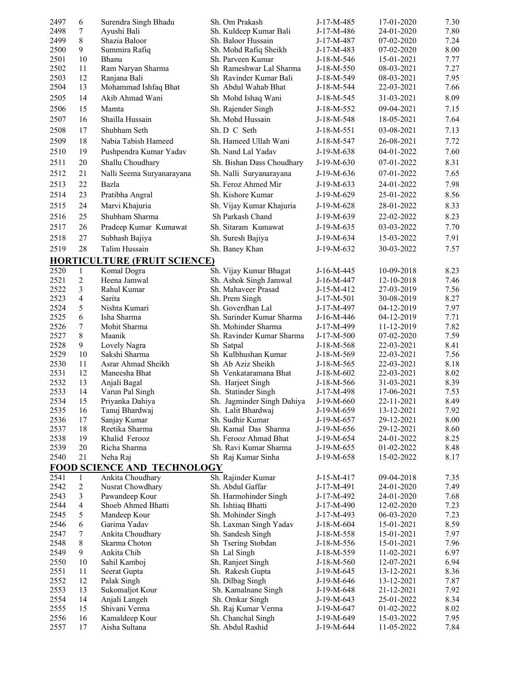| 2497         | 6                       | Surendra Singh Bhadu                | Sh. Om Prakash                           | J-17-M-485               | 17-01-2020               | 7.30         |
|--------------|-------------------------|-------------------------------------|------------------------------------------|--------------------------|--------------------------|--------------|
| 2498         | $\tau$                  | Ayushi Bali                         | Sh. Kuldeep Kumar Bali                   | J-17-M-486               | 24-01-2020               | 7.80         |
| 2499         | 8                       | Shazia Baloor                       | Sh. Baloor Hussain                       | J-17-M-487               | 07-02-2020               | 7.24         |
| 2500         | 9                       | Summira Rafiq                       | Sh. Mohd Rafiq Sheikh                    | J-17-M-483               | 07-02-2020               | 8.00         |
| 2501         | 10                      | Bhanu                               | Sh. Parveen Kumar                        | J-18-M-546               | 15-01-2021               | 7.77         |
| 2502         | 11                      | Ram Naryan Sharma                   | Sh Rameshwar Lal Sharma                  | J-18-M-550               | 08-03-2021               | 7.27         |
| 2503         | 12                      | Ranjana Bali                        | Sh Ravinder Kumar Bali                   | J-18-M-549               | 08-03-2021               | 7.95         |
| 2504         | 13                      | Mohammad Ishfaq Bhat                | Sh Abdul Wahab Bhat                      | J-18-M-544               | 22-03-2021               | 7.66         |
| 2505         | 14                      | Akib Ahmad Wani                     | Sh Mohd Ishaq Wani                       | J-18-M-545               | 31-03-2021               | 8.09         |
| 2506         | 15                      | Mamta                               | Sh. Rajender Singh                       | J-18-M-552               | 09-04-2021               | 7.15         |
| 2507         | 16                      | Shailla Hussain                     | Sh. Mohd Hussain                         | J-18-M-548               | 18-05-2021               | 7.64         |
| 2508         | 17                      | Shubham Seth                        | Sh. D C Seth                             | $J-18-M-551$             | 03-08-2021               | 7.13         |
| 2509         | 18                      | Nabia Tabish Hameed                 | Sh. Hameed Ullah Wani                    | J-18-M-547               | 26-08-2021               | 7.72         |
| 2510         | 19                      | Pushpendra Kumar Yadav              | Sh. Nand Lal Yadav                       | J-19-M-638               | 04-01-2022               | 7.60         |
| 2511         | 20                      | Shallu Choudhary                    | Sh. Bishan Dass Choudhary                | J-19-M-630               | 07-01-2022               | 8.31         |
| 2512         | 21                      |                                     |                                          |                          |                          | 7.65         |
|              |                         | Nalli Seema Suryanarayana           | Sh. Nalli Suryanarayana                  | J-19-M-636               | 07-01-2022               |              |
| 2513         | 22                      | Bazla                               | Sh. Feroz Ahmed Mir                      | $J-19-M-633$             | 24-01-2022               | 7.98         |
| 2514         | 23                      | Pratibha Angral                     | Sh. Kishore Kumar                        | J-19-M-629               | 25-01-2022               | 8.56         |
| 2515         | 24                      | Marvi Khajuria                      | Sh. Vijay Kumar Khajuria                 | J-19-M-628               | 28-01-2022               | 8.33         |
| 2516         | 25                      | Shubham Sharma                      | Sh Parkash Chand                         | $J-19-M-639$             | 22-02-2022               | 8.23         |
| 2517         | 26                      | Pradeep Kumar Kumawat               | Sh. Sitaram Kumawat                      | J-19-M-635               | 03-03-2022               | 7.70         |
| 2518         | 27                      | Subhash Bajiya                      | Sh. Suresh Bajiya                        | $J-19-M-634$             | 15-03-2022               | 7.91         |
| 2519         | 28                      | Talim Hussain                       | Sh. Baney Khan                           | $J-19-M-632$             | 30-03-2022               | 7.57         |
|              |                         | <b>HORTICULTURE (FRUIT SCIENCE)</b> |                                          |                          |                          |              |
| 2520         | $\mathbf{1}$            | Komal Dogra                         | Sh. Vijay Kumar Bhagat                   | J-16-M-445               | 10-09-2018               | 8.23         |
| 2521         | $\overline{2}$          | Heena Jamwal                        | Sh. Ashok Singh Jamwal                   | J-16-M-447               | 12-10-2018               | 7.46         |
| 2522         | 3                       | Rahul Kumar                         | Sh. Mahaveer Prasad                      | J-15-M-412               | 27-03-2019               | 7.56         |
| 2523         | $\overline{4}$          | Sarita                              | Sh. Prem Singh                           | $J-17-M-501$             | 30-08-2019               | 8.27         |
| 2524         | 5                       | Nishta Kumari                       | Sh. Goverdhan Lal                        | J-17-M-497               | 04-12-2019               | 7.97         |
| 2525         | 6                       | Isha Sharma                         | Sh. Surinder Kumar Sharma                | J-16-M-446               | 04-12-2019               | 7.71         |
| 2526         | 7                       | Mohit Sharma                        | Sh. Mohinder Sharma                      | J-17-M-499               | 11-12-2019               | 7.82         |
| 2527         | 8                       | Maanik                              | Sh. Ravinder Kumar Sharma                | J-17-M-500               | 07-02-2020               | 7.59         |
| 2528         | 9                       | Lovely Nagra                        | Sh Satpal                                | $J-18-M-568$             | 22-03-2021               | 8.41         |
| 2529         | 10                      | Sakshi Sharma                       | Sh Kulbhushan Kumar                      | J-18-M-569               | 22-03-2021               | 7.56         |
| 2530         | 11                      | Asrar Ahmad Sheikh                  | Sh Ab Aziz Sheikh                        | $J-18-M-565$             | 22-03-2021               | 8.18         |
| 2531         | 12                      | Maneesha Bhat                       | Sh Venkataramana Bhat                    | $J-18-M-602$             | 22-03-2021               | 8.02         |
| 2532         | 13                      | Anjali Bagal                        | Sh. Harjeet Singh                        | $J-18-M-566$             | 31-03-2021               | 8.39         |
| 2533         | 14                      | Varun Pal Singh                     | Sh. Statinder Singh                      | J-17-M-498               | 17-06-2021               | 7.53         |
| 2534         | 15                      | Priyanka Dahiya                     | Sh. Jagminder Singh Dahiya               | J-19-M-660               | 22-11-2021               | 8.49         |
| 2535         | 16                      | Tanuj Bhardwaj                      | Sh. Lalit Bhardwaj                       | J-19-M-659               | 13-12-2021               | 7.92         |
| 2536<br>2537 | 17<br>18                | Sanjay Kumar<br>Reetika Sharma      | Sh. Sudhir Kumar<br>Sh. Kamal Das Sharma | J-19-M-657               | 29-12-2021<br>29-12-2021 | 8.00<br>8.60 |
| 2538         | 19                      | Khalid Ferooz                       | Sh. Ferooz Ahmad Bhat                    | J-19-M-656<br>J-19-M-654 | 24-01-2022               | 8.25         |
| 2539         | 20                      | Richa Sharma                        | Sh. Ravi Kumar Sharma                    | J-19-M-655               | 01-02-2022               | 8.48         |
| 2540         | 21                      | Neha Raj                            | Sh Raj Kumar Sinha                       | J-19-M-658               | 15-02-2022               | 8.17         |
|              |                         | <b>FOOD SCIENCE AND TECHNOLOGY</b>  |                                          |                          |                          |              |
| 2541         | 1                       | Ankita Choudhary                    | Sh. Rajinder Kumar                       | J-15-M-417               | 09-04-2018               | 7.35         |
| 2542         | $\overline{\mathbf{c}}$ | Nusrat Chowdhary                    | Sh. Abdul Gaffar                         | J-17-M-491               | 24-01-2020               | 7.49         |
| 2543         | 3                       | Pawandeep Kour                      | Sh. Harmohinder Singh                    | J-17-M-492               | 24-01-2020               | 7.68         |
| 2544         | 4                       | Shoeb Ahmed Bhatti                  | Sh. Ishtiaq Bhatti                       | J-17-M-490               | 12-02-2020               | 7.23         |
| 2545         | 5                       | Mandeep Kour                        | Sh. Mohinder Singh                       | J-17-M-493               | 06-03-2020               | 7.23         |
| 2546         | 6                       | Garima Yadav                        | Sh. Laxman Singh Yadav                   | J-18-M-604               | 15-01-2021               | 8.59         |
| 2547         | 7                       | Ankita Choudhary                    | Sh. Sandesh Singh                        | J-18-M-558               | 15-01-2021               | 7.97         |
| 2548         | 8                       | Skarma Choton                       | Sh Tsering Stobdan                       | J-18-M-556               | 15-01-2021               | 7.96         |
| 2549         | 9                       | Ankita Chib                         | Sh Lal Singh                             | J-18-M-559               | 11-02-2021               | 6.97         |
| 2550         | 10                      | Sahil Kamboj                        | Sh. Ranjeet Singh                        | $J-18-M-560$             | 12-07-2021               | 6.94         |
| 2551         | 11                      | Seerat Gupta                        | Sh. Rakesh Gupta                         | J-19-M-645               | 13-12-2021               | 8.36         |
| 2552         | 12                      | Palak Singh                         | Sh. Dilbag Singh                         | J-19-M-646               | 13-12-2021               | 7.87         |
| 2553         | 13                      | Sukomaljot Kour                     | Sh. Kamalnane Singh                      | J-19-M-648               | 21-12-2021               | 7.92         |
| 2554         | 14                      | Anjali Langeh                       | Sh. Omkar Singh                          | J-19-M-643               | 25-01-2022               | 8.34         |
| 2555         | 15                      | Shivani Verma                       | Sh. Raj Kumar Verma                      | J-19-M-647               | 01-02-2022               | 8.02         |
| 2556         | 16                      | Kamaldeep Kour                      | Sh. Chanchal Singh                       | J-19-M-649               | 15-03-2022               | 7.95         |
| 2557         | 17                      | Aisha Sultana                       | Sh. Abdul Rashid                         | J-19-M-644               | 11-05-2022               | 7.84         |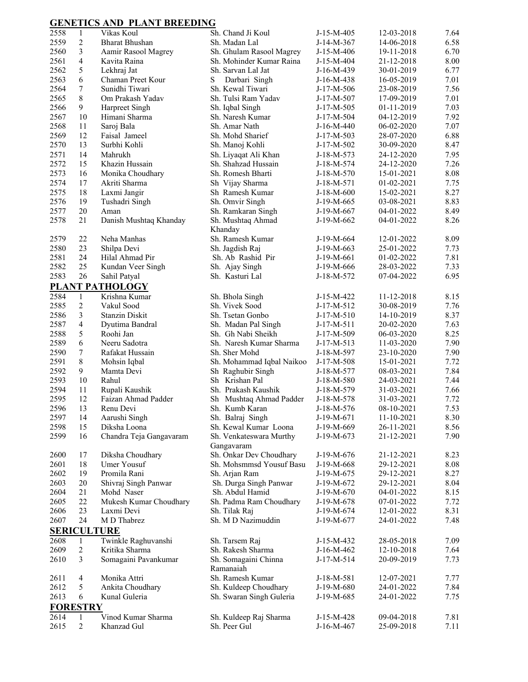## **GENETICS AND PLANT BREEDING**

| 2558 | $\mathbf{1}$    | Vikas Koul              | Sh. Chand Ji Koul                           | J-15-M-405   | 12-03-2018 | 7.64 |
|------|-----------------|-------------------------|---------------------------------------------|--------------|------------|------|
| 2559 | $\overline{2}$  | <b>Bharat Bhushan</b>   | Sh. Madan Lal                               | J-14-M-367   | 14-06-2018 | 6.58 |
| 2560 | 3               | Aamir Rasool Magrey     | Sh. Ghulam Rasool Magrey                    | J-15-M-406   | 19-11-2018 | 6.70 |
| 2561 | $\overline{4}$  | Kavita Raina            | Sh. Mohinder Kumar Raina                    | J-15-M-404   | 21-12-2018 | 8.00 |
| 2562 | 5               | Lekhraj Jat             | Sh. Sarvan Lal Jat                          | J-16-M-439   | 30-01-2019 | 6.77 |
| 2563 | 6               | Chaman Preet Kour       | S<br>Darbari Singh                          | J-16-M-438   | 16-05-2019 | 7.01 |
| 2564 | 7               | Sunidhi Tiwari          | Sh. Kewal Tiwari                            | J-17-M-506   | 23-08-2019 | 7.56 |
| 2565 | 8               | Om Prakash Yadav        | Sh. Tulsi Ram Yadav                         | J-17-M-507   | 17-09-2019 | 7.01 |
| 2566 | 9               | Harpreet Singh          | Sh. Iqbal Singh                             | J-17-M-505   | 01-11-2019 | 7.03 |
| 2567 | 10              | Himani Sharma           | Sh. Naresh Kumar                            | J-17-M-504   | 04-12-2019 | 7.92 |
| 2568 | 11              | Saroj Bala              | Sh. Amar Nath                               | J-16-M-440   | 06-02-2020 | 7.07 |
| 2569 | 12              | Faisal Jameel           | Sh. Mohd Sharief                            | J-17-M-503   | 28-07-2020 | 6.88 |
| 2570 | 13              | Surbhi Kohli            | Sh. Manoj Kohli                             | J-17-M-502   | 30-09-2020 | 8.47 |
| 2571 | 14              | Mahrukh                 |                                             | J-18-M-573   | 24-12-2020 | 7.95 |
| 2572 | 15              | Khazin Hussain          | Sh. Liyaqat Ali Khan<br>Sh. Shahzad Hussain |              |            | 7.26 |
|      |                 |                         |                                             | J-18-M-574   | 24-12-2020 |      |
| 2573 | 16              | Monika Choudhary        | Sh. Romesh Bharti                           | J-18-M-570   | 15-01-2021 | 8.08 |
| 2574 | 17              | Akriti Sharma           | Sh Vijay Sharma                             | J-18-M-571   | 01-02-2021 | 7.75 |
| 2575 | 18              | Laxmi Jangir            | Sh Ramesh Kumar                             | J-18-M-600   | 15-02-2021 | 8.27 |
| 2576 | 19              | Tushadri Singh          | Sh. Omvir Singh                             | J-19-M-665   | 03-08-2021 | 8.83 |
| 2577 | 20              | Aman                    | Sh. Ramkaran Singh                          | J-19-M-667   | 04-01-2022 | 8.49 |
| 2578 | 21              | Danish Mushtaq Khanday  | Sh. Mushtaq Ahmad<br>Khanday                | J-19-M-662   | 04-01-2022 | 8.26 |
| 2579 | 22              | Neha Manhas             | Sh. Ramesh Kumar                            | J-19-M-664   | 12-01-2022 | 8.09 |
| 2580 | 23              | Shilpa Devi             | Sh. Jagdish Raj                             | J-19-M-663   | 25-01-2022 | 7.73 |
| 2581 | 24              | Hilal Ahmad Pir         | Sh. Ab Rashid Pir                           | J-19-M-661   |            |      |
|      |                 |                         |                                             |              | 01-02-2022 | 7.81 |
| 2582 | 25              | Kundan Veer Singh       | Sh. Ajay Singh                              | J-19-M-666   | 28-03-2022 | 7.33 |
| 2583 | 26              | Sahil Patyal            | Sh. Kasturi Lal                             | J-18-M-572   | 07-04-2022 | 6.95 |
|      |                 | PLANT PATHOLOGY         |                                             |              |            |      |
| 2584 | $\mathbf{1}$    | Krishna Kumar           | Sh. Bhola Singh                             | J-15-M-422   | 11-12-2018 | 8.15 |
| 2585 | $\overline{2}$  | Vakul Sood              | Sh. Vivek Sood                              | J-17-M-512   | 30-08-2019 | 7.76 |
| 2586 | 3               | <b>Stanzin Diskit</b>   | Sh. Tsetan Gonbo                            | $J-17-M-510$ | 14-10-2019 | 8.37 |
| 2587 | $\overline{4}$  | Dyutima Bandral         | Sh. Madan Pal Singh                         | $J-17-M-511$ | 20-02-2020 | 7.63 |
| 2588 | $\mathfrak s$   | Roohi Jan               | Sh. Gh Nabi Sheikh                          | J-17-M-509   | 06-03-2020 | 8.25 |
| 2589 | 6               | Neeru Sadotra           | Sh. Naresh Kumar Sharma                     | $J-17-M-513$ | 11-03-2020 | 7.90 |
| 2590 | 7               | Rafakat Hussain         | Sh. Sher Mohd                               | J-18-M-597   | 23-10-2020 | 7.90 |
| 2591 | $\,8\,$         | Mohsin Iqbal            | Sh. Mohammad Iqbal Naikoo                   | J-17-M-508   | 15-01-2021 | 7.72 |
| 2592 | 9               | Mamta Devi              | Sh Raghubir Singh                           | J-18-M-577   | 08-03-2021 | 7.84 |
| 2593 | 10              | Rahul                   | Sh Krishan Pal                              | J-18-M-580   | 24-03-2021 | 7.44 |
| 2594 | 11              | Rupali Kaushik          | Sh. Prakash Kaushik                         | J-18-M-579   | 31-03-2021 | 7.66 |
| 2595 | 12              | Faizan Ahmad Padder     | Sh Mushtaq Ahmad Padder                     | J-18-M-578   | 31-03-2021 | 7.72 |
| 2596 | 13              | Renu Devi               | Sh. Kumb Karan                              | J-18-M-576   | 08-10-2021 | 7.53 |
| 2597 | 14              | Aarushi Singh           | Sh. Balraj Singh                            | J-19-M-671   | 11-10-2021 | 8.30 |
| 2598 | 15              | Diksha Loona            | Sh. Kewal Kumar Loona                       | J-19-M-669   | 26-11-2021 | 8.56 |
| 2599 | 16              | Chandra Teja Gangavaram | Sh. Venkateswara Murthy                     | J-19-M-673   | 21-12-2021 | 7.90 |
|      |                 |                         | Gangavaram                                  |              |            |      |
| 2600 | 17              | Diksha Choudhary        | Sh. Onkar Dev Choudhary                     | J-19-M-676   | 21-12-2021 | 8.23 |
| 2601 | 18              | Umer Yousuf             | Sh. Mohsmmsd Yousuf Basu                    | J-19-M-668   | 29-12-2021 | 8.08 |
| 2602 | 19              | Promila Rani            | Sh. Arjan Ram                               | J-19-M-675   | 29-12-2021 | 8.27 |
| 2603 | 20              | Shivraj Singh Panwar    | Sh. Durga Singh Panwar                      | J-19-M-672   | 29-12-2021 | 8.04 |
| 2604 | 21              | Mohd Naser              | Sh. Abdul Hamid                             | J-19-M-670   | 04-01-2022 | 8.15 |
| 2605 | 22              | Mukesh Kumar Choudhary  | Sh. Padma Ram Choudhary                     | J-19-M-678   | 07-01-2022 | 7.72 |
| 2606 | 23              | Laxmi Devi              | Sh. Tilak Raj                               | J-19-M-674   | 12-01-2022 | 8.31 |
| 2607 | 24              | M D Thabrez             | Sh. M D Nazimuddin                          | J-19-M-677   | 24-01-2022 | 7.48 |
|      |                 | <b>SERICULTURE</b>      |                                             |              |            |      |
| 2608 | $\mathbf{1}$    | Twinkle Raghuvanshi     | Sh. Tarsem Raj                              | J-15-M-432   | 28-05-2018 | 7.09 |
| 2609 | $\sqrt{2}$      | Kritika Sharma          | Sh. Rakesh Sharma                           | J-16-M-462   | 12-10-2018 | 7.64 |
| 2610 | 3               | Somagaini Pavankumar    | Sh. Somagaini Chinna                        | J-17-M-514   | 20-09-2019 | 7.73 |
| 2611 | $\overline{4}$  | Monika Attri            | Ramanaiah<br>Sh. Ramesh Kumar               | J-18-M-581   | 12-07-2021 | 7.77 |
| 2612 | 5               | Ankita Choudhary        | Sh. Kuldeep Choudhary                       | J-19-M-680   | 24-01-2022 | 7.84 |
| 2613 | 6               | Kunal Guleria           | Sh. Swaran Singh Guleria                    | J-19-M-685   | 24-01-2022 | 7.75 |
|      |                 |                         |                                             |              |            |      |
|      | <b>FORESTRY</b> |                         |                                             |              |            |      |
| 2614 | 1               | Vinod Kumar Sharma      | Sh. Kuldeep Raj Sharma                      | J-15-M-428   | 09-04-2018 | 7.81 |
| 2615 | $\overline{2}$  | Khanzad Gul             | Sh. Peer Gul                                | J-16-M-467   | 25-09-2018 | 7.11 |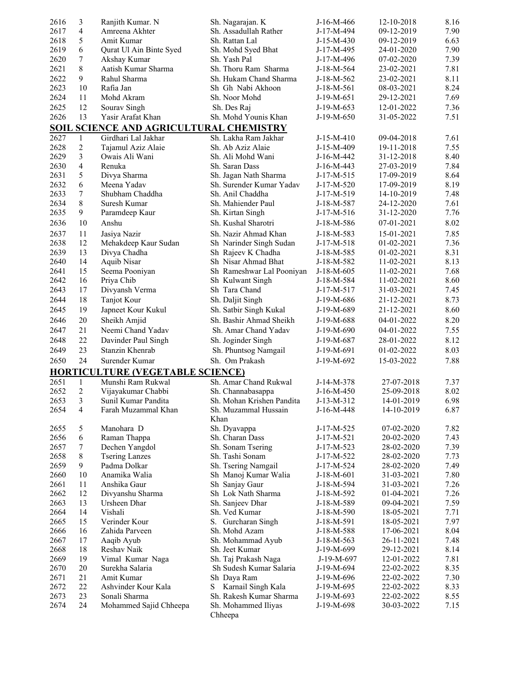| 2616         | 3              | Ranjith Kumar. N                        | Sh. Nagarajan. K                        | J-16-M-466               | 12-10-2018               | 8.16         |
|--------------|----------------|-----------------------------------------|-----------------------------------------|--------------------------|--------------------------|--------------|
| 2617         | $\overline{4}$ | Amreena Akhter                          | Sh. Assadullah Rather                   | J-17-M-494               | 09-12-2019               | 7.90         |
| 2618         | 5              | Amit Kumar                              | Sh. Rattan Lal                          | $J-15-M-430$             | 09-12-2019               | 6.63         |
| 2619         | 6              | Qurat Ul Ain Binte Syed                 | Sh. Mohd Syed Bhat                      | J-17-M-495               | 24-01-2020               | 7.90         |
| 2620         | 7              | Akshay Kumar                            | Sh. Yash Pal                            | J-17-M-496               | 07-02-2020               | 7.39         |
| 2621         | 8              | Aatish Kumar Sharma                     | Sh. Thoru Ram Sharma                    | J-18-M-564               | 23-02-2021               | 7.81         |
| 2622         | 9              | Rahul Sharma                            | Sh. Hukam Chand Sharma                  | J-18-M-562               | 23-02-2021               | 8.11         |
| 2623         | 10             | Rafia Jan                               | Sh Gh Nabi Akhoon                       | J-18-M-561               | 08-03-2021               | 8.24         |
| 2624         | 11             | Mohd Akram                              | Sh. Noor Mohd                           | J-19-M-651               | 29-12-2021               | 7.69         |
| 2625         | 12             | Sourav Singh                            | Sh. Des Raj                             | J-19-M-653               | 12-01-2022               | 7.36         |
| 2626         | 13             | Yasir Arafat Khan                       | Sh. Mohd Younis Khan                    | J-19-M-650               | 31-05-2022               | 7.51         |
|              |                | SOIL SCIENCE AND AGRICULTURAL CHEMISTRY |                                         |                          |                          |              |
|              |                |                                         |                                         |                          |                          |              |
| 2627         | 1              | Girdhari Lal Jakhar                     | Sh. Lakha Ram Jakhar                    | $J-15-M-410$             | 09-04-2018               | 7.61         |
| 2628         | 2<br>3         | Tajamul Aziz Alaie                      | Sh. Ab Aziz Alaie                       | J-15-M-409               | 19-11-2018               | 7.55         |
| 2629         | $\overline{4}$ | Owais Ali Wani                          | Sh. Ali Mohd Wani                       | J-16-M-442               | 31-12-2018               | 8.40         |
| 2630<br>2631 | 5              | Renuka                                  | Sh. Saran Dass<br>Sh. Jagan Nath Sharma | J-16-M-443               | 27-03-2019               | 7.84<br>8.64 |
| 2632         | 6              | Divya Sharma<br>Meena Yadav             | Sh. Surender Kumar Yadav                | J-17-M-515               | 17-09-2019               | 8.19         |
|              | 7              |                                         | Sh. Anil Chaddha                        | $J-17-M-520$             | 17-09-2019               |              |
| 2633         | 8              | Shubham Chaddha<br>Suresh Kumar         |                                         | J-17-M-519               | 14-10-2019               | 7.48         |
| 2634         |                |                                         | Sh. Mahiender Paul                      | J-18-M-587               | 24-12-2020               | 7.61         |
| 2635         | 9              | Paramdeep Kaur                          | Sh. Kirtan Singh                        | J-17-M-516               | 31-12-2020               | 7.76         |
| 2636         | 10             | Anshu                                   | Sh. Kushal Sharotri                     | J-18-M-586               | 07-01-2021               | 8.02         |
| 2637         | 11             | Jasiya Nazir                            | Sh. Nazir Ahmad Khan                    | J-18-M-583               | 15-01-2021               | 7.85         |
| 2638         | 12             | Mehakdeep Kaur Sudan                    | Sh Narinder Singh Sudan                 | J-17-M-518               | 01-02-2021               | 7.36         |
| 2639         | 13             | Divya Chadha                            | Sh Rajeev K Chadha                      | J-18-M-585               | 01-02-2021               | 8.31         |
| 2640         | 14             | <b>Aquib Nisar</b>                      | Sh Nisar Ahmad Bhat                     | J-18-M-582               | 11-02-2021               | 8.13         |
| 2641         | 15             | Seema Pooniyan                          | Sh Rameshwar Lal Pooniyan               | J-18-M-605               | 11-02-2021               | 7.68         |
| 2642         | 16             | Priya Chib                              | Sh Kulwant Singh                        | J-18-M-584               | 11-02-2021               | 8.60         |
| 2643         | 17             | Divyansh Verma                          | Sh Tara Chand                           | J-17-M-517               | 31-03-2021               | 7.45         |
| 2644         | 18             | Tanjot Kour                             | Sh. Daljit Singh                        | J-19-M-686               | 21-12-2021               | 8.73         |
| 2645         | 19             | Japneet Kour Kukul                      | Sh. Satbir Singh Kukal                  | J-19-M-689               | 21-12-2021               | 8.60         |
| 2646         | 20             | Sheikh Amjid                            | Sh. Bashir Ahmad Sheikh                 | J-19-M-688               | 04-01-2022               | 8.20         |
| 2647         | 21             | Neemi Chand Yadav                       | Sh. Amar Chand Yadav                    | J-19-M-690               | 04-01-2022               | 7.55         |
| 2648         | 22             | Davinder Paul Singh                     | Sh. Joginder Singh                      | J-19-M-687               | 28-01-2022               | 8.12         |
| 2649         | 23             | Stanzin Khenrab                         | Sh. Phuntsog Namgail                    | J-19-M-691               | 01-02-2022               | 8.03         |
| 2650         | 24             | Surender Kumar                          | Sh. Om Prakash                          | J-19-M-692               | 15-03-2022               | 7.88         |
|              |                |                                         |                                         |                          |                          |              |
|              |                | <b>HORTICULTURE (VEGETABLE SCIENCE)</b> |                                         |                          |                          |              |
| 2651         | $\mathbf{1}$   | Munshi Ram Rukwal                       | Sh. Amar Chand Rukwal                   | J-14-M-378               | 27-07-2018               | 7.37         |
| 2652         | 2              | Vijayakumar Chabbi                      | Sh. Channabasappa                       | $J-16-M-450$             | 25-09-2018               | 8.02         |
| 2653         | 3              | Sunil Kumar Pandita                     | Sh. Mohan Krishen Pandita               | J-13-M-312               | 14-01-2019               | 6.98         |
| 2654         | $\overline{4}$ | Farah Muzammal Khan                     | Sh. Muzammal Hussain                    | J-16-M-448               | 14-10-2019               | 6.87         |
|              |                |                                         | Khan                                    |                          |                          |              |
| 2655<br>2656 | 5              | Manohara D                              | Sh. Dyavappa<br>Sh. Charan Dass         | J-17-M-525               | 07-02-2020               | 7.82         |
| 2657         | 6<br>7         | Raman Thappa                            | Sh. Sonam Tsering                       | J-17-M-521               | 20-02-2020               | 7.43         |
|              | 8              | Dechen Yangdol                          | Sh. Tashi Sonam                         | J-17-M-523               | 28-02-2020               | 7.39         |
| 2658<br>2659 | 9              | <b>Tsering Lanzes</b><br>Padma Dolkar   | Sh. Tsering Namgail                     | J-17-M-522               | 28-02-2020               | 7.73<br>7.49 |
|              | 10             | Anamika Walia                           |                                         | J-17-M-524               | 28-02-2020               | 7.80         |
| 2660         |                |                                         | Sh Manoj Kumar Walia                    | J-18-M-601               | 31-03-2021               |              |
| 2661<br>2662 | 11<br>12       | Anshika Gaur                            | Sh Sanjay Gaur                          | J-18-M-594               | 31-03-2021               | 7.26         |
| 2663         | 13             | Divyanshu Sharma                        | Sh Lok Nath Sharma                      | J-18-M-592               | 01-04-2021<br>09-04-2021 | 7.26         |
| 2664         | 14             | Ursheen Dhar<br>Vishali                 | Sh. Sanjeev Dhar                        | J-18-M-589               | 18-05-2021               | 7.59<br>7.71 |
| 2665         |                | Verinder Kour                           | Sh. Ved Kumar                           | J-18-M-590               |                          |              |
|              | 15             |                                         | S. Gurcharan Singh                      | J-18-M-591               | 18-05-2021               | 7.97         |
| 2666         | 16             | Zahida Parveen                          | Sh. Mohd Azam                           | J-18-M-588               | 17-06-2021               | 8.04         |
| 2667         | 17             | Aaqib Ayub                              | Sh. Mohammad Ayub                       | J-18-M-563               | 26-11-2021               | 7.48         |
| 2668<br>2669 | 18<br>19       | Reshav Naik                             | Sh. Jeet Kumar                          | J-19-M-699               | 29-12-2021               | 8.14<br>7.81 |
| 2670         | 20             | Vimal Kumar Naga<br>Surekha Salaria     | Sh. Taj Prakash Naga                    | J-19-M-697               | 12-01-2022               |              |
| 2671         | 21             | Amit Kumar                              | Sh Sudesh Kumar Salaria<br>Sh Daya Ram  | J-19-M-694<br>J-19-M-696 | 22-02-2022               | 8.35<br>7.30 |
| 2672         | 22             | Ashvinder Kour Kala                     | Karnail Singh Kala<br>S                 | J-19-M-695               | 22-02-2022<br>22-02-2022 | 8.33         |
| 2673         | 23             | Sonali Sharma                           | Sh. Rakesh Kumar Sharma                 | J-19-M-693               | 22-02-2022               | 8.55         |
| 2674         | 24             | Mohammed Sajid Chheepa                  | Sh. Mohammed Iliyas                     | J-19-M-698               | 30-03-2022               | 7.15         |
|              |                |                                         | Chheepa                                 |                          |                          |              |
|              |                |                                         |                                         |                          |                          |              |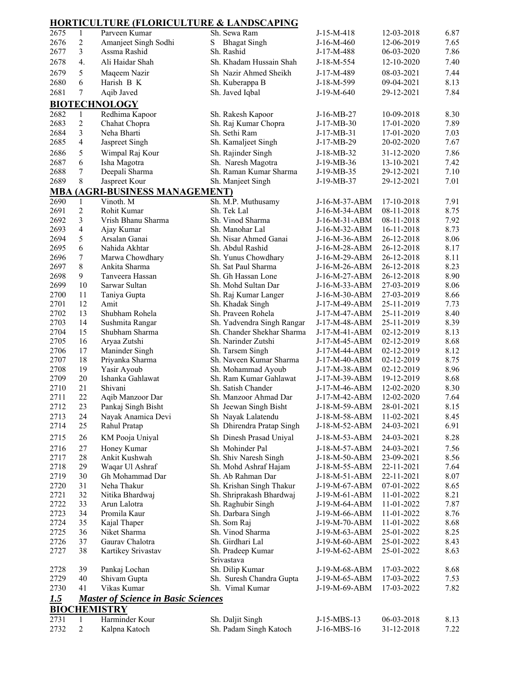|              |                | <b>HORTICULTURE (FLORICULTURE &amp; LANDSCAPING</b> |                                                |                                |                          |              |
|--------------|----------------|-----------------------------------------------------|------------------------------------------------|--------------------------------|--------------------------|--------------|
| 2675         | 1              | Parveen Kumar                                       | Sh. Sewa Ram                                   | $J-15-M-418$                   | 12-03-2018               | 6.87         |
| 2676         | $\overline{c}$ | Amanjeet Singh Sodhi                                | <b>Bhagat Singh</b><br>S                       | $J-16-M-460$                   | 12-06-2019               | 7.65         |
| 2677         | 3              | Assma Rashid                                        | Sh. Rashid                                     | J-17-M-488                     | 06-03-2020               | 7.86         |
| 2678         | 4.             | Ali Haidar Shah                                     | Sh. Khadam Hussain Shah                        | J-18-M-554                     | 12-10-2020               | 7.40         |
| 2679         | 5              | Maqeem Nazir                                        | Sh Nazir Ahmed Sheikh                          | J-17-M-489                     | 08-03-2021               | 7.44         |
| 2680         | 6              | Harish B K                                          | Sh. Kuberappa B                                | J-18-M-599                     | 09-04-2021               | 8.13         |
| 2681         | 7              | Aqib Javed                                          | Sh. Javed Iqbal                                | J-19-M-640                     | 29-12-2021               | 7.84         |
|              |                | <b>BIOTECHNOLOGY</b>                                |                                                |                                |                          |              |
| 2682         | $\mathbf{1}$   | Redhima Kapoor                                      | Sh. Rakesh Kapoor                              | J-16-MB-27                     | 10-09-2018               | 8.30         |
| 2683         | $\sqrt{2}$     | Chahat Chopra                                       | Sh. Raj Kumar Chopra                           | J-17-MB-30                     | 17-01-2020               | 7.89         |
| 2684         | 3              | Neha Bharti                                         | Sh. Sethi Ram                                  | $J-17-MB-31$                   | 17-01-2020               | 7.03         |
| 2685         | 4              | Jaspreet Singh                                      | Sh. Kamaljeet Singh                            | J-17-MB-29                     | 20-02-2020               | 7.67         |
| 2686         | 5              | Wimpal Raj Kour                                     | Sh. Rajinder Singh                             | J-18-MB-32                     | 31-12-2020               | 7.86         |
| 2687         | 6              | Isha Magotra                                        | Sh. Naresh Magotra                             | $J-19-MB-36$                   | 13-10-2021               | 7.42         |
| 2688         | 7              | Deepali Sharma                                      | Sh. Raman Kumar Sharma                         | J-19-MB-35                     | 29-12-2021               | 7.10         |
| 2689         | 8              | Jaspreet Kour                                       | Sh. Manjeet Singh                              | J-19-MB-37                     | 29-12-2021               | 7.01         |
|              |                | <b>MBA (AGRI-BUSINESS MANAGEMENT)</b>               |                                                |                                |                          |              |
| 2690         | $\mathbf{1}$   | Vinoth. M                                           | Sh. M.P. Muthusamy                             | J-16-M-37-ABM                  | 17-10-2018               | 7.91         |
| 2691         | $\overline{2}$ | Rohit Kumar                                         | Sh. Tek Lal                                    | J-16-M-34-ABM                  | 08-11-2018               | 8.75         |
| 2692         | 3              | Vrish Bhanu Sharma                                  | Sh. Vinod Sharma                               | J-16-M-31-ABM                  | 08-11-2018               | 7.92         |
| 2693         | $\overline{4}$ | Ajay Kumar                                          | Sh. Manohar Lal                                | J-16-M-32-ABM                  | 16-11-2018               | 8.73         |
| 2694         | 5              | Arsalan Ganai                                       | Sh. Nisar Ahmed Ganai                          | J-16-M-36-ABM                  | 26-12-2018               | 8.06         |
| 2695         | 6              | Nahida Akhtar                                       | Sh. Abdul Rashid                               | J-16-M-28-ABM                  | 26-12-2018               | 8.17         |
| 2696         | 7              | Marwa Chowdhary                                     | Sh. Yunus Chowdhary                            | J-16-M-29-ABM                  | 26-12-2018               | 8.11         |
| 2697         | 8              | Ankita Sharma                                       | Sh. Sat Paul Sharma                            | J-16-M-26-ABM                  | 26-12-2018               | 8.23         |
| 2698         | 9<br>10        | Tanveera Hassan<br>Sarwar Sultan                    | Sh. Gh Hassan Lone<br>Sh. Mohd Sultan Dar      | J-16-M-27-ABM                  | 26-12-2018<br>27-03-2019 | 8.90<br>8.06 |
| 2699<br>2700 | 11             | Taniya Gupta                                        | Sh. Raj Kumar Langer                           | J-16-M-33-ABM<br>J-16-M-30-ABM | 27-03-2019               | 8.66         |
| 2701         | 12             | Amit                                                | Sh. Khadak Singh                               | J-17-M-49-ABM                  | 25-11-2019               | 7.73         |
| 2702         | 13             | Shubham Rohela                                      | Sh. Praveen Rohela                             | J-17-M-47-ABM                  | 25-11-2019               | 8.40         |
| 2703         | 14             | Sushmita Rangar                                     | Sh. Yadvendra Singh Rangar                     | J-17-M-48-ABM                  | 25-11-2019               | 8.39         |
| 2704         | 15             | Shubham Sharma                                      | Sh. Chander Shekhar Sharma                     | J-17-M-41-ABM                  | 02-12-2019               | 8.13         |
| 2705         | 16             | Aryaa Zutshi                                        | Sh. Narinder Zutshi                            | J-17-M-45-ABM                  | 02-12-2019               | 8.68         |
| 2706         | 17             | Maninder Singh                                      | Sh. Tarsem Singh                               | J-17-M-44-ABM                  | 02-12-2019               | 8.12         |
| 2707         | 18             | Priyanka Sharma                                     | Sh. Naveen Kumar Sharma                        | J-17-M-40-ABM                  | 02-12-2019               | 8.75         |
| 2708         | 19             | Yasir Ayoub                                         | Sh. Mohammad Ayoub                             | J-17-M-38-ABM                  | 02-12-2019               | 8.96         |
| 2709         | 20             | Ishanka Gahlawat                                    | Sh. Ram Kumar Gahlawat                         | J-17-M-39-ABM                  | 19-12-2019               | 8.68         |
| 2710         | 21             | Shivani                                             | Sh. Satish Chander                             | J-17-M-46-ABM                  | 12-02-2020               | 8.30         |
| 2711         | 22             | Aqib Manzoor Dar                                    | Sh. Manzoor Ahmad Dar                          | J-17-M-42-ABM                  | 12-02-2020               | 7.64         |
| 2712         | 23             | Pankaj Singh Bisht                                  | Sh Jeewan Singh Bisht                          | J-18-M-59-ABM                  | 28-01-2021               | 8.15         |
| 2713         | 24             | Nayak Anamica Devi                                  | Sh Nayak Lalatendu                             | J-18-M-58-ABM                  | 11-02-2021               | 8.45         |
| 2714         | 25             | Rahul Pratap                                        | Sh Dhirendra Pratap Singh                      | J-18-M-52-ABM                  | 24-03-2021               | 6.91         |
| 2715         | 26             | KM Pooja Uniyal                                     | Sh Dinesh Prasad Uniyal                        | J-18-M-53-ABM                  | 24-03-2021               | 8.28         |
| 2716         | $27\,$         | Honey Kumar                                         | Sh Mohinder Pal                                | J-18-M-57-ABM                  | 24-03-2021               | 7.56         |
| 2717         | 28             | Ankit Kushwah                                       | Sh. Shiv Naresh Singh                          | J-18-M-50-ABM                  | 23-09-2021               | 8.56         |
| 2718         | 29             | Waqar Ul Ashraf                                     | Sh. Mohd Ashraf Hajam                          | J-18-M-55-ABM                  | 22-11-2021               | 7.64         |
| 2719         | 30             | Gh Mohammad Dar                                     | Sh. Ab Rahman Dar                              | J-18-M-51-ABM                  | 22-11-2021               | 8.07         |
| 2720         | 31             | Neha Thakur                                         | Sh. Krishan Singh Thakur                       | J-19-M-67-ABM                  | 07-01-2022               | 8.65         |
| 2721         | 32<br>33       | Nitika Bhardwaj                                     | Sh. Shriprakash Bhardwaj<br>Sh. Raghubir Singh | J-19-M-61-ABM                  | 11-01-2022               | 8.21         |
| 2722<br>2723 | 34             | Arun Lalotra<br>Promila Kaur                        | Sh. Darbara Singh                              | J-19-M-64-ABM<br>J-19-M-66-ABM | 11-01-2022<br>11-01-2022 | 7.87<br>8.76 |
| 2724         | 35             | Kajal Thaper                                        | Sh. Som Raj                                    | J-19-M-70-ABM                  | 11-01-2022               | 8.68         |
| 2725         | 36             | Niket Sharma                                        | Sh. Vinod Sharma                               | J-19-M-63-ABM                  | 25-01-2022               | 8.25         |
| 2726         | 37             | Gaurav Chalotra                                     | Sh. Girdhari Lal                               | J-19-M-60-ABM                  | 25-01-2022               | 8.43         |
| 2727         | 38             | Kartikey Srivastav                                  | Sh. Pradeep Kumar                              | J-19-M-62-ABM                  | 25-01-2022               | 8.63         |
|              |                |                                                     | Srivastava                                     |                                |                          |              |
| 2728         | 39             | Pankaj Lochan                                       | Sh. Dilip Kumar                                | J-19-M-68-ABM                  | 17-03-2022               | 8.68         |
| 2729         | 40             | Shivam Gupta                                        | Sh. Suresh Chandra Gupta                       | J-19-M-65-ABM                  | 17-03-2022               | 7.53         |
| 2730         | 41             | Vikas Kumar                                         | Sh. Vimal Kumar                                | J-19-M-69-ABM                  | 17-03-2022               | 7.82         |
| <u>1.5</u>   |                | <b>Master of Science in Basic Sciences</b>          |                                                |                                |                          |              |
|              |                | <b>BIOCHEMISTRY</b>                                 |                                                |                                |                          |              |
| 2731         | $\mathbf{1}$   | Harminder Kour                                      | Sh. Daljit Singh                               | J-15-MBS-13                    | 06-03-2018               | 8.13         |
| 2732         | $\overline{c}$ | Kalpna Katoch                                       | Sh. Padam Singh Katoch                         | J-16-MBS-16                    | 31-12-2018               | 7.22         |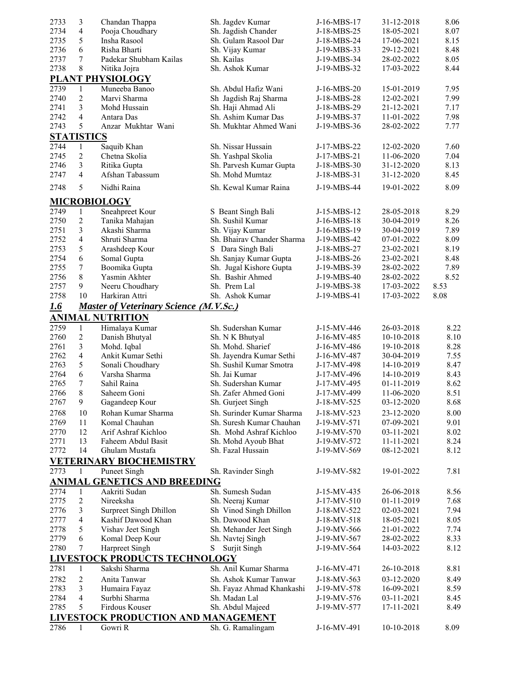| 2733       | 3                 | Chandan Thappa                                | Sh. Jagdev Kumar                           | J-16-MBS-17 | 31-12-2018 | 8.06 |
|------------|-------------------|-----------------------------------------------|--------------------------------------------|-------------|------------|------|
| 2734       | 4                 | Pooja Choudhary                               | Sh. Jagdish Chander                        | J-18-MBS-25 | 18-05-2021 | 8.07 |
| 2735       | 5                 | Insha Rasool                                  | Sh. Gulam Rasool Dar                       | J-18-MBS-24 | 17-06-2021 | 8.15 |
| 2736       | 6                 | Risha Bharti                                  | Sh. Vijay Kumar                            | J-19-MBS-33 | 29-12-2021 | 8.48 |
| 2737       | 7                 | Padekar Shubham Kailas                        | Sh. Kailas                                 | J-19-MBS-34 | 28-02-2022 | 8.05 |
| 2738       | 8                 | Nitika Jojra                                  | Sh. Ashok Kumar                            | J-19-MBS-32 | 17-03-2022 | 8.44 |
|            |                   | <b>PLANT PHYSIOLOGY</b>                       |                                            |             |            |      |
| 2739       | $\mathbf{1}$      | Muneeba Banoo                                 | Sh. Abdul Hafiz Wani                       | J-16-MBS-20 | 15-01-2019 | 7.95 |
| 2740       | $\overline{c}$    | Marvi Sharma                                  | Sh Jagdish Raj Sharma                      | J-18-MBS-28 | 12-02-2021 | 7.99 |
| 2741       | 3                 | Mohd Hussain                                  | Sh. Haji Ahmad Ali                         | J-18-MBS-29 | 21-12-2021 | 7.17 |
| 2742       | $\overline{4}$    | Antara Das                                    | Sh. Ashim Kumar Das                        | J-19-MBS-37 | 11-01-2022 | 7.98 |
| 2743       | 5                 | Anzar Mukhtar Wani                            | Sh. Mukhtar Ahmed Wani                     | J-19-MBS-36 | 28-02-2022 | 7.77 |
|            | <b>STATISTICS</b> |                                               |                                            |             |            |      |
| 2744       | $\mathbf{1}$      | Saquib Khan                                   | Sh. Nissar Hussain                         | J-17-MBS-22 | 12-02-2020 | 7.60 |
| 2745       | $\overline{2}$    | Chetna Skolia                                 |                                            |             |            | 7.04 |
|            | 3                 |                                               | Sh. Yashpal Skolia                         | J-17-MBS-21 | 11-06-2020 |      |
| 2746       | $\overline{4}$    | Ritika Gupta<br>Afshan Tabassum               | Sh. Parvesh Kumar Gupta<br>Sh. Mohd Mumtaz | J-18-MBS-30 | 31-12-2020 | 8.13 |
| 2747       |                   |                                               |                                            | J-18-MBS-31 | 31-12-2020 | 8.45 |
| 2748       | 5                 | Nidhi Raina                                   | Sh. Kewal Kumar Raina                      | J-19-MBS-44 | 19-01-2022 | 8.09 |
|            |                   | <b>MICROBIOLOGY</b>                           |                                            |             |            |      |
| 2749       |                   |                                               |                                            |             |            |      |
|            | 1                 | Sneahpreet Kour                               | S Beant Singh Bali                         | J-15-MBS-12 | 28-05-2018 | 8.29 |
| 2750       | 2                 | Tanika Mahajan                                | Sh. Sushil Kumar                           | J-16-MBS-18 | 30-04-2019 | 8.26 |
| 2751       | 3                 | Akashi Sharma                                 | Sh. Vijay Kumar                            | J-16-MBS-19 | 30-04-2019 | 7.89 |
| 2752       | $\overline{4}$    | Shruti Sharma                                 | Sh. Bhairav Chander Sharma                 | J-19-MBS-42 | 07-01-2022 | 8.09 |
| 2753       | 5                 | Arashdeep Kour                                | S Dara Singh Bali                          | J-18-MBS-27 | 23-02-2021 | 8.19 |
| 2754       | 6                 | Somal Gupta                                   | Sh. Sanjay Kumar Gupta                     | J-18-MBS-26 | 23-02-2021 | 8.48 |
| 2755       | 7                 | Boomika Gupta                                 | Sh. Jugal Kishore Gupta                    | J-19-MBS-39 | 28-02-2022 | 7.89 |
| 2756       | 8                 | Yasmin Akhter                                 | Sh. Bashir Ahmed                           | J-19-MBS-40 | 28-02-2022 | 8.52 |
| 2757       | 9                 | Neeru Choudhary                               | Sh. Prem Lal                               | J-19-MBS-38 | 17-03-2022 | 8.53 |
| 2758       | 10                | Harkiran Attri                                | Sh. Ashok Kumar                            | J-19-MBS-41 | 17-03-2022 | 8.08 |
| <u>1.6</u> |                   | <b>Master of Veterinary Science (M.V.Sc.)</b> |                                            |             |            |      |
|            |                   | <b>ANIMAL NUTRITION</b>                       |                                            |             |            |      |
| 2759       | $\mathbf{1}$      | Himalaya Kumar                                | Sh. Sudershan Kumar                        | J-15-MV-446 | 26-03-2018 | 8.22 |
| 2760       | $\overline{c}$    | Danish Bhutyal                                | Sh. N K Bhutyal                            | J-16-MV-485 | 10-10-2018 | 8.10 |
| 2761       | 3                 | Mohd. Iqbal                                   | Sh. Mohd. Sharief                          | J-16-MV-486 | 19-10-2018 | 8.28 |
| 2762       | $\overline{4}$    | Ankit Kumar Sethi                             | Sh. Jayendra Kumar Sethi                   | J-16-MV-487 | 30-04-2019 | 7.55 |
| 2763       | 5                 | Sonali Choudhary                              | Sh. Sushil Kumar Smotra                    | J-17-MV-498 | 14-10-2019 | 8.47 |
| 2764       | 6                 | Varsha Sharma                                 | Sh. Jai Kumar                              | J-17-MV-496 | 14-10-2019 | 8.43 |
| 2765       | 7                 | Sahil Raina                                   | Sh. Sudershan Kumar                        | J-17-MV-495 | 01-11-2019 | 8.62 |
| 2766       | 8                 | Saheem Goni                                   | Sh. Zafer Ahmed Goni                       | J-17-MV-499 | 11-06-2020 | 8.51 |
| 2767       | 9                 |                                               |                                            |             |            | 8.68 |
|            |                   | Gagandeep Kour                                | Sh. Gurjeet Singh                          | J-18-MV-525 | 03-12-2020 |      |
| 2768       | 10                | Rohan Kumar Sharma                            | Sh. Surinder Kumar Sharma                  | J-18-MV-523 | 23-12-2020 | 8.00 |
| 2769       | 11                | Komal Chauhan                                 | Sh. Suresh Kumar Chauhan                   | J-19-MV-571 | 07-09-2021 | 9.01 |
| 2770       | 12                | Arif Ashraf Kichloo                           | Sh. Mohd Ashraf Kichloo                    | J-19-MV-570 | 03-11-2021 | 8.02 |
| 2771       | 13                | Faheem Abdul Basit                            | Sh. Mohd Ayoub Bhat                        | J-19-MV-572 | 11-11-2021 | 8.24 |
| 2772       | 14                | Ghulam Mustafa                                | Sh. Fazal Hussain                          | J-19-MV-569 | 08-12-2021 | 8.12 |
|            |                   | <b>VETERINARY BIOCHEMISTRY</b>                |                                            |             |            |      |
| 2773       | 1                 | <b>Puneet Singh</b>                           | Sh. Ravinder Singh                         | J-19-MV-582 | 19-01-2022 | 7.81 |
|            |                   | <b>ANIMAL GENETICS AND BREEDING</b>           |                                            |             |            |      |
| 2774       | $\mathbf{1}$      | Aakriti Sudan                                 | Sh. Sumesh Sudan                           | J-15-MV-435 | 26-06-2018 | 8.56 |
| 2775       | 2                 | Nireeksha                                     | Sh. Neeraj Kumar                           | J-17-MV-510 | 01-11-2019 | 7.68 |
| 2776       | 3                 | <b>Surpreet Singh Dhillon</b>                 | Sh Vinod Singh Dhillon                     | J-18-MV-522 | 02-03-2021 | 7.94 |
| 2777       | 4                 | Kashif Dawood Khan                            | Sh. Dawood Khan                            | J-18-MV-518 | 18-05-2021 | 8.05 |
| 2778       | 5                 | Vishav Jeet Singh                             | Sh. Mehander Jeet Singh                    | J-19-MV-566 | 21-01-2022 | 7.74 |
| 2779       | 6                 | Komal Deep Kour                               | Sh. Navtej Singh                           | J-19-MV-567 | 28-02-2022 | 8.33 |
| 2780       | 7                 | Harpreet Singh                                | S<br><b>Surjit Singh</b>                   | J-19-MV-564 | 14-03-2022 | 8.12 |
|            |                   | <b>LIVESTOCK PRODUCTS TECHNOLOGY</b>          |                                            |             |            |      |
|            |                   |                                               | Sh. Anil Kumar Sharma                      |             |            |      |
| 2781       | 1                 | Sakshi Sharma                                 |                                            | J-16-MV-471 | 26-10-2018 | 8.81 |
| 2782       | 2                 | Anita Tanwar                                  | Sh. Ashok Kumar Tanwar                     | J-18-MV-563 | 03-12-2020 | 8.49 |
| 2783       | 3                 | Humaira Fayaz                                 | Sh. Fayaz Ahmad Khankashi                  | J-19-MV-578 | 16-09-2021 | 8.59 |
| 2784       | 4                 | Surbhi Sharma                                 | Sh. Madan Lal                              | J-19-MV-576 | 03-11-2021 | 8.45 |
| 2785       | 5                 | Firdous Kouser                                | Sh. Abdul Majeed                           | J-19-MV-577 | 17-11-2021 | 8.49 |
|            |                   | LIVESTOCK PRODUCTION AND MANAGEMENT           |                                            |             |            |      |
| 2786       | 1                 | Gowri R                                       | Sh. G. Ramalingam                          | J-16-MV-491 | 10-10-2018 | 8.09 |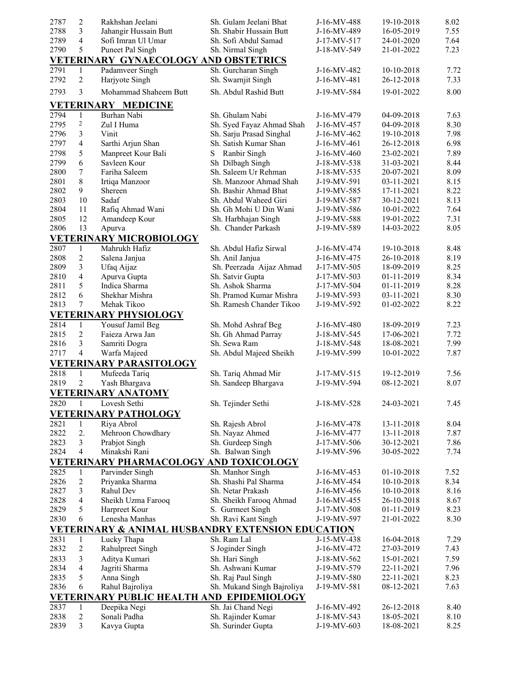| 2787 | $\overline{2}$          | Rakhshan Jeelani                             | Sh. Gulam Jeelani Bhat                                       | J-16-MV-488                | 19-10-2018               | 8.02         |
|------|-------------------------|----------------------------------------------|--------------------------------------------------------------|----------------------------|--------------------------|--------------|
| 2788 | 3                       | Jahangir Hussain Butt                        | Sh. Shabir Hussain Butt                                      | J-16-MV-489                | 16-05-2019               | 7.55         |
| 2789 | 4                       | Sofi Imran Ul Umar                           | Sh. Sofi Abdul Samad                                         | J-17-MV-517                | 24-01-2020               | 7.64         |
| 2790 | 5                       | Puneet Pal Singh                             | Sh. Nirmal Singh                                             | J-18-MV-549                | 21-01-2022               | 7.23         |
|      |                         | <b>VETERINARY GYNAECOLOGY AND OBSTETRICS</b> |                                                              |                            |                          |              |
| 2791 | 1                       | Padamveer Singh                              | Sh. Gurcharan Singh                                          | J-16-MV-482                | 10-10-2018               | 7.72         |
| 2792 | $\overline{c}$          | Harjyote Singh                               | Sh. Swarnjit Singh                                           | J-16-MV-481                | 26-12-2018               | 7.33         |
| 2793 | 3                       | Mohammad Shaheem Butt                        | Sh. Abdul Rashid Butt                                        | J-19-MV-584                | 19-01-2022               | 8.00         |
|      |                         |                                              |                                                              |                            |                          |              |
|      |                         | <b>VETERINARY MEDICINE</b>                   |                                                              |                            |                          |              |
| 2794 | $\mathbf{1}$            | Burhan Nabi                                  | Sh. Ghulam Nabi                                              | J-16-MV-479                | 04-09-2018               | 7.63         |
| 2795 | $\overline{\mathbf{c}}$ | Zul I Huma                                   | Sh. Syed Fayaz Ahmad Shah                                    | J-16-MV-457                | 04-09-2018               | 8.30         |
| 2796 | 3                       | Vinit                                        | Sh. Sarju Prasad Singhal                                     | J-16-MV-462                | 19-10-2018               | 7.98         |
| 2797 | $\overline{4}$          | Sarthi Arjun Shan                            | Sh. Satish Kumar Shan                                        | J-16-MV-461                | 26-12-2018               | 6.98         |
| 2798 | 5                       | Manpreet Kour Bali                           | Ranbir Singh<br>S                                            | J-16-MV-460                | 23-02-2021               | 7.89         |
| 2799 | 6                       | Savleen Kour                                 | Sh Dilbagh Singh                                             | J-18-MV-538                | 31-03-2021               | 8.44         |
| 2800 | 7                       | Fariha Saleem                                | Sh. Saleem Ur Rehman                                         | J-18-MV-535                | 20-07-2021               | 8.09         |
| 2801 | 8                       | Irtiqa Manzoor                               | Sh. Manzoor Ahmad Shah                                       | J-19-MV-591                | 03-11-2021               | 8.15         |
| 2802 | 9                       | Shereen                                      | Sh. Bashir Ahmad Bhat                                        | J-19-MV-585                | 17-11-2021               | 8.22         |
| 2803 | 10                      | Sadaf                                        | Sh. Abdul Waheed Giri                                        | J-19-MV-587                | 30-12-2021               | 8.13         |
| 2804 | 11                      | Rafiq Ahmad Wani                             | Sh. Gh Mohi U Din Wani                                       | J-19-MV-586                | 10-01-2022               | 7.64         |
| 2805 | 12                      | Amandeep Kour                                | Sh. Harbhajan Singh                                          | J-19-MV-588                | 19-01-2022               | 7.31         |
| 2806 | 13                      | Apurva                                       | Sh. Chander Parkash                                          | J-19-MV-589                | 14-03-2022               | 8.05         |
|      |                         | <b>VETERINARY MICROBIOLOGY</b>               |                                                              |                            |                          |              |
| 2807 | $\mathbf{1}$            | Mahrukh Hafiz                                | Sh. Abdul Hafiz Sirwal                                       | J-16-MV-474                | 19-10-2018               | 8.48         |
| 2808 | $\overline{c}$          | Salena Janjua                                | Sh. Anil Janjua                                              | J-16-MV-475                | 26-10-2018               | 8.19         |
| 2809 | 3                       | Ufaq Aijaz                                   | Sh. Peerzada Aijaz Ahmad                                     | J-17-MV-505                | 18-09-2019               | 8.25         |
| 2810 | $\overline{4}$          | Apurva Gupta                                 | Sh. Satvir Gupta                                             | J-17-MV-503                | 01-11-2019               | 8.34         |
| 2811 | 5                       | Indica Sharma                                | Sh. Ashok Sharma                                             | J-17-MV-504                | 01-11-2019               | 8.28         |
| 2812 | 6                       | Shekhar Mishra                               | Sh. Pramod Kumar Mishra                                      | J-19-MV-593                | 03-11-2021               | 8.30         |
| 2813 | 7                       | Mehak Tikoo                                  | Sh. Ramesh Chander Tikoo                                     | J-19-MV-592                | 01-02-2022               | 8.22         |
|      |                         | <b>VETERINARY PHYSIOLOGY</b>                 |                                                              |                            |                          |              |
| 2814 | 1                       | Yousuf Jamil Beg                             | Sh. Mohd Ashraf Beg                                          | J-16-MV-480                | 18-09-2019               | 7.23         |
| 2815 | $\overline{2}$          | Faieza Arwa Jan                              | Sh. Gh Ahmad Parray                                          | J-18-MV-545                | 17-06-2021               | 7.72         |
| 2816 | 3                       | Samriti Dogra                                | Sh. Sewa Ram                                                 | J-18-MV-548                | 18-08-2021               | 7.99         |
| 2717 | $\overline{4}$          | Warfa Majeed                                 | Sh. Abdul Majeed Sheikh                                      | J-19-MV-599                | 10-01-2022               | 7.87         |
|      |                         |                                              |                                                              |                            |                          |              |
|      |                         | <b>VETERINARY PARASITOLOGY</b>               |                                                              |                            |                          |              |
| 2818 | $\mathbf{1}$            | Mufeeda Tariq                                | Sh. Tariq Ahmad Mir                                          | J-17-MV-515                | 19-12-2019               | 7.56         |
| 2819 | $\overline{2}$          | Yash Bhargava                                | Sh. Sandeep Bhargava                                         | J-19-MV-594                | 08-12-2021               | 8.07         |
|      |                         | <b>VETERINARY ANATOMY</b>                    |                                                              |                            |                          |              |
| 2820 | -1                      | Lovesh Sethi                                 | Sh. Tejinder Sethi                                           | J-18-MV-528                | 24-03-2021               | 7.45         |
|      |                         | <b>VETERINARY PATHOLOGY</b>                  |                                                              |                            |                          |              |
| 2821 | $\mathbf{1}$            | Riya Abrol                                   | Sh. Rajesh Abrol                                             | J-16-MV-478                | 13-11-2018               | 8.04         |
| 2822 | 2.                      | Mehroon Chowdhary                            | Sh. Nayaz Ahmed                                              | J-16-MV-477                | 13-11-2018               | 7.87         |
| 2823 | 3                       | Prabjot Singh                                | Sh. Gurdeep Singh                                            | J-17-MV-506                | 30-12-2021               | 7.86         |
| 2824 | $\overline{4}$          | Minakshi Rani                                | Sh. Balwan Singh                                             | J-19-MV-596                | 30-05-2022               | 7.74         |
|      |                         |                                              | VETERINARY PHARMACOLOGY AND TOXICOLOGY                       |                            |                          |              |
| 2825 | $\mathbf{1}$            | Parvinder Singh                              | Sh. Manhor Singh                                             | J-16-MV-453                | 01-10-2018               | 7.52         |
| 2826 | $\overline{c}$          | Priyanka Sharma                              | Sh. Shashi Pal Sharma                                        | J-16-MV-454                | 10-10-2018               | 8.34         |
| 2827 | 3                       | Rahul Dev                                    | Sh. Netar Prakash                                            | J-16-MV-456                | 10-10-2018               | 8.16         |
| 2828 | 4                       | Sheikh Uzma Farooq                           | Sh. Sheikh Farooq Ahmad                                      | J-16-MV-455                | 26-10-2018               | 8.67         |
| 2829 | 5                       | Harpreet Kour                                | S. Gurmeet Singh                                             | J-17-MV-508                | 01-11-2019               | 8.23         |
| 2830 | 6                       | Lenesha Manhas                               | Sh. Ravi Kant Singh                                          | J-19-MV-597                | 21-01-2022               | 8.30         |
|      |                         |                                              | <b>VETERINARY &amp; ANIMAL HUSBANDRY EXTENSION EDUCATION</b> |                            |                          |              |
| 2831 | $\mathbf{1}$            | Lucky Thapa                                  | Sh. Ram Lal                                                  | J-15-MV-438                | 16-04-2018               | 7.29         |
| 2832 | $\overline{c}$          | Rahulpreet Singh                             | S Joginder Singh                                             | J-16-MV-472                | 27-03-2019               | 7.43         |
| 2833 |                         | Aditya Kumari                                | Sh. Hari Singh                                               |                            |                          |              |
| 2834 | 3<br>4                  | Jagriti Sharma                               | Sh. Ashwani Kumar                                            | J-18-MV-562                | 15-01-2021               | 7.59         |
| 2835 | 5                       |                                              |                                                              | J-19-MV-579                | 22-11-2021               | 7.96         |
| 2836 | 6                       | Anna Singh<br>Rahul Bajroliya                | Sh. Raj Paul Singh                                           | J-19-MV-580<br>J-19-MV-581 | 22-11-2021<br>08-12-2021 | 8.23<br>7.63 |
|      |                         |                                              | Sh. Mukand Singh Bajroliya                                   |                            |                          |              |
|      |                         |                                              | VETERINARY PUBLIC HEALTH AND EPIDEMIOLOGY                    |                            |                          |              |
| 2837 | 1                       | Deepika Negi                                 | Sh. Jai Chand Negi                                           | J-16-MV-492                | 26-12-2018               | 8.40         |
| 2838 | $\overline{c}$          | Sonali Padha                                 | Sh. Rajinder Kumar                                           | J-18-MV-543                | 18-05-2021               | 8.10         |
| 2839 | 3                       | Kavya Gupta                                  | Sh. Surinder Gupta                                           | J-19-MV-603                | 18-08-2021               | 8.25         |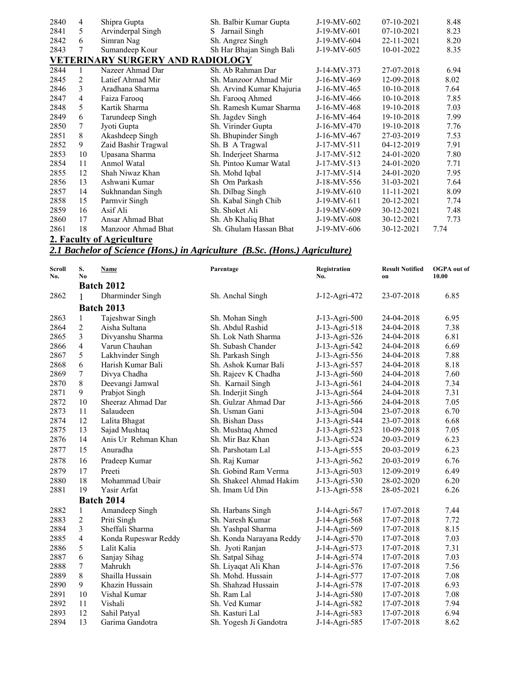| 2840 | 4  | Shipra Gupta                            | Sh. Balbir Kumar Gupta    | J-19-MV-602 | $07-10-2021$ | 8.48 |
|------|----|-----------------------------------------|---------------------------|-------------|--------------|------|
| 2841 | 5  | Arvinderpal Singh                       | Jarnail Singh<br>S        | J-19-MV-601 | 07-10-2021   | 8.23 |
| 2842 | 6  | Simran Nag                              | Sh. Angrez Singh          | J-19-MV-604 | 22-11-2021   | 8.20 |
| 2843 | 7  | Sumandeep Kour                          | Sh Har Bhajan Singh Bali  | J-19-MV-605 | 10-01-2022   | 8.35 |
|      |    | <b>VETERINARY SURGERY AND RADIOLOGY</b> |                           |             |              |      |
| 2844 |    | Nazeer Ahmad Dar                        | Sh. Ab Rahman Dar         | J-14-MV-373 | 27-07-2018   | 6.94 |
| 2845 | 2  | Latief Ahmad Mir                        | Sh. Manzoor Ahmad Mir     | J-16-MV-469 | 12-09-2018   | 8.02 |
| 2846 | 3  | Aradhana Sharma                         | Sh. Arvind Kumar Khajuria | J-16-MV-465 | 10-10-2018   | 7.64 |
| 2847 | 4  | Faiza Farooq                            | Sh. Farooq Ahmed          | J-16-MV-466 | $10-10-2018$ | 7.85 |
| 2848 | 5  | Kartik Sharma                           | Sh. Ramesh Kumar Sharma   | J-16-MV-468 | 19-10-2018   | 7.03 |
| 2849 | 6  | Tarundeep Singh                         | Sh. Jagdev Singh          | J-16-MV-464 | 19-10-2018   | 7.99 |
| 2850 | 7  | Jyoti Gupta                             | Sh. Virinder Gupta        | J-16-MV-470 | 19-10-2018   | 7.76 |
| 2851 | 8  | Akashdeep Singh                         | Sh. Bhupinder Singh       | J-16-MV-467 | 27-03-2019   | 7.53 |
| 2852 | 9  | Zaid Bashir Tragwal                     | Sh. B A Tragwal           | J-17-MV-511 | 04-12-2019   | 7.91 |
| 2853 | 10 | Upasana Sharma                          | Sh. Inderjeet Sharma      | J-17-MV-512 | 24-01-2020   | 7.80 |
| 2854 | 11 | Anmol Watal                             | Sh. Pintoo Kumar Watal    | J-17-MV-513 | 24-01-2020   | 7.71 |
| 2855 | 12 | Shah Niwaz Khan                         | Sh. Mohd Iqbal            | J-17-MV-514 | 24-01-2020   | 7.95 |
| 2856 | 13 | Ashwani Kumar                           | Sh Om Parkash             | J-18-MV-556 | 31-03-2021   | 7.64 |
| 2857 | 14 | Sukhnandan Singh                        | Sh. Dilbag Singh          | J-19-MV-610 | 11-11-2021   | 8.09 |
| 2858 | 15 | Parmvir Singh                           | Sh. Kabal Singh Chib      | J-19-MV-611 | 20-12-2021   | 7.74 |
| 2859 | 16 | Asif Ali                                | Sh. Shoket Ali            | J-19-MV-609 | 30-12-2021   | 7.48 |
| 2860 | 17 | Ansar Ahmad Bhat                        | Sh. Ab Khaliq Bhat        | J-19-MV-608 | 30-12-2021   | 7.73 |
| 2861 | 18 | Manzoor Ahmad Bhat                      | Sh. Ghulam Hassan Bhat    | J-19-MV-606 | 30-12-2021   | 7.74 |
|      |    |                                         |                           |             |              |      |

#### **2. Faculty of Agriculture**

#### *2.1 Bachelor of Science (Hons.) in Agriculture (B.Sc. (Hons.) Agriculture)*

| <b>Scroll</b><br>No. | S.<br>N <sub>0</sub> | Name                 | Parentage                | Registration<br>No. | <b>Result Notified</b><br>on | <b>OGPA</b> out of<br>10.00 |
|----------------------|----------------------|----------------------|--------------------------|---------------------|------------------------------|-----------------------------|
|                      |                      | <b>Batch 2012</b>    |                          |                     |                              |                             |
| 2862                 | 1                    | Dharminder Singh     | Sh. Anchal Singh         | J-12-Agri-472       | 23-07-2018                   | 6.85                        |
|                      |                      | <b>Batch 2013</b>    |                          |                     |                              |                             |
| 2863                 | 1                    | Tajeshwar Singh      | Sh. Mohan Singh          | J-13-Agri-500       | 24-04-2018                   | 6.95                        |
| 2864                 | $\overline{2}$       | Aisha Sultana        | Sh. Abdul Rashid         | J-13-Agri-518       | 24-04-2018                   | 7.38                        |
| 2865                 | 3                    | Divyanshu Sharma     | Sh. Lok Nath Sharma      | J-13-Agri-526       | 24-04-2018                   | 6.81                        |
| 2866                 | 4                    | Varun Chauhan        | Sh. Subash Chander       | J-13-Agri-542       | 24-04-2018                   | 6.69                        |
| 2867                 | 5                    | Lakhvinder Singh     | Sh. Parkash Singh        | J-13-Agri-556       | 24-04-2018                   | 7.88                        |
| 2868                 | 6                    | Harish Kumar Bali    | Sh. Ashok Kumar Bali     | J-13-Agri-557       | 24-04-2018                   | 8.18                        |
| 2869                 | 7                    | Divya Chadha         | Sh. Rajeev K Chadha      | J-13-Agri-560       | 24-04-2018                   | 7.60                        |
| 2870                 | 8                    | Deevangi Jamwal      | Sh. Karnail Singh        | J-13-Agri-561       | 24-04-2018                   | 7.34                        |
| 2871                 | 9                    | Prabjot Singh        | Sh. Inderjit Singh       | J-13-Agri-564       | 24-04-2018                   | 7.31                        |
| 2872                 | 10                   | Sheeraz Ahmad Dar    | Sh. Gulzar Ahmad Dar     | J-13-Agri-566       | 24-04-2018                   | 7.05                        |
| 2873                 | 11                   | Salaudeen            | Sh. Usman Gani           | J-13-Agri-504       | 23-07-2018                   | 6.70                        |
| 2874                 | 12                   | Lalita Bhagat        | Sh. Bishan Dass          | J-13-Agri-544       | 23-07-2018                   | 6.68                        |
| 2875                 | 13                   | Sajad Mushtaq        | Sh. Mushtaq Ahmed        | J-13-Agri-523       | 10-09-2018                   | 7.05                        |
| 2876                 | 14                   | Anis Ur Rehman Khan  | Sh. Mir Baz Khan         | J-13-Agri-524       | 20-03-2019                   | 6.23                        |
| 2877                 | 15                   | Anuradha             | Sh. Parshotam Lal        | J-13-Agri-555       | 20-03-2019                   | 6.23                        |
| 2878                 | 16                   | Pradeep Kumar        | Sh. Raj Kumar            | J-13-Agri-562       | 20-03-2019                   | 6.76                        |
| 2879                 | 17                   | Preeti               | Sh. Gobind Ram Verma     | J-13-Agri-503       | 12-09-2019                   | 6.49                        |
| 2880                 | 18                   | Mohammad Ubair       | Sh. Shakeel Ahmad Hakim  | J-13-Agri-530       | 28-02-2020                   | 6.20                        |
| 2881                 | 19                   | Yasir Arfat          | Sh. Imam Ud Din          | J-13-Agri-558       | 28-05-2021                   | 6.26                        |
|                      |                      | <b>Batch 2014</b>    |                          |                     |                              |                             |
| 2882                 | $\mathbf{1}$         | Amandeep Singh       | Sh. Harbans Singh        | J-14-Agri-567       | 17-07-2018                   | 7.44                        |
| 2883                 | $\overline{2}$       | Priti Singh          | Sh. Naresh Kumar         | J-14-Agri-568       | 17-07-2018                   | 7.72                        |
| 2884                 | 3                    | Sheffali Sharma      | Sh. Yashpal Sharma       | J-14-Agri-569       | 17-07-2018                   | 8.15                        |
| 2885                 | 4                    | Konda Rupeswar Reddy | Sh. Konda Narayana Reddy | J-14-Agri-570       | 17-07-2018                   | 7.03                        |
| 2886                 | 5                    | Lalit Kalia          | Sh. Jyoti Ranjan         | J-14-Agri-573       | 17-07-2018                   | 7.31                        |
| 2887                 | 6                    | Sanjay Sihag         | Sh. Satpal Sihag         | J-14-Agri-574       | 17-07-2018                   | 7.03                        |
| 2888                 | 7                    | Mahrukh              | Sh. Liyaqat Ali Khan     | J-14-Agri-576       | 17-07-2018                   | 7.56                        |
| 2889                 | 8                    | Shailla Hussain      | Sh. Mohd. Hussain        | J-14-Agri-577       | 17-07-2018                   | 7.08                        |
| 2890                 | 9                    | Khazin Hussain       | Sh. Shahzad Hussain      | J-14-Agri-578       | 17-07-2018                   | 6.93                        |
| 2891                 | 10                   | Vishal Kumar         | Sh. Ram Lal              | J-14-Agri-580       | 17-07-2018                   | 7.08                        |
| 2892                 | 11                   | Vishali              | Sh. Ved Kumar            | J-14-Agri-582       | 17-07-2018                   | 7.94                        |
| 2893                 | 12                   | Sahil Patyal         | Sh. Kasturi Lal          | J-14-Agri-583       | 17-07-2018                   | 6.94                        |
| 2894                 | 13                   | Garima Gandotra      | Sh. Yogesh Ji Gandotra   | J-14-Agri-585       | 17-07-2018                   | 8.62                        |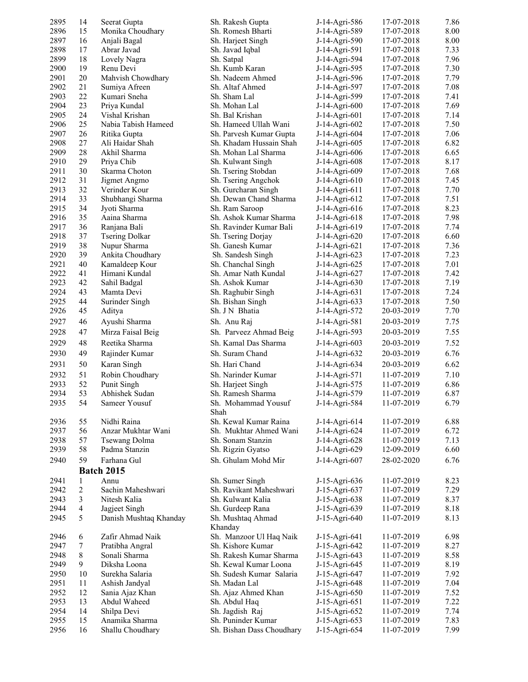| 2895         | 14             | Seerat Gupta                    | Sh. Rakesh Gupta                     | J-14-Agri-586                  | 17-07-2018               | 7.86         |
|--------------|----------------|---------------------------------|--------------------------------------|--------------------------------|--------------------------|--------------|
| 2896         | 15             | Monika Choudhary                | Sh. Romesh Bharti                    | J-14-Agri-589                  | 17-07-2018               | 8.00         |
| 2897         | 16             | Anjali Bagal                    | Sh. Harjeet Singh                    | J-14-Agri-590                  | 17-07-2018               | 8.00         |
| 2898         | 17             | Abrar Javad                     | Sh. Javad Iqbal                      | J-14-Agri-591                  | 17-07-2018               | 7.33         |
| 2899         | 18             | Lovely Nagra                    | Sh. Satpal                           | J-14-Agri-594                  | 17-07-2018               | 7.96         |
| 2900         | 19             | Renu Devi                       | Sh. Kumb Karan                       | J-14-Agri-595                  | 17-07-2018               | 7.30         |
| 2901         | 20             | Mahvish Chowdhary               | Sh. Nadeem Ahmed                     | J-14-Agri-596                  | 17-07-2018               | 7.79         |
| 2902         | 21             | Sumiya Afreen                   | Sh. Altaf Ahmed                      | J-14-Agri-597                  | 17-07-2018               | 7.08         |
| 2903         | 22             | Kumari Sneha                    | Sh. Sham Lal                         | J-14-Agri-599                  | 17-07-2018               | 7.41         |
| 2904         | 23             | Priya Kundal                    | Sh. Mohan Lal                        | J-14-Agri-600                  | 17-07-2018               | 7.69         |
| 2905         | 24             | Vishal Krishan                  | Sh. Bal Krishan                      | J-14-Agri-601                  | 17-07-2018               | 7.14         |
| 2906         | 25             | Nabia Tabish Hameed             | Sh. Hameed Ullah Wani                | J-14-Agri-602                  | 17-07-2018               | 7.50         |
| 2907         | 26             | Ritika Gupta                    | Sh. Parvesh Kumar Gupta              | J-14-Agri-604                  | 17-07-2018               | 7.06         |
| 2908         | 27             | Ali Haidar Shah                 | Sh. Khadam Hussain Shah              | J-14-Agri-605                  | 17-07-2018               | 6.82         |
| 2909         | 28             | Akhil Sharma                    | Sh. Mohan Lal Sharma                 | J-14-Agri-606                  | 17-07-2018               | 6.65         |
| 2910         | 29             | Priya Chib                      | Sh. Kulwant Singh                    | J-14-Agri-608                  | 17-07-2018               | 8.17         |
| 2911         | 30             | Skarma Choton                   | Sh. Tsering Stobdan                  | J-14-Agri-609                  | 17-07-2018               | 7.68         |
| 2912         | 31             | Jigmet Angmo                    | Sh. Tsering Angchok                  | J-14-Agri-610                  | 17-07-2018               | 7.45         |
| 2913         | 32             | Verinder Kour                   | Sh. Gurcharan Singh                  | J-14-Agri-611                  | 17-07-2018               | 7.70         |
| 2914         | 33             | Shubhangi Sharma                | Sh. Dewan Chand Sharma               | J-14-Agri-612                  | 17-07-2018               | 7.51         |
| 2915         | 34             | Jyoti Sharma                    | Sh. Ram Saroop                       | J-14-Agri-616                  | 17-07-2018               | 8.23         |
| 2916         | 35             | Aaina Sharma                    | Sh. Ashok Kumar Sharma               | J-14-Agri-618                  | 17-07-2018               | 7.98         |
| 2917         | 36             | Ranjana Bali                    | Sh. Ravinder Kumar Bali              | J-14-Agri-619                  | 17-07-2018               | 7.74         |
| 2918         | 37             | <b>Tsering Dolkar</b>           | Sh. Tsering Dorjay                   | J-14-Agri-620                  | 17-07-2018               | 6.60         |
| 2919         | 38             | Nupur Sharma                    | Sh. Ganesh Kumar                     | J-14-Agri-621                  | 17-07-2018               | 7.36         |
| 2920         | 39             | Ankita Choudhary                | Sh. Sandesh Singh                    | J-14-Agri-623                  | 17-07-2018               | 7.23         |
| 2921         | 40             | Kamaldeep Kour                  | Sh. Chanchal Singh                   | J-14-Agri-625                  | 17-07-2018               | 7.01         |
| 2922         | 41             | Himani Kundal                   | Sh. Amar Nath Kundal                 | J-14-Agri-627                  | 17-07-2018               | 7.42         |
| 2923         | 42             | Sahil Badgal                    | Sh. Ashok Kumar                      | J-14-Agri-630                  | 17-07-2018               | 7.19         |
| 2924         | 43             | Mamta Devi                      | Sh. Raghubir Singh                   | J-14-Agri-631                  | 17-07-2018               | 7.24         |
| 2925         | 44             | Surinder Singh                  | Sh. Bishan Singh                     | J-14-Agri-633                  | 17-07-2018               | 7.50         |
| 2926         | 45             | Aditya                          | Sh. J N Bhatia                       | J-14-Agri-572                  | 20-03-2019               | 7.70         |
| 2927         | 46             | Ayushi Sharma                   | Sh. Anu Raj                          | J-14-Agri-581                  | 20-03-2019               | 7.75         |
| 2928         | 47             | Mirza Faisal Beig               | Sh. Parveez Ahmad Beig               | J-14-Agri-593                  | 20-03-2019               | 7.55         |
| 2929         | 48             | Reetika Sharma                  | Sh. Kamal Das Sharma                 | J-14-Agri-603                  | 20-03-2019               | 7.52         |
| 2930         | 49             | Rajinder Kumar                  | Sh. Suram Chand                      | J-14-Agri-632                  | 20-03-2019               | 6.76         |
| 2931         | 50             | Karan Singh                     | Sh. Hari Chand                       | J-14-Agri-634                  | 20-03-2019               | 6.62         |
| 2932         | 51             | Robin Choudhary                 | Sh. Narinder Kumar                   | J-14-Agri-571                  | 11-07-2019               | 7.10         |
| 2933         | 52             | Punit Singh                     | Sh. Harjeet Singh                    | J-14-Agri-575                  | 11-07-2019               | 6.86         |
| 2934         | 53             | Abhishek Sudan                  | Sh. Ramesh Sharma                    | J-14-Agri-579                  | 11-07-2019               | 6.87         |
| 2935         | 54             | Sameer Yousuf                   | Sh. Mohammad Yousuf<br>Shah          | J-14-Agri-584                  | 11-07-2019               | 6.79         |
| 2936         | 55             | Nidhi Raina                     | Sh. Kewal Kumar Raina                | J-14-Agri-614                  | 11-07-2019               | 6.88         |
| 2937         | 56             | Anzar Mukhtar Wani              | Sh. Mukhtar Ahmed Wani               | J-14-Agri-624                  | 11-07-2019               | 6.72         |
| 2938         | 57             | Tsewang Dolma                   | Sh. Sonam Stanzin                    | J-14-Agri-628                  | 11-07-2019               | 7.13         |
| 2939         | 58             | Padma Stanzin                   | Sh. Rigzin Gyatso                    | J-14-Agri-629                  | 12-09-2019               | 6.60         |
| 2940         | 59             | Farhana Gul                     | Sh. Ghulam Mohd Mir                  | J-14-Agri-607                  | 28-02-2020               | 6.76         |
|              |                | <b>Batch 2015</b>               |                                      |                                |                          |              |
| 2941         | 1              | Annu                            | Sh. Sumer Singh                      | J-15-Agri-636                  |                          | 8.23         |
| 2942         | $\overline{c}$ | Sachin Maheshwari               | Sh. Ravikant Maheshwari              | J-15-Agri-637                  | 11-07-2019<br>11-07-2019 | 7.29         |
| 2943         | 3              | Nitesh Kalia                    | Sh. Kulwant Kalia                    | J-15-Agri-638                  | 11-07-2019               | 8.37         |
| 2944         | 4              | Jagjeet Singh                   | Sh. Gurdeep Rana                     | J-15-Agri-639                  | 11-07-2019               | 8.18         |
| 2945         | 5              | Danish Mushtaq Khanday          | Sh. Mushtaq Ahmad                    | J-15-Agri-640                  | 11-07-2019               | 8.13         |
|              |                |                                 | Khanday                              |                                |                          |              |
| 2946         | 6              | Zafir Ahmad Naik                | Sh. Manzoor Ul Haq Naik              | J-15-Agri-641                  | 11-07-2019               | 6.98         |
| 2947         | 7              | Pratibha Angral                 | Sh. Kishore Kumar                    | J-15-Agri-642                  | 11-07-2019               | 8.27         |
| 2948         | 8              | Sonali Sharma                   | Sh. Rakesh Kumar Sharma              | J-15-Agri-643                  | 11-07-2019               | 8.58         |
| 2949         | 9              | Diksha Loona                    | Sh. Kewal Kumar Loona                | J-15-Agri-645                  | 11-07-2019               | 8.19         |
| 2950         | 10             | Surekha Salaria                 | Sh. Sudesh Kumar Salaria             | J-15-Agri-647                  | 11-07-2019               | 7.92         |
| 2951<br>2952 | 11<br>12       | Ashish Jandyal                  | Sh. Madan Lal                        | J-15-Agri-648                  | 11-07-2019               | 7.04<br>7.52 |
| 2953         | 13             | Sania Ajaz Khan<br>Abdul Waheed | Sh. Ajaz Ahmed Khan<br>Sh. Abdul Haq | J-15-Agri-650<br>J-15-Agri-651 | 11-07-2019<br>11-07-2019 | 7.22         |
| 2954         | 14             | Shilpa Devi                     | Sh. Jagdish Raj                      | J-15-Agri-652                  | 11-07-2019               | 7.74         |
| 2955         | 15             | Anamika Sharma                  | Sh. Puninder Kumar                   | J-15-Agri-653                  | 11-07-2019               | 7.83         |
| 2956         | 16             | Shallu Choudhary                | Sh. Bishan Dass Choudhary            | J-15-Agri-654                  | 11-07-2019               | 7.99         |
|              |                |                                 |                                      |                                |                          |              |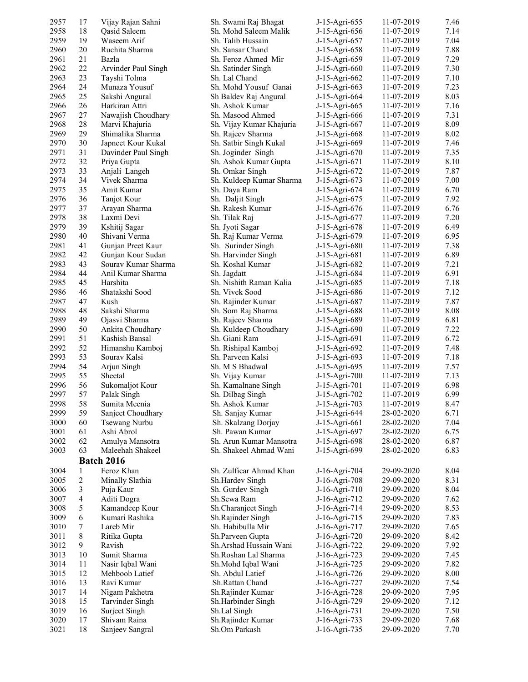| 2957 | 17           | Vijay Rajan Sahni      | Sh. Swami Raj Bhagat     | J-15-Agri-655 | 11-07-2019 | 7.46 |
|------|--------------|------------------------|--------------------------|---------------|------------|------|
| 2958 | 18           | Qasid Saleem           | Sh. Mohd Saleem Malik    | J-15-Agri-656 | 11-07-2019 | 7.14 |
| 2959 | 19           | Waseem Arif            | Sh. Talib Hussain        | J-15-Agri-657 | 11-07-2019 | 7.04 |
| 2960 | 20           | Ruchita Sharma         | Sh. Sansar Chand         | J-15-Agri-658 | 11-07-2019 | 7.88 |
| 2961 | 21           | Bazla                  | Sh. Feroz Ahmed Mir      | J-15-Agri-659 | 11-07-2019 | 7.29 |
| 2962 | 22           | Arvinder Paul Singh    | Sh. Satinder Singh       | J-15-Agri-660 | 11-07-2019 | 7.30 |
| 2963 | 23           | Tayshi Tolma           | Sh. Lal Chand            | J-15-Agri-662 | 11-07-2019 | 7.10 |
| 2964 | 24           | Munaza Yousuf          | Sh. Mohd Yousuf Ganai    | J-15-Agri-663 | 11-07-2019 | 7.23 |
| 2965 | 25           | Sakshi Angural         | Sh Baldev Raj Angural    | J-15-Agri-664 | 11-07-2019 | 8.03 |
| 2966 | 26           | Harkiran Attri         | Sh. Ashok Kumar          | J-15-Agri-665 | 11-07-2019 | 7.16 |
| 2967 | 27           | Nawajish Choudhary     | Sh. Masood Ahmed         | J-15-Agri-666 | 11-07-2019 | 7.31 |
| 2968 | 28           | Marvi Khajuria         | Sh. Vijay Kumar Khajuria | J-15-Agri-667 | 11-07-2019 | 8.09 |
| 2969 | 29           | Shimalika Sharma       | Sh. Rajeev Sharma        | J-15-Agri-668 | 11-07-2019 | 8.02 |
| 2970 | 30           | Japneet Kour Kukal     | Sh. Satbir Singh Kukal   | J-15-Agri-669 | 11-07-2019 | 7.46 |
| 2971 | 31           | Davinder Paul Singh    | Sh. Joginder Singh       | J-15-Agri-670 | 11-07-2019 | 7.35 |
| 2972 | 32           | Priya Gupta            | Sh. Ashok Kumar Gupta    | J-15-Agri-671 | 11-07-2019 | 8.10 |
| 2973 | 33           | Anjali Langeh          | Sh. Omkar Singh          | J-15-Agri-672 | 11-07-2019 | 7.87 |
| 2974 | 34           | Vivek Sharma           | Sh. Kuldeep Kumar Sharma | J-15-Agri-673 | 11-07-2019 | 7.00 |
| 2975 | 35           | Amit Kumar             | Sh. Daya Ram             | J-15-Agri-674 | 11-07-2019 | 6.70 |
| 2976 | 36           | Tanjot Kour            | Sh. Daljit Singh         | J-15-Agri-675 | 11-07-2019 | 7.92 |
| 2977 | 37           | Arayan Sharma          | Sh. Rakesh Kumar         | J-15-Agri-676 | 11-07-2019 | 6.76 |
| 2978 | 38           | Laxmi Devi             | Sh. Tilak Raj            | J-15-Agri-677 | 11-07-2019 | 7.20 |
| 2979 | 39           | Kshitij Sagar          | Sh. Jyoti Sagar          | J-15-Agri-678 | 11-07-2019 | 6.49 |
| 2980 | 40           | Shivani Verma          | Sh. Raj Kumar Verma      | J-15-Agri-679 | 11-07-2019 | 6.95 |
| 2981 | 41           | Gunjan Preet Kaur      | Sh. Surinder Singh       | J-15-Agri-680 | 11-07-2019 | 7.38 |
| 2982 | 42           | Gunjan Kour Sudan      | Sh. Harvinder Singh      | J-15-Agri-681 | 11-07-2019 | 6.89 |
| 2983 | 43           | Sourav Kumar Sharma    | Sh. Koshal Kumar         | J-15-Agri-682 | 11-07-2019 | 7.21 |
| 2984 | 44           | Anil Kumar Sharma      | Sh. Jagdatt              | J-15-Agri-684 | 11-07-2019 | 6.91 |
| 2985 | 45           | Harshita               | Sh. Nishith Raman Kalia  | J-15-Agri-685 | 11-07-2019 | 7.18 |
| 2986 | 46           | Shatakshi Sood         | Sh. Vivek Sood           | J-15-Agri-686 | 11-07-2019 | 7.12 |
| 2987 | 47           | Kush                   | Sh. Rajinder Kumar       | J-15-Agri-687 | 11-07-2019 | 7.87 |
| 2988 | 48           | Sakshi Sharma          | Sh. Som Raj Sharma       | J-15-Agri-688 | 11-07-2019 | 8.08 |
| 2989 | 49           | Ojasvi Sharma          | Sh. Rajeev Sharma        | J-15-Agri-689 | 11-07-2019 | 6.81 |
| 2990 | 50           | Ankita Choudhary       | Sh. Kuldeep Choudhary    | J-15-Agri-690 | 11-07-2019 | 7.22 |
| 2991 | 51           | Kashish Bansal         | Sh. Giani Ram            | J-15-Agri-691 | 11-07-2019 | 6.72 |
| 2992 | 52           | Himanshu Kamboj        | Sh. Rishipal Kamboj      | J-15-Agri-692 | 11-07-2019 | 7.48 |
| 2993 | 53           | Sourav Kalsi           | Sh. Parveen Kalsi        | J-15-Agri-693 | 11-07-2019 | 7.18 |
| 2994 | 54           | Arjun Singh            | Sh. M S Bhadwal          | J-15-Agri-695 | 11-07-2019 | 7.57 |
| 2995 | 55           | Sheetal                | Sh. Vijay Kumar          | J-15-Agri-700 | 11-07-2019 | 7.13 |
| 2996 | 56           | Sukomaljot Kour        | Sh. Kamalnane Singh      | J-15-Agri-701 | 11-07-2019 | 6.98 |
| 2997 | 57           | Palak Singh            | Sh. Dilbag Singh         | J-15-Agri-702 | 11-07-2019 | 6.99 |
| 2998 | 58           | Sumita Meenia          | Sh. Ashok Kumar          | J-15-Agri-703 | 11-07-2019 | 8.47 |
| 2999 | 59           | Sanjeet Choudhary      | Sh. Sanjay Kumar         | J-15-Agri-644 | 28-02-2020 | 6.71 |
| 3000 | 60           | Tsewang Nurbu          | Sh. Skalzang Dorjay      | J-15-Agri-661 | 28-02-2020 | 7.04 |
| 3001 | 61           | Ashi Abrol             | Sh. Pawan Kumar          | J-15-Agri-697 | 28-02-2020 | 6.75 |
| 3002 | 62           | Amulya Mansotra        | Sh. Arun Kumar Mansotra  | J-15-Agri-698 | 28-02-2020 | 6.87 |
| 3003 | 63           | Maleehah Shakeel       | Sh. Shakeel Ahmad Wani   | J-15-Agri-699 | 28-02-2020 | 6.83 |
|      |              | <b>Batch 2016</b>      |                          |               |            |      |
|      |              |                        |                          |               |            |      |
| 3004 | $\mathbf{1}$ | Feroz Khan             | Sh. Zulficar Ahmad Khan  | J-16-Agri-704 | 29-09-2020 | 8.04 |
| 3005 | 2            | Minally Slathia        | Sh.Hardev Singh          | J-16-Agri-708 | 29-09-2020 | 8.31 |
| 3006 | 3            | Puja Kaur              | Sh. Gurdev Singh         | J-16-Agri-710 | 29-09-2020 | 8.04 |
| 3007 | 4            | Aditi Dogra            | Sh.Sewa Ram              | J-16-Agri-712 | 29-09-2020 | 7.62 |
| 3008 | 5            | Kamandeep Kour         | Sh.Charanjeet Singh      | J-16-Agri-714 | 29-09-2020 | 8.53 |
| 3009 | 6            | Kumari Rashika         | Sh.Rajinder Singh        | J-16-Agri-715 | 29-09-2020 | 7.83 |
| 3010 | 7            | Lareb Mir              | Sh. Habibulla Mir        | J-16-Agri-717 | 29-09-2020 | 7.65 |
| 3011 | 8            | Ritika Gupta           | Sh.Parveen Gupta         | J-16-Agri-720 | 29-09-2020 | 8.42 |
| 3012 | 9            | Ravish                 | Sh.Arshad Hussain Wani   | J-16-Agri-722 | 29-09-2020 | 7.92 |
| 3013 | 10           | Sumit Sharma           | Sh.Roshan Lal Sharma     | J-16-Agri-723 | 29-09-2020 | 7.45 |
| 3014 | 11           | Nasir Iqbal Wani       | Sh.Mohd Iqbal Wani       | J-16-Agri-725 | 29-09-2020 | 7.82 |
| 3015 | 12           | Mehboob Latief         | Sh. Abdul Latief         | J-16-Agri-726 | 29-09-2020 | 8.00 |
| 3016 | 13           | Ravi Kumar             | Sh.Rattan Chand          | J-16-Agri-727 | 29-09-2020 | 7.54 |
| 3017 | 14           | Nigam Pakhetra         | Sh.Rajinder Kumar        | J-16-Agri-728 | 29-09-2020 | 7.95 |
| 3018 | 15           | <b>Tarvinder Singh</b> | Sh.Harbinder Singh       | J-16-Agri-729 | 29-09-2020 | 7.12 |
| 3019 | 16           | Surject Singh          | Sh.Lal Singh             | J-16-Agri-731 | 29-09-2020 | 7.50 |
| 3020 | 17           | Shivam Raina           | Sh.Rajinder Kumar        | J-16-Agri-733 | 29-09-2020 | 7.68 |
| 3021 | 18           | Sanjeev Sangral        | Sh.Om Parkash            | J-16-Agri-735 | 29-09-2020 | 7.70 |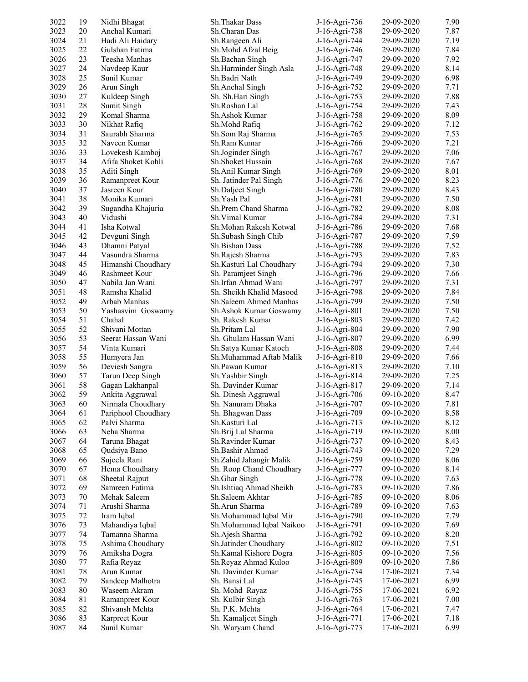| 3022         | 19     | Nidhi Bhagat        | Sh. Thakar Dass                                  | J-16-Agri-736 | 29-09-2020               | 7.90         |
|--------------|--------|---------------------|--------------------------------------------------|---------------|--------------------------|--------------|
| 3023         | 20     | Anchal Kumari       | Sh.Charan Das                                    | J-16-Agri-738 | 29-09-2020               | 7.87         |
| 3024         | 21     | Hadi Ali Haidary    | Sh.Rangeen Ali                                   | J-16-Agri-744 | 29-09-2020               | 7.19         |
| 3025         | 22     | Gulshan Fatima      | Sh.Mohd Afzal Beig                               | J-16-Agri-746 | 29-09-2020               | 7.84         |
| 3026         | 23     | Teesha Manhas       | Sh.Bachan Singh                                  | J-16-Agri-747 | 29-09-2020               | 7.92         |
| 3027         | 24     | Navdeep Kaur        | Sh.Harminder Singh Asla                          | J-16-Agri-748 | 29-09-2020               | 8.14         |
| 3028         | 25     | Sunil Kumar         | Sh.Badri Nath                                    | J-16-Agri-749 | 29-09-2020               | 6.98         |
| 3029         | 26     | Arun Singh          | Sh.Anchal Singh                                  | J-16-Agri-752 | 29-09-2020               | 7.71         |
| 3030         | 27     | Kuldeep Singh       | Sh. Sh.Hari Singh                                | J-16-Agri-753 | 29-09-2020               | 7.88         |
| 3031         | 28     | Sumit Singh         | Sh.Roshan Lal                                    | J-16-Agri-754 | 29-09-2020               | 7.43         |
| 3032         | 29     | Komal Sharma        | Sh.Ashok Kumar                                   | J-16-Agri-758 | 29-09-2020               | 8.09         |
| 3033         | 30     | Nikhat Rafiq        | Sh.Mohd Rafiq                                    | J-16-Agri-762 | 29-09-2020               | 7.12         |
| 3034         | 31     | Saurabh Sharma      | Sh.Som Raj Sharma                                | J-16-Agri-765 | 29-09-2020               | 7.53         |
| 3035         | 32     | Naveen Kumar        | Sh.Ram Kumar                                     | J-16-Agri-766 | 29-09-2020               | 7.21         |
| 3036         | 33     | Lovekesh Kamboj     | Sh.Joginder Singh                                | J-16-Agri-767 | 29-09-2020               | 7.06         |
| 3037         | 34     | Afifa Shoket Kohli  | Sh. Shoket Hussain                               | J-16-Agri-768 | 29-09-2020               | 7.67         |
| 3038         | 35     | Aditi Singh         | Sh.Anil Kumar Singh                              | J-16-Agri-769 | 29-09-2020               | 8.01         |
| 3039         | 36     | Ramanpreet Kour     | Sh. Jatinder Pal Singh                           | J-16-Agri-776 | 29-09-2020               | 8.23         |
| 3040         | 37     | Jasreen Kour        | Sh.Daljeet Singh                                 | J-16-Agri-780 | 29-09-2020               | 8.43         |
| 3041         | 38     | Monika Kumari       | Sh. Yash Pal                                     | J-16-Agri-781 | 29-09-2020               | 7.50         |
| 3042         | 39     | Sugandha Khajuria   | Sh.Prem Chand Sharma                             | J-16-Agri-782 | 29-09-2020               | 8.08         |
| 3043         | 40     | Vidushi             | Sh. Vimal Kumar                                  | J-16-Agri-784 | 29-09-2020               | 7.31         |
| 3044         | 41     | Isha Kotwal         | Sh.Mohan Rakesh Kotwal                           | J-16-Agri-786 | 29-09-2020               | 7.68         |
| 3045         | 42     | Devguni Singh       | Sh.Subash Singh Chib                             | J-16-Agri-787 | 29-09-2020               | 7.59         |
| 3046         | 43     | Dhamni Patyal       | Sh.Bishan Dass                                   | J-16-Agri-788 | 29-09-2020               | 7.52         |
| 3047         | 44     | Vasundra Sharma     | Sh.Rajesh Sharma                                 | J-16-Agri-793 | 29-09-2020               | 7.83         |
| 3048         | 45     | Himanshi Choudhary  | Sh.Kasturi Lal Choudhary                         | J-16-Agri-794 | 29-09-2020               | 7.30         |
| 3049         | 46     | Rashmeet Kour       | Sh. Paramjeet Singh                              | J-16-Agri-796 | 29-09-2020               | 7.66         |
| 3050         | 47     | Nabila Jan Wani     | Sh.Irfan Ahmad Wani                              | J-16-Agri-797 | 29-09-2020               | 7.31         |
| 3051         | 48     | Ramsha Khalid       | Sh. Sheikh Khalid Masood                         | J-16-Agri-798 | 29-09-2020               | 7.84         |
| 3052         | 49     | Arbab Manhas        | Sh.Saleem Ahmed Manhas                           |               | 29-09-2020               | 7.50         |
| 3053         | 50     | Yashasvini Goswamy  | Sh. Ashok Kumar Goswamy                          | J-16-Agri-799 | 29-09-2020               | 7.50         |
|              | 51     | Chahal              | Sh. Rakesh Kumar                                 | J-16-Agri-801 |                          |              |
| 3054<br>3055 | 52     | Shivani Mottan      | Sh.Pritam Lal                                    | J-16-Agri-803 | 29-09-2020<br>29-09-2020 | 7.42<br>7.90 |
| 3056         | 53     | Seerat Hassan Wani  |                                                  | J-16-Agri-804 |                          | 6.99         |
| 3057         | 54     | Vinta Kumari        | Sh. Ghulam Hassan Wani                           | J-16-Agri-807 | 29-09-2020               | 7.44         |
|              |        |                     | Sh.Satya Kumar Katoch<br>Sh.Muhammad Aftab Malik | J-16-Agri-808 | 29-09-2020               |              |
| 3058         | 55     | Humyera Jan         |                                                  | J-16-Agri-810 | 29-09-2020               | 7.66         |
| 3059         | 56     | Deviesh Sangra      | Sh.Pawan Kumar                                   | J-16-Agri-813 | 29-09-2020               | 7.10         |
| 3060         | 57     | Tarun Deep Singh    | Sh. Yashbir Singh                                | J-16-Agri-814 | 29-09-2020               | 7.25         |
| 3061         | 58     | Gagan Lakhanpal     | Sh. Davinder Kumar                               | J-16-Agri-817 | 29-09-2020               | 7.14         |
| 3062         | 59     | Ankita Aggrawal     | Sh. Dinesh Aggrawal                              | J-16-Agri-706 | 09-10-2020               | 8.47         |
| 3063         | 60     | Nirmala Choudhary   | Sh. Nanuram Dhaka                                | J-16-Agri-707 | 09-10-2020               | 7.81         |
| 3064         | 61     | Pariphool Choudhary | Sh. Bhagwan Dass                                 | J-16-Agri-709 | 09-10-2020               | 8.58         |
| 3065         | 62     | Palvi Sharma        | Sh.Kasturi Lal                                   | J-16-Agri-713 | 09-10-2020               | 8.12         |
| 3066         | 63     | Neha Sharma         | Sh.Brij Lal Sharma                               | J-16-Agri-719 | 09-10-2020               | 8.00         |
| 3067         | 64     | Taruna Bhagat       | Sh.Ravinder Kumar                                | J-16-Agri-737 | 09-10-2020               | 8.43         |
| 3068         | 65     | Qudsiya Bano        | Sh.Bashir Ahmad                                  | J-16-Agri-743 | 09-10-2020               | 7.29         |
| 3069         | 66     | Sujeela Rani        | Sh.Zahid Jahangir Malik                          | J-16-Agri-759 | 09-10-2020               | 8.06         |
| 3070         | 67     | Hema Choudhary      | Sh. Roop Chand Choudhary                         | J-16-Agri-777 | 09-10-2020               | 8.14         |
| 3071         | 68     | Sheetal Rajput      | Sh.Ghar Singh                                    | J-16-Agri-778 | 09-10-2020               | 7.63         |
| 3072         | 69     | Samreen Fatima      | Sh.Ishtiaq Ahmad Sheikh                          | J-16-Agri-783 | 09-10-2020               | 7.86         |
| 3073         | 70     | Mehak Saleem        | Sh.Saleem Akhtar                                 | J-16-Agri-785 | 09-10-2020               | 8.06         |
| 3074         | 71     | Arushi Sharma       | Sh.Arun Sharma                                   | J-16-Agri-789 | 09-10-2020               | 7.63         |
| 3075         | 72     | Iram Iqbal          | Sh.Mohammad Iqbal Mir                            | J-16-Agri-790 | 09-10-2020               | 7.79         |
| 3076         | 73     | Mahandiya Iqbal     | Sh.Mohammad Iqbal Naikoo                         | J-16-Agri-791 | 09-10-2020               | 7.69         |
| 3077         | 74     | Tamanna Sharma      | Sh.Ajesh Sharma                                  | J-16-Agri-792 | 09-10-2020               | 8.20         |
| 3078         | 75     | Ashima Choudhary    | Sh.Jatinder Choudhary                            | J-16-Agri-802 | 09-10-2020               | 7.51         |
| 3079         | 76     | Amiksha Dogra       | Sh.Kamal Kishore Dogra                           | J-16-Agri-805 | 09-10-2020               | 7.56         |
| 3080         | 77     | Rafia Reyaz         | Sh.Reyaz Ahmad Kuloo                             | J-16-Agri-809 | 09-10-2020               | 7.86         |
| 3081         | 78     | Arun Kumar          | Sh. Davinder Kumar                               | J-16-Agri-734 | 17-06-2021               | 7.34         |
| 3082         | 79     | Sandeep Malhotra    | Sh. Bansi Lal                                    | J-16-Agri-745 | 17-06-2021               | 6.99         |
| 3083         | $80\,$ | Waseem Akram        | Sh. Mohd Rayaz                                   | J-16-Agri-755 | 17-06-2021               | 6.92         |
| 3084         | 81     | Ramanpreet Kour     | Sh. Kulbir Singh                                 | J-16-Agri-763 | 17-06-2021               | 7.00         |
| 3085         | 82     | Shivansh Mehta      | Sh. P.K. Mehta                                   | J-16-Agri-764 | 17-06-2021               | 7.47         |
| 3086         | 83     | Karpreet Kour       | Sh. Kamaljeet Singh                              | J-16-Agri-771 | 17-06-2021               | 7.18         |
| 3087         | 84     | Sunil Kumar         | Sh. Waryam Chand                                 | J-16-Agri-773 | 17-06-2021               | 6.99         |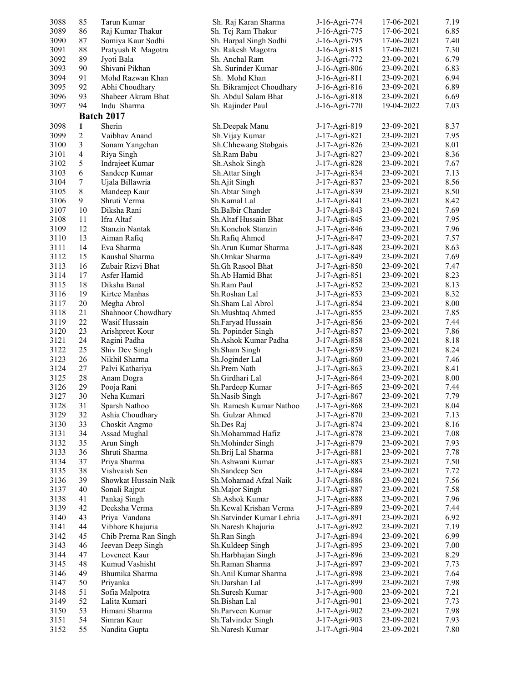| 3088 | 85 | Tarun Kumar           | Sh. Raj Karan Sharma      | J-16-Agri-774 | 17-06-2021 | 7.19 |
|------|----|-----------------------|---------------------------|---------------|------------|------|
| 3089 | 86 | Raj Kumar Thakur      | Sh. Tej Ram Thakur        | J-16-Agri-775 | 17-06-2021 | 6.85 |
| 3090 | 87 | Somiya Kaur Sodhi     | Sh. Harpal Singh Sodhi    | J-16-Agri-795 | 17-06-2021 | 7.40 |
| 3091 | 88 | Pratyush R Magotra    | Sh. Rakesh Magotra        | J-16-Agri-815 | 17-06-2021 | 7.30 |
| 3092 | 89 | Jyoti Bala            | Sh. Anchal Ram            | J-16-Agri-772 | 23-09-2021 | 6.79 |
| 3093 | 90 | Shivani Pikhan        | Sh. Surinder Kumar        | J-16-Agri-806 | 23-09-2021 | 6.83 |
| 3094 | 91 | Mohd Razwan Khan      | Sh. Mohd Khan             | J-16-Agri-811 | 23-09-2021 | 6.94 |
| 3095 | 92 | Abhi Choudhary        | Sh. Bikramjeet Choudhary  | J-16-Agri-816 | 23-09-2021 | 6.89 |
| 3096 | 93 | Shabeer Akram Bhat    | Sh. Abdul Salam Bhat      | J-16-Agri-818 | 23-09-2021 | 6.69 |
| 3097 | 94 | Indu Sharma           | Sh. Rajinder Paul         | J-16-Agri-770 | 19-04-2022 | 7.03 |
|      |    | <b>Batch 2017</b>     |                           |               |            |      |
| 3098 | 1  | Sherin                | Sh.Deepak Manu            | J-17-Agri-819 | 23-09-2021 | 8.37 |
| 3099 | 2  | Vaibhav Anand         | Sh. Vijay Kumar           | J-17-Agri-821 | 23-09-2021 | 7.95 |
| 3100 | 3  | Sonam Yangchan        | Sh.Chhewang Stobgais      | J-17-Agri-826 | 23-09-2021 | 8.01 |
| 3101 | 4  | Riya Singh            | Sh.Ram Babu               | J-17-Agri-827 | 23-09-2021 | 8.36 |
| 3102 | 5  | Indrajeet Kumar       | Sh.Ashok Singh            | J-17-Agri-828 | 23-09-2021 | 7.67 |
| 3103 | 6  | Sandeep Kumar         | Sh. Attar Singh           | J-17-Agri-834 | 23-09-2021 | 7.13 |
| 3104 | 7  | Ujala Billawria       | Sh.Ajit Singh             | J-17-Agri-837 | 23-09-2021 | 8.56 |
| 3105 | 8  | Mandeep Kaur          | Sh. Abtar Singh           | J-17-Agri-839 | 23-09-2021 | 8.50 |
| 3106 | 9  | Shruti Verma          | Sh.Kamal Lal              | J-17-Agri-841 | 23-09-2021 | 8.42 |
| 3107 | 10 | Diksha Rani           | Sh.Balbir Chander         | J-17-Agri-843 | 23-09-2021 | 7.69 |
| 3108 | 11 | Ifra Altaf            | Sh.Altaf Hussain Bhat     | J-17-Agri-845 | 23-09-2021 | 7.95 |
| 3109 | 12 | Stanzin Nantak        | Sh.Konchok Stanzin        | J-17-Agri-846 | 23-09-2021 | 7.96 |
| 3110 | 13 | Aiman Rafiq           | Sh.Rafiq Ahmed            | J-17-Agri-847 | 23-09-2021 | 7.57 |
| 3111 | 14 | Eva Sharma            | Sh.Arun Kumar Sharma      | J-17-Agri-848 | 23-09-2021 | 8.63 |
| 3112 | 15 | Kaushal Sharma        | Sh.Omkar Sharma           | J-17-Agri-849 | 23-09-2021 | 7.69 |
| 3113 | 16 | Zubair Rizvi Bhat     | Sh.Gh Rasool Bhat         | J-17-Agri-850 | 23-09-2021 | 7.47 |
| 3114 | 17 | Asfer Hamid           | Sh.Ab Hamid Bhat          | J-17-Agri-851 | 23-09-2021 | 8.23 |
| 3115 | 18 | Diksha Banal          | Sh.Ram Paul               | J-17-Agri-852 | 23-09-2021 | 8.13 |
| 3116 | 19 | Kirtee Manhas         | Sh.Roshan Lal             | J-17-Agri-853 | 23-09-2021 | 8.32 |
| 3117 | 20 | Megha Abrol           | Sh.Sham Lal Abrol         | J-17-Agri-854 | 23-09-2021 | 8.00 |
| 3118 | 21 | Shahnoor Chowdhary    | Sh.Mushtaq Ahmed          | J-17-Agri-855 | 23-09-2021 | 7.85 |
| 3119 | 22 | Wasif Hussain         | Sh.Faryad Hussain         | J-17-Agri-856 | 23-09-2021 | 7.44 |
| 3120 | 23 | Arishpreet Kour       | Sh. Popinder Singh        | J-17-Agri-857 | 23-09-2021 | 7.86 |
| 3121 | 24 | Ragini Padha          | Sh.Ashok Kumar Padha      | J-17-Agri-858 | 23-09-2021 | 8.18 |
| 3122 | 25 | Shiv Dev Singh        | Sh.Sham Singh             | J-17-Agri-859 | 23-09-2021 | 8.24 |
| 3123 | 26 | Nikhil Sharma         | Sh.Joginder Lal           | J-17-Agri-860 | 23-09-2021 | 7.46 |
| 3124 | 27 | Palvi Kathariya       | Sh.Prem Nath              | J-17-Agri-863 | 23-09-2021 | 8.41 |
| 3125 | 28 | Anam Dogra            | Sh.Girdhari Lal           | J-17-Agri-864 | 23-09-2021 | 8.00 |
| 3126 | 29 | Pooja Rani            | Sh.Pardeep Kumar          | J-17-Agri-865 | 23-09-2021 | 7.44 |
| 3127 | 30 | Neha Kumari           | Sh.Nasib Singh            | J-17-Agri-867 | 23-09-2021 | 7.79 |
| 3128 | 31 | Sparsh Nathoo         | Sh. Ramesh Kumar Nathoo   | J-17-Agri-868 | 23-09-2021 | 8.04 |
| 3129 | 32 | Ashia Choudhary       | Sh. Gulzar Ahmed          | J-17-Agri-870 | 23-09-2021 | 7.13 |
| 3130 | 33 | Choskit Angmo         | Sh.Des Raj                | J-17-Agri-874 | 23-09-2021 | 8.16 |
| 3131 | 34 | Assad Mughal          | Sh.Mohammad Hafiz         | J-17-Agri-878 | 23-09-2021 | 7.08 |
| 3132 | 35 | Arun Singh            | Sh.Mohinder Singh         | J-17-Agri-879 | 23-09-2021 | 7.93 |
| 3133 | 36 | Shruti Sharma         | Sh.Brij Lal Sharma        | J-17-Agri-881 | 23-09-2021 | 7.78 |
| 3134 | 37 | Priya Sharma          | Sh.Ashwani Kumar          | J-17-Agri-883 | 23-09-2021 | 7.50 |
| 3135 | 38 | Vishvaish Sen         | Sh.Sandeep Sen            | J-17-Agri-884 | 23-09-2021 | 7.72 |
| 3136 | 39 | Showkat Hussain Naik  | Sh.Mohamad Afzal Naik     | J-17-Agri-886 | 23-09-2021 | 7.56 |
| 3137 | 40 | Sonali Rajput         | Sh.Major Singh            | J-17-Agri-887 | 23-09-2021 | 7.58 |
| 3138 | 41 | Pankaj Singh          | Sh.Ashok Kumar            | J-17-Agri-888 | 23-09-2021 | 7.96 |
| 3139 | 42 | Deeksha Verma         | Sh.Kewal Krishan Verma    | J-17-Agri-889 | 23-09-2021 | 7.44 |
| 3140 | 43 | Priya Vandana         | Sh.Satvinder Kumar Lehria | J-17-Agri-891 | 23-09-2021 | 6.92 |
| 3141 | 44 | Vibhore Khajuria      | Sh.Naresh Khajuria        | J-17-Agri-892 | 23-09-2021 | 7.19 |
| 3142 | 45 | Chib Prerna Ran Singh | Sh.Ran Singh              | J-17-Agri-894 | 23-09-2021 | 6.99 |
| 3143 | 46 | Jeevan Deep Singh     | Sh.Kuldeep Singh          | J-17-Agri-895 | 23-09-2021 | 7.00 |
| 3144 | 47 | Loveneet Kaur         | Sh.Harbhajan Singh        | J-17-Agri-896 | 23-09-2021 | 8.29 |
| 3145 | 48 | Kumud Vashisht        | Sh.Raman Sharma           | J-17-Agri-897 | 23-09-2021 | 7.73 |
| 3146 | 49 | Bhumika Sharma        | Sh.Anil Kumar Sharma      | J-17-Agri-898 | 23-09-2021 | 7.64 |
| 3147 | 50 | Priyanka              | Sh.Darshan Lal            | J-17-Agri-899 | 23-09-2021 | 7.98 |
| 3148 | 51 | Sofia Malpotra        | Sh.Suresh Kumar           | J-17-Agri-900 | 23-09-2021 | 7.21 |
| 3149 | 52 | Lalita Kumari         | Sh.Bishan Lal             | J-17-Agri-901 | 23-09-2021 | 7.73 |
| 3150 | 53 | Himani Sharma         | Sh.Parveen Kumar          | J-17-Agri-902 | 23-09-2021 | 7.98 |
| 3151 | 54 | Simran Kaur           | Sh.Talvinder Singh        | J-17-Agri-903 | 23-09-2021 | 7.93 |
| 3152 | 55 | Nandita Gupta         | Sh.Naresh Kumar           | J-17-Agri-904 | 23-09-2021 | 7.80 |
|      |    |                       |                           |               |            |      |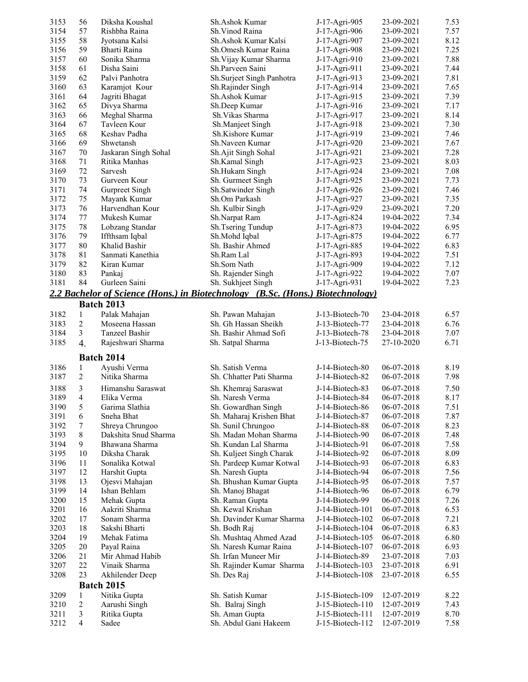| 3153         | 56               | Diksha Koushal                        | Sh.Ashok Kumar                                                                 | J-17-Agri-905                        | 23-09-2021               | 7.53         |
|--------------|------------------|---------------------------------------|--------------------------------------------------------------------------------|--------------------------------------|--------------------------|--------------|
| 3154         | 57               | Rishbha Raina                         | Sh. Vinod Raina                                                                | J-17-Agri-906                        | 23-09-2021               | 7.57         |
| 3155         | 58               | Jyotsana Kalsi                        | Sh.Ashok Kumar Kalsi                                                           | J-17-Agri-907                        | 23-09-2021               | 8.12         |
| 3156         | 59               | Bharti Raina                          | Sh.Omesh Kumar Raina                                                           | J-17-Agri-908                        | 23-09-2021               | 7.25         |
| 3157         | 60               | Sonika Sharma                         | Sh. Vijay Kumar Sharma                                                         | J-17-Agri-910                        | 23-09-2021               | 7.88         |
| 3158         | 61               | Disha Saini                           | Sh.Parveen Saini                                                               | J-17-Agri-911                        | 23-09-2021               | 7.44         |
| 3159         | 62               | Palvi Panhotra                        | Sh.Surjeet Singh Panhotra                                                      | J-17-Agri-913                        | 23-09-2021               | 7.81         |
| 3160         | 63               | Karamjot Kour                         | Sh.Rajinder Singh                                                              | J-17-Agri-914                        | 23-09-2021               | 7.65         |
| 3161         | 64               | Jagriti Bhagat                        | Sh.Ashok Kumar                                                                 | J-17-Agri-915                        | 23-09-2021               | 7.39         |
| 3162         | 65               | Divya Sharma                          | Sh.Deep Kumar                                                                  | J-17-Agri-916                        | 23-09-2021               | 7.17         |
| 3163         | 66               | Meghal Sharma                         | Sh. Vikas Sharma                                                               | J-17-Agri-917                        | 23-09-2021               | 8.14         |
| 3164         | 67               | Tavleen Kour                          | Sh.Manjeet Singh                                                               | J-17-Agri-918                        | 23-09-2021               | 7.30         |
| 3165         | 68               | Keshav Padha                          | Sh.Kishore Kumar                                                               | J-17-Agri-919                        | 23-09-2021               | 7.46         |
| 3166<br>3167 | 69<br>70         | Shwetansh                             | Sh.Naveen Kumar                                                                | J-17-Agri-920                        | 23-09-2021<br>23-09-2021 | 7.67<br>7.28 |
| 3168         | 71               | Jaskaran Singh Sohal<br>Ritika Manhas | Sh.Ajit Singh Sohal<br>Sh.Kamal Singh                                          | J-17-Agri-921<br>J-17-Agri-923       | 23-09-2021               | 8.03         |
| 3169         | 72               | Sarvesh                               | Sh.Hukam Singh                                                                 | J-17-Agri-924                        | 23-09-2021               | 7.08         |
| 3170         | 73               | Gurveen Kour                          | Sh. Gurmeet Singh                                                              | J-17-Agri-925                        | 23-09-2021               | 7.73         |
| 3171         | 74               | Gurpreet Singh                        | Sh.Satwinder Singh                                                             | J-17-Agri-926                        | 23-09-2021               | 7.46         |
| 3172         | 75               | Mayank Kumar                          | Sh.Om Parkash                                                                  | J-17-Agri-927                        | 23-09-2021               | 7.35         |
| 3173         | 76               | Harvendhan Kour                       | Sh. Kulbir Singh                                                               | J-17-Agri-929                        | 23-09-2021               | 7.20         |
| 3174         | 77               | Mukesh Kumar                          | Sh.Narpat Ram                                                                  | J-17-Agri-824                        | 19-04-2022               | 7.34         |
| 3175         | 78               | Lobzang Standar                       | Sh.Tsering Tundup                                                              | J-17-Agri-873                        | 19-04-2022               | 6.95         |
| 3176         | 79               | Iffthsam Iqbal                        | Sh.Mohd Iqbal                                                                  | J-17-Agri-875                        | 19-04-2022               | 6.77         |
| 3177         | 80               | Khalid Bashir                         | Sh. Bashir Ahmed                                                               | J-17-Agri-885                        | 19-04-2022               | 6.83         |
| 3178         | 81               | Sanmati Kanethia                      | Sh.Ram Lal                                                                     | J-17-Agri-893                        | 19-04-2022               | 7.51         |
| 3179         | 82               | Kiran Kumar                           | Sh.Som Nath                                                                    | J-17-Agri-909                        | 19-04-2022               | 7.12         |
| 3180         | 83               | Pankaj                                | Sh. Rajender Singh                                                             | J-17-Agri-922                        | 19-04-2022               | 7.07         |
| 3181         | 84               | Gurleen Saini                         | Sh. Sukhjeet Singh                                                             | J-17-Agri-931                        | 19-04-2022               | 7.23         |
|              |                  |                                       | 2.2 Bachelor of Science (Hons.) in Biotechnology (B.Sc. (Hons.) Biotechnology) |                                      |                          |              |
|              |                  | <b>Batch 2013</b>                     |                                                                                |                                      |                          |              |
| 3182         | $\mathbf{1}$     | Palak Mahajan                         | Sh. Pawan Mahajan                                                              | J-13-Biotech-70                      | 23-04-2018               | 6.57         |
| 3183         | 2                | Moseena Hassan                        | Sh. Gh Hassan Sheikh                                                           | J-13-Biotech-77                      | 23-04-2018               | 6.76         |
| 3184         | 3                | Tanzeel Bashir                        | Sh. Bashir Ahmad Sofi                                                          | J-13-Biotech-78                      | 23-04-2018               | 7.07         |
| 3185         | $\overline{4}$ . | Rajeshwari Sharma                     | Sh. Satpal Sharma                                                              | J-13-Biotech-75                      | 27-10-2020               | 6.71         |
|              |                  | <b>Batch 2014</b>                     |                                                                                |                                      |                          |              |
| 3186         | 1                | Ayushi Verma                          | Sh. Satish Verma                                                               | J-14-Biotech-80                      | 06-07-2018               | 8.19         |
| 3187         | $\overline{2}$   | Nitika Sharma                         | Sh. Chhatter Pati Sharma                                                       | J-14-Biotech-82                      | 06-07-2018               | 7.98         |
| 3188         |                  |                                       |                                                                                |                                      | 06-07-2018               | 7.50         |
|              |                  |                                       |                                                                                |                                      |                          |              |
|              | 3<br>4           | Himanshu Saraswat<br>Elika Verma      | Sh. Khemraj Saraswat<br>Sh. Naresh Verma                                       | J-14-Biotech-83<br>J-14-Biotech-84   | 06-07-2018               |              |
| 3189         |                  | Garima Slathia                        | Sh. Gowardhan Singh                                                            |                                      | 06-07-2018               | 8.17<br>7.51 |
| 3190         | 5<br>6           | Sneha Bhat                            |                                                                                | J-14-Biotech-86<br>J-14-Biotech-87   | 06-07-2018               |              |
| 3191<br>3192 | 7                | Shreya Chrungoo                       | Sh. Maharaj Krishen Bhat<br>Sh. Sunil Chrungoo                                 | J-14-Biotech-88                      | 06-07-2018               | 7.87<br>8.23 |
| 3193         | $\,8\,$          | Dakshita Snud Sharma                  | Sh. Madan Mohan Sharma                                                         | J-14-Biotech-90                      | 06-07-2018               | 7.48         |
| 3194         | 9                | Bhawana Sharma                        | Sh. Kundan Lal Sharma                                                          | J-14-Biotech-91                      | 06-07-2018               | 7.58         |
| 3195         | 10               | Diksha Charak                         | Sh. Kuljeet Singh Charak                                                       | J-14-Biotech-92                      | 06-07-2018               | 8.09         |
| 3196         | 11               | Sonalika Kotwal                       | Sh. Pardeep Kumar Kotwal                                                       | J-14-Biotech-93                      | 06-07-2018               | 6.83         |
| 3197         | 12               | Harshit Gupta                         | Sh. Naresh Gupta                                                               | J-14-Biotech-94                      | 06-07-2018               | 7.56         |
| 3198         | 13               | Ojesvi Mahajan                        | Sh. Bhushan Kumar Gupta                                                        | J-14-Biotech-95                      | 06-07-2018               | 7.57         |
| 3199         | 14               | Ishan Behlam                          | Sh. Manoj Bhagat                                                               | J-14-Biotech-96                      | 06-07-2018               | 6.79         |
| 3200         | 15               | Mehak Gupta                           | Sh. Raman Gupta                                                                | J-14-Biotech-99                      | 06-07-2018               | 7.26         |
| 3201         | 16               | Aakriti Sharma                        | Sh. Kewal Krishan                                                              | J-14-Biotech-101                     | 06-07-2018               | 6.53         |
| 3202         | 17               | Sonam Sharma                          | Sh. Davinder Kumar Sharma                                                      | J-14-Biotech-102                     | 06-07-2018               | 7.21         |
| 3203         | 18               | Sakshi Bharti                         | Sh. Bodh Raj                                                                   | J-14-Biotech-104                     | 06-07-2018               | 6.83         |
| 3204         | 19               | Mehak Fatima                          | Sh. Mushtaq Ahmed Azad                                                         | J-14-Biotech-105                     | 06-07-2018               | 6.80         |
| 3205         | 20               | Payal Raina                           | Sh. Naresh Kumar Raina                                                         | J-14-Biotech-107                     | 06-07-2018               | 6.93         |
| 3206         | 21               | Mir Ahmad Habib                       | Sh. Irfan Muneer Mir                                                           | J-14-Biotech-89                      | 23-07-2018               | 7.03         |
| 3207<br>3208 | 22<br>23         | Vinaik Sharma                         | Sh. Rajinder Kumar Sharma                                                      | J-14-Biotech-103<br>J-14-Biotech-108 | 23-07-2018               | 6.91<br>6.55 |
|              |                  | Akhilender Deep                       | Sh. Des Raj                                                                    |                                      | 23-07-2018               |              |
|              | 1                | <b>Batch 2015</b>                     |                                                                                |                                      |                          |              |
| 3209<br>3210 | $\sqrt{2}$       | Nitika Gupta                          | Sh. Satish Kumar                                                               | J-15-Biotech-109<br>J-15-Biotech-110 | 12-07-2019<br>12-07-2019 | 8.22<br>7.43 |
| 3211         | 3                | Aarushi Singh<br>Ritika Gupta         | Sh. Balraj Singh<br>Sh. Aman Gupta                                             | J-15-Biotech-111                     | 12-07-2019               | 8.70         |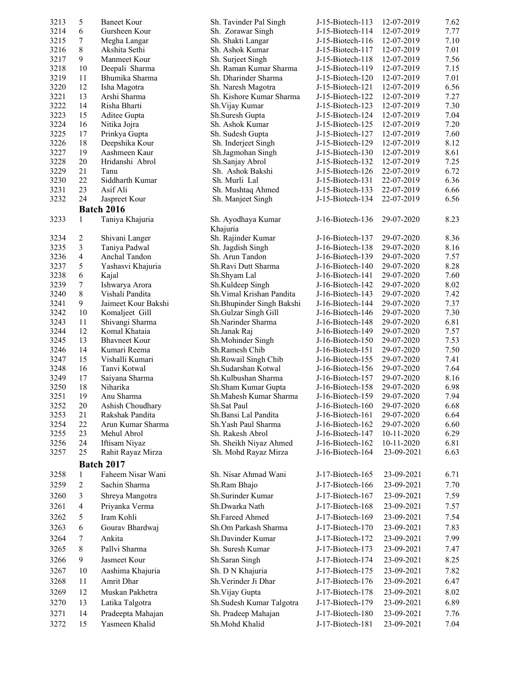| 3213         | 5              | <b>Baneet Kour</b>               | Sh. Tavinder Pal Singh                     | J-15-Biotech-113                     | 12-07-2019               | 7.62         |
|--------------|----------------|----------------------------------|--------------------------------------------|--------------------------------------|--------------------------|--------------|
| 3214         | 6              | Gursheen Kour                    | Sh. Zorawar Singh                          | J-15-Biotech-114                     | 12-07-2019               | 7.77         |
| 3215         | 7              | Megha Langar                     | Sh. Shakti Langar                          | $J-15-Biotech-116$                   | 12-07-2019               | 7.10         |
| 3216         | 8              | Akshita Sethi                    | Sh. Ashok Kumar                            | J-15-Biotech-117                     | 12-07-2019               | 7.01         |
| 3217         | 9              | Manmeet Kour                     | Sh. Surjeet Singh                          | J-15-Biotech-118                     | 12-07-2019               | 7.56         |
| 3218         | 10             | Deepali Sharma                   | Sh. Raman Kumar Sharma                     | J-15-Biotech-119                     | 12-07-2019               | 7.15         |
| 3219         | 11             | Bhumika Sharma                   | Sh. Dharinder Sharma                       | J-15-Biotech-120                     | 12-07-2019               | 7.01         |
| 3220         | 12             | Isha Magotra                     | Sh. Naresh Magotra                         | J-15-Biotech-121                     | 12-07-2019               | 6.56         |
| 3221         | 13             | Arshi Sharma                     | Sh. Kishore Kumar Sharma                   | J-15-Biotech-122                     | 12-07-2019               | 7.27         |
| 3222         | 14             | Risha Bharti                     | Sh. Vijay Kumar                            | J-15-Biotech-123                     | 12-07-2019               | 7.30         |
| 3223         | 15             | Aditee Gupta                     | Sh.Suresh Gupta                            | J-15-Biotech-124                     | 12-07-2019               | 7.04         |
| 3224         | 16             | Nitika Jojra                     | Sh. Ashok Kumar                            | J-15-Biotech-125                     | 12-07-2019               | 7.20         |
| 3225         | 17             | Prinkya Gupta                    | Sh. Sudesh Gupta                           | J-15-Biotech-127                     | 12-07-2019               | 7.60         |
| 3226<br>3227 | 18<br>19       | Deepshika Kour<br>Aashmeen Kaur  | Sh. Inderjeet Singh                        | J-15-Biotech-129<br>J-15-Biotech-130 | 12-07-2019<br>12-07-2019 | 8.12<br>8.61 |
| 3228         | 20             | Hridanshi Abrol                  | Sh.Jagmohan Singh<br>Sh.Sanjay Abrol       | J-15-Biotech-132                     | 12-07-2019               | 7.25         |
| 3229         | 21             | Tanu                             | Sh. Ashok Bakshi                           | J-15-Biotech-126                     | 22-07-2019               | 6.72         |
| 3230         | 22             | Siddharth Kumar                  | Sh. Murli Lal                              | J-15-Biotech-131                     | 22-07-2019               | 6.36         |
| 3231         | 23             | Asif Ali                         | Sh. Mushtaq Ahmed                          | J-15-Biotech-133                     | 22-07-2019               | 6.66         |
| 3232         | 24             | Jaspreet Kour                    | Sh. Manjeet Singh                          | J-15-Biotech-134                     | 22-07-2019               | 6.56         |
|              |                | <b>Batch 2016</b>                |                                            |                                      |                          |              |
|              |                |                                  |                                            |                                      |                          |              |
| 3233         | 1              | Taniya Khajuria                  | Sh. Ayodhaya Kumar<br>Khajuria             | J-16-Biotech-136                     | 29-07-2020               | 8.23         |
| 3234         | 2              | Shivani Langer                   | Sh. Rajinder Kumar                         | J-16-Biotech-137                     | 29-07-2020               | 8.36         |
| 3235         | 3              | Taniya Padwal                    | Sh. Jagdish Singh                          | J-16-Biotech-138                     | 29-07-2020               | 8.16         |
| 3236         | $\overline{4}$ | Anchal Tandon                    | Sh. Arun Tandon                            | J-16-Biotech-139                     | 29-07-2020               | 7.57         |
| 3237         | 5              | Yashasvi Khajuria                | Sh.Ravi Dutt Sharma                        | J-16-Biotech-140                     | 29-07-2020               | 8.28         |
| 3238         | 6              | Kajal                            | Sh.Shyam Lal                               | $J-16-Biotech-141$                   | 29-07-2020               | 7.60         |
| 3239         | $\tau$         | Ishwarya Arora                   | Sh.Kuldeep Singh                           | J-16-Biotech-142                     | 29-07-2020               | 8.02         |
| 3240         | 8              | Vishali Pandita                  | Sh. Vimal Krishan Pandita                  | J-16-Biotech-143                     | 29-07-2020               | 7.42         |
| 3241         | 9              | Jaimeet Kour Bakshi              | Sh. Bhupinder Singh Bakshi                 | J-16-Biotech-144                     | 29-07-2020               | 7.37         |
| 3242         | 10             | Komaljeet Gill                   | Sh.Gulzar Singh Gill                       | J-16-Biotech-146                     | 29-07-2020               | 7.30         |
| 3243         | 11             | Shivangi Sharma                  | Sh.Narinder Sharma                         | J-16-Biotech-148                     | 29-07-2020               | 6.81         |
| 3244         | 12             | Komal Khataia                    | Sh.Janak Raj                               | J-16-Biotech-149                     | 29-07-2020               | 7.57         |
| 3245         | 13             | <b>Bhavneet Kour</b>             | Sh.Mohinder Singh                          | J-16-Biotech-150                     | 29-07-2020               | 7.53         |
| 3246         | 14             | Kumari Reema                     | Sh.Ramesh Chib                             | J-16-Biotech-151                     | 29-07-2020               | 7.50         |
| 3247         | 15             | Vishalli Kumari                  | Sh.Rowail Singh Chib                       | J-16-Biotech-155                     | 29-07-2020               | 7.41         |
| 3248         | 16             | Tanvi Kotwal                     | Sh.Sudarshan Kotwal                        | J-16-Biotech-156                     | 29-07-2020               | 7.64         |
| 3249         | 17             | Saiyana Sharma                   | Sh.Kulbushan Sharma                        | J-16-Biotech-157                     | 29-07-2020               | 8.16         |
| 3250         | 18             | Niharika                         | Sh.Sham Kumar Gupta                        | J-16-Biotech-158                     | 29-07-2020               | 6.98         |
| 3251         | 19             | Anu Sharma                       | Sh.Mahesh Kumar Sharma                     | J-16-Biotech-159                     | 29-07-2020               | 7.94         |
| 3252         | $20\,$         | Ashish Choudhary                 | Sh.Sat Paul                                | J-16-Biotech-160                     | 29-07-2020               | 6.68         |
| 3253         | 21             | Rakshak Pandita                  | Sh.Bansi Lal Pandita                       | J-16-Biotech-161                     | 29-07-2020               | 6.64         |
| 3254         | 22             | Arun Kumar Sharma<br>Mehul Abrol | Sh.Yash Paul Sharma                        | J-16-Biotech-162                     | 29-07-2020               | 6.60         |
| 3255<br>3256 | 23<br>24       | Iftisam Niyaz                    | Sh. Rakesh Abrol<br>Sh. Sheikh Niyaz Ahmed | J-16-Biotech-147<br>J-16-Biotech-162 | 10-11-2020               | 6.29<br>6.81 |
| 3257         | 25             | Rahit Rayaz Mirza                | Sh. Mohd Rayaz Mirza                       | J-16-Biotech-164                     | 10-11-2020<br>23-09-2021 | 6.63         |
|              |                | <b>Batch 2017</b>                |                                            |                                      |                          |              |
| 3258         | 1              | Faheem Nisar Wani                | Sh. Nisar Ahmad Wani                       | J-17-Biotech-165                     | 23-09-2021               | 6.71         |
| 3259         | $\overline{2}$ | Sachin Sharma                    | Sh.Ram Bhajo                               | J-17-Biotech-166                     | 23-09-2021               | 7.70         |
| 3260         | 3              | Shreya Mangotra                  | Sh.Surinder Kumar                          | J-17-Biotech-167                     | 23-09-2021               | 7.59         |
| 3261         | $\overline{4}$ | Priyanka Verma                   | Sh.Dwarka Nath                             | J-17-Biotech-168                     | 23-09-2021               | 7.57         |
| 3262         | 5              | Iram Kohli                       | Sh.Fareed Ahmed                            | J-17-Biotech-169                     | 23-09-2021               | 7.54         |
| 3263         | 6              | Gourav Bhardwaj                  | Sh.Om Parkash Sharma                       | J-17-Biotech-170                     | 23-09-2021               | 7.83         |
| 3264         | 7              | Ankita                           | Sh.Davinder Kumar                          | J-17-Biotech-172                     | 23-09-2021               | 7.99         |
| 3265         | 8              | Pallvi Sharma                    | Sh. Suresh Kumar                           | J-17-Biotech-173                     | 23-09-2021               | 7.47         |
| 3266         | 9              | Jasmeet Kour                     | Sh.Saran Singh                             | J-17-Biotech-174                     | 23-09-2021               | 8.25         |
| 3267         | 10             | Aashima Khajuria                 | Sh. D N Khajuria                           | J-17-Biotech-175                     | 23-09-2021               | 7.82         |
| 3268         | 11             | Amrit Dhar                       | Sh. Verinder Ji Dhar                       | J-17-Biotech-176                     | 23-09-2021               | 6.47         |
| 3269         | 12             | Muskan Pakhetra                  | Sh. Vijay Gupta                            | J-17-Biotech-178                     | 23-09-2021               | 8.02         |
| 3270         | 13             |                                  | Sh.Sudesh Kumar Talgotra                   |                                      |                          | 6.89         |
|              |                | Latika Talgotra                  |                                            | J-17-Biotech-179                     | 23-09-2021               |              |
| 3271         | 14             | Pradeepta Mahajan                | Sh. Pradeep Mahajan                        | J-17-Biotech-180                     | 23-09-2021               | 7.76         |
| 3272         | 15             | Yasmeen Khalid                   | Sh.Mohd Khalid                             | J-17-Biotech-181                     | 23-09-2021               | 7.04         |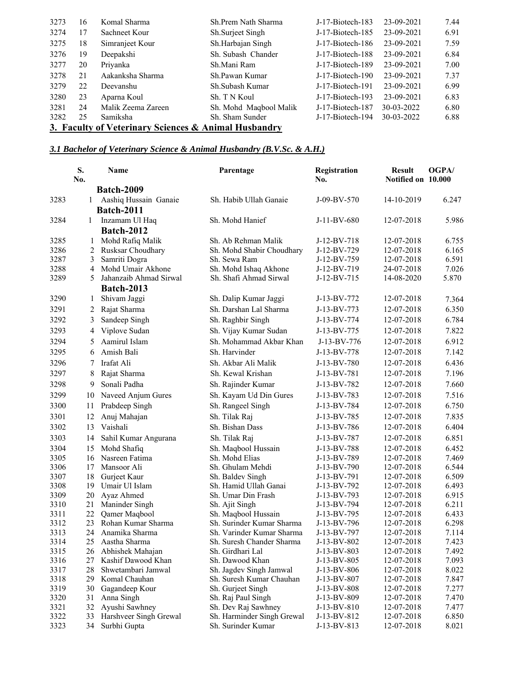| 3273                                                 | 16 | Komal Sharma       | Sh.Prem Nath Sharma    | J-17-Biotech-183 | 23-09-2021       | 7.44 |  |
|------------------------------------------------------|----|--------------------|------------------------|------------------|------------------|------|--|
| 3274                                                 | 17 | Sachneet Kour      | Sh.Surjeet Singh       | J-17-Biotech-185 | 23-09-2021       | 6.91 |  |
| 3275                                                 | 18 | Simranjeet Kour    | Sh.Harbajan Singh      | J-17-Biotech-186 | 23-09-2021       | 7.59 |  |
| 3276                                                 | 19 | Deepakshi          | Sh. Subash Chander     | J-17-Biotech-188 | 23-09-2021       | 6.84 |  |
| 3277                                                 | 20 | Privanka           | Sh.Mani Ram            | J-17-Biotech-189 | 23-09-2021       | 7.00 |  |
| 3278                                                 | 21 | Aakanksha Sharma   | Sh.Pawan Kumar         | J-17-Biotech-190 | 23-09-2021       | 7.37 |  |
| 3279                                                 | 22 | Deevanshu          | Sh.Subash Kumar        | J-17-Biotech-191 | 23-09-2021       | 6.99 |  |
| 3280                                                 | 23 | Aparna Koul        | Sh. T N Koul           | J-17-Biotech-193 | 23-09-2021       | 6.83 |  |
| 3281                                                 | 24 | Malik Zeema Zareen | Sh. Mohd Maqbool Malik | J-17-Biotech-187 | $30 - 03 - 2022$ | 6.80 |  |
| 3282                                                 | 25 | Samiksha           | Sh. Sham Sunder        | J-17-Biotech-194 | 30-03-2022       | 6.88 |  |
| 3. Faculty of Veterinary Sciences & Animal Husbandry |    |                    |                        |                  |                  |      |  |

## *3.1 Bachelor of Veterinary Science & Animal Husbandry (B.V.Sc. & A.H.)*

|              | S.<br>No.    | <b>Name</b>                          | Parentage                                     | Registration<br>No.        | <b>Result</b><br>Notified on 10.000 | <b>OGPA</b>    |
|--------------|--------------|--------------------------------------|-----------------------------------------------|----------------------------|-------------------------------------|----------------|
|              |              | <b>Batch-2009</b>                    |                                               |                            |                                     |                |
| 3283         | $\mathbf{1}$ | Aashiq Hussain Ganaie                | Sh. Habib Ullah Ganaie                        | J-09-BV-570                | 14-10-2019                          | 6.247          |
|              |              | <b>Batch-2011</b>                    |                                               |                            |                                     |                |
| 3284         | 1            | Inzamam Ul Haq                       | Sh. Mohd Hanief                               | J-11-BV-680                | 12-07-2018                          | 5.986          |
|              |              | <b>Batch-2012</b>                    |                                               |                            |                                     |                |
| 3285         | 1            | Mohd Rafiq Malik                     | Sh. Ab Rehman Malik                           | J-12-BV-718                | 12-07-2018                          | 6.755          |
| 3286         | 2            | Rusksar Choudhary                    | Sh. Mohd Shabir Choudhary                     | J-12-BV-729                | 12-07-2018                          | 6.165          |
| 3287         | 3            | Samriti Dogra                        | Sh. Sewa Ram                                  | J-12-BV-759                | 12-07-2018                          | 6.591          |
| 3288         | 4            | Mohd Umair Akhone                    | Sh. Mohd Ishaq Akhone                         | J-12-BV-719                | 24-07-2018                          | 7.026          |
| 3289         | 5            | Jahanzaib Ahmad Sirwal               | Sh. Shafi Ahmad Sirwal                        | J-12-BV-715                | 14-08-2020                          | 5.870          |
|              |              | <b>Batch-2013</b>                    |                                               |                            |                                     |                |
| 3290         | 1            | Shivam Jaggi                         | Sh. Dalip Kumar Jaggi                         | J-13-BV-772                | 12-07-2018                          | 7.364          |
| 3291         | 2            | Rajat Sharma                         | Sh. Darshan Lal Sharma                        | J-13-BV-773                | 12-07-2018                          | 6.350          |
| 3292         | 3            | Sandeep Singh                        | Sh. Raghbir Singh                             | J-13-BV-774                | 12-07-2018                          | 6.784          |
| 3293         | 4            | Viplove Sudan                        | Sh. Vijay Kumar Sudan                         | J-13-BV-775                | 12-07-2018                          | 7.822          |
| 3294         | 5            | Aamirul Islam                        | Sh. Mohammad Akbar Khan                       | J-13-BV-776                | 12-07-2018                          | 6.912          |
| 3295         | 6            | Amish Bali                           | Sh. Harvinder                                 | J-13-BV-778                | 12-07-2018                          | 7.142          |
| 3296         | 7            | Irafat Ali                           | Sh. Akbar Ali Malik                           | J-13-BV-780                | 12-07-2018                          | 6.436          |
| 3297         | 8            | Rajat Sharma                         | Sh. Kewal Krishan                             | J-13-BV-781                | 12-07-2018                          | 7.196          |
| 3298         | 9            | Sonali Padha                         | Sh. Rajinder Kumar                            | J-13-BV-782                | 12-07-2018                          | 7.660          |
| 3299         | 10           | Naveed Anjum Gures                   | Sh. Kayam Ud Din Gures                        | J-13-BV-783                | 12-07-2018                          | 7.516          |
| 3300         | 11           | Prabdeep Singh                       | Sh. Rangeel Singh                             | J-13-BV-784                | 12-07-2018                          | 6.750          |
| 3301         | 12           | Anuj Mahajan                         | Sh. Tilak Raj                                 | J-13-BV-785                | 12-07-2018                          | 7.835          |
| 3302         | 13           | Vaishali                             | Sh. Bishan Dass                               | J-13-BV-786                | 12-07-2018                          | 6.404          |
| 3303         | 14           | Sahil Kumar Angurana                 | Sh. Tilak Raj                                 | J-13-BV-787                | 12-07-2018                          | 6.851          |
| 3304         | 15           | Mohd Shafiq                          | Sh. Maqbool Hussain                           | J-13-BV-788                | 12-07-2018                          | 6.452          |
| 3305         | 16           | Nasreen Fatima                       | Sh. Mohd Elias                                | J-13-BV-789                | 12-07-2018                          | 7.469          |
| 3306         | 17           | Mansoor Ali                          | Sh. Ghulam Mehdi                              | J-13-BV-790                | 12-07-2018                          | 6.544          |
| 3307         | 18           | Gurjeet Kaur                         | Sh. Baldev Singh                              | J-13-BV-791                | 12-07-2018                          | 6.509          |
| 3308         | 19           | Umair Ul Islam                       | Sh. Hamid Ullah Ganai                         | J-13-BV-792                | 12-07-2018                          | 6.493          |
| 3309         | 20           | Ayaz Ahmed                           | Sh. Umar Din Frash                            | J-13-BV-793                | 12-07-2018                          | 6.915          |
| 3310         | 21           | Maninder Singh                       | Sh. Ajit Singh                                | J-13-BV-794                | 12-07-2018                          | 6.211          |
| 3311         | 22           | Qamer Maqbool                        | Sh. Maqbool Hussain                           | J-13-BV-795                | 12-07-2018                          | 6.433          |
| 3312         | 23           | Rohan Kumar Sharma                   | Sh. Surinder Kumar Sharma                     | J-13-BV-796                | 12-07-2018                          | 6.298          |
| 3313<br>3314 | 24<br>25     | Anamika Sharma                       | Sh. Varinder Kumar Sharma                     | J-13-BV-797<br>J-13-BV-802 | 12-07-2018<br>12-07-2018            | 7.114<br>7.423 |
| 3315         |              | Aastha Sharma<br>26 Abhishek Mahajan | Sh. Suresh Chander Sharma<br>Sh. Girdhari Lal | J-13-BV-803                | 12-07-2018                          | 7.492          |
| 3316         | 27           | Kashif Dawood Khan                   | Sh. Dawood Khan                               | J-13-BV-805                | 12-07-2018                          | 7.093          |
| 3317         | 28           | Shwetambari Jamwal                   | Sh. Jagdev Singh Jamwal                       | J-13-BV-806                | 12-07-2018                          | 8.022          |
| 3318         | 29           | Komal Chauhan                        | Sh. Suresh Kumar Chauhan                      | J-13-BV-807                | 12-07-2018                          | 7.847          |
| 3319         | 30           | Gagandeep Kour                       | Sh. Gurjeet Singh                             | J-13-BV-808                | 12-07-2018                          | 7.277          |
| 3320         | 31           | Anna Singh                           | Sh. Raj Paul Singh                            | J-13-BV-809                | 12-07-2018                          | 7.470          |
| 3321         | 32           | Ayushi Sawhney                       | Sh. Dev Raj Sawhney                           | J-13-BV-810                | 12-07-2018                          | 7.477          |
| 3322         | 33           | Harshveer Singh Grewal               | Sh. Harminder Singh Grewal                    | J-13-BV-812                | 12-07-2018                          | 6.850          |
| 3323         | 34           | Surbhi Gupta                         | Sh. Surinder Kumar                            | J-13-BV-813                | 12-07-2018                          | 8.021          |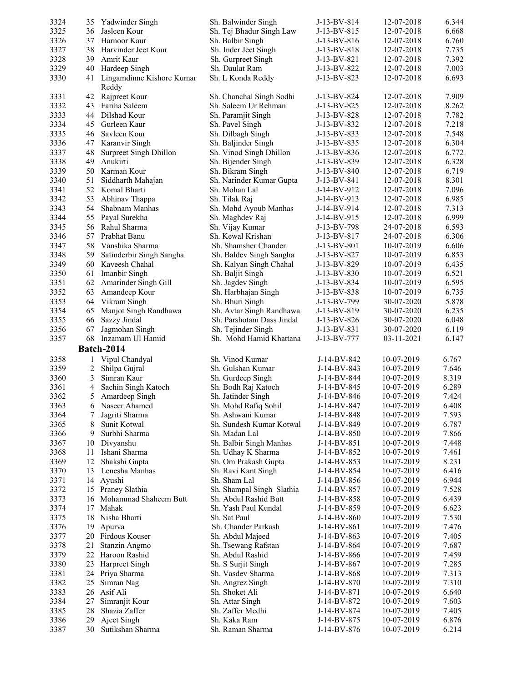| 3324 | 35 | Yadwinder Singh                    | Sh. Balwinder Singh       | J-13-BV-814 | 12-07-2018 | 6.344 |
|------|----|------------------------------------|---------------------------|-------------|------------|-------|
| 3325 | 36 | Jasleen Kour                       | Sh. Tej Bhadur Singh Law  | J-13-BV-815 | 12-07-2018 | 6.668 |
| 3326 | 37 | Harnoor Kaur                       | Sh. Balbir Singh          | J-13-BV-816 | 12-07-2018 | 6.760 |
| 3327 | 38 | Harvinder Jeet Kour                | Sh. Inder Jeet Singh      | J-13-BV-818 | 12-07-2018 | 7.735 |
| 3328 | 39 | Amrit Kaur                         | Sh. Gurpreet Singh        | J-13-BV-821 | 12-07-2018 | 7.392 |
| 3329 | 40 | Hardeep Singh                      | Sh. Daulat Ram            | J-13-BV-822 | 12-07-2018 | 7.003 |
| 3330 | 41 | Lingamdinne Kishore Kumar<br>Reddy | Sh. L Konda Reddy         | J-13-BV-823 | 12-07-2018 | 6.693 |
| 3331 | 42 | Rajpreet Kour                      | Sh. Chanchal Singh Sodhi  | J-13-BV-824 | 12-07-2018 | 7.909 |
| 3332 |    | 43 Fariha Saleem                   | Sh. Saleem Ur Rehman      | J-13-BV-825 | 12-07-2018 | 8.262 |
| 3333 | 44 | Dilshad Kour                       | Sh. Paramjit Singh        | J-13-BV-828 | 12-07-2018 | 7.782 |
| 3334 | 45 | Gurleen Kaur                       | Sh. Pavel Singh           | J-13-BV-832 | 12-07-2018 | 7.218 |
| 3335 | 46 | Savleen Kour                       | Sh. Dilbagh Singh         | J-13-BV-833 | 12-07-2018 | 7.548 |
| 3336 |    | 47 Karanvir Singh                  | Sh. Baljinder Singh       | J-13-BV-835 | 12-07-2018 | 6.304 |
| 3337 | 48 | Surpreet Singh Dhillon             | Sh. Vinod Singh Dhillon   | J-13-BV-836 | 12-07-2018 | 6.772 |
| 3338 | 49 | Anukirti                           | Sh. Bijender Singh        | J-13-BV-839 | 12-07-2018 | 6.328 |
| 3339 | 50 | Karman Kour                        | Sh. Bikram Singh          | J-13-BV-840 | 12-07-2018 | 6.719 |
| 3340 | 51 | Siddharth Mahajan                  | Sh. Narinder Kumar Gupta  | J-13-BV-841 | 12-07-2018 | 8.301 |
| 3341 | 52 | Komal Bharti                       | Sh. Mohan Lal             | J-14-BV-912 | 12-07-2018 | 7.096 |
| 3342 | 53 | Abhinav Thappa                     | Sh. Tilak Raj             | J-14-BV-913 | 12-07-2018 | 6.985 |
| 3343 | 54 | Shabnam Manhas                     | Sh. Mohd Ayoub Manhas     | J-14-BV-914 | 12-07-2018 | 7.313 |
| 3344 | 55 | Payal Surekha                      | Sh. Maghdev Raj           | J-14-BV-915 | 12-07-2018 | 6.999 |
| 3345 |    | 56 Rahul Sharma                    | Sh. Vijay Kumar           | J-13-BV-798 | 24-07-2018 | 6.593 |
| 3346 | 57 | Prabhat Banu                       | Sh. Kewal Krishan         | J-13-BV-817 | 24-07-2018 | 6.306 |
| 3347 | 58 | Vanshika Sharma                    | Sh. Shamsher Chander      | J-13-BV-801 | 10-07-2019 | 6.606 |
| 3348 | 59 | Satinderbir Singh Sangha           | Sh. Baldev Singh Sangha   | J-13-BV-827 | 10-07-2019 | 6.853 |
| 3349 | 60 | Kaveesh Chahal                     | Sh. Kalyan Singh Chahal   | J-13-BV-829 | 10-07-2019 | 6.435 |
| 3350 | 61 | Imanbir Singh                      | Sh. Baljit Singh          | J-13-BV-830 | 10-07-2019 | 6.521 |
| 3351 | 62 | Amarinder Singh Gill               | Sh. Jagdev Singh          | J-13-BV-834 | 10-07-2019 | 6.595 |
| 3352 | 63 | Amandeep Kour                      | Sh. Harbhajan Singh       | J-13-BV-838 | 10-07-2019 | 6.735 |
| 3353 |    | 64 Vikram Singh                    | Sh. Bhuri Singh           | J-13-BV-799 | 30-07-2020 | 5.878 |
| 3354 | 65 | Manjot Singh Randhawa              | Sh. Avtar Singh Randhawa  | J-13-BV-819 | 30-07-2020 | 6.235 |
| 3355 | 66 | Sazzy Jindal                       | Sh. Parshotam Dass Jindal | J-13-BV-826 | 30-07-2020 | 6.048 |
| 3356 | 67 | Jagmohan Singh                     | Sh. Tejinder Singh        | J-13-BV-831 | 30-07-2020 | 6.119 |
| 3357 | 68 | Inzamam Ul Hamid                   | Sh. Mohd Hamid Khattana   | J-13-BV-777 | 03-11-2021 | 6.147 |
|      |    | <b>Batch-2014</b>                  |                           |             |            |       |
| 3358 | 1  | Vipul Chandyal                     | Sh. Vinod Kumar           | J-14-BV-842 | 10-07-2019 | 6.767 |
| 3359 | 2  | Shilpa Gujral                      | Sh. Gulshan Kumar         | J-14-BV-843 | 10-07-2019 | 7.646 |
| 3360 | 3  | Simran Kaur                        | Sh. Gurdeep Singh         | J-14-BV-844 | 10-07-2019 | 8.319 |
| 3361 | 4  | Sachin Singh Katoch                | Sh. Bodh Raj Katoch       | J-14-BV-845 | 10-07-2019 | 6.289 |
| 3362 | 5  | Amardeep Singh                     | Sh. Jatinder Singh        | J-14-BV-846 | 10-07-2019 | 7.424 |
| 3363 | 6  | Naseer Ahamed                      | Sh. Mohd Rafiq Sohil      | J-14-BV-847 | 10-07-2019 | 6.408 |
| 3364 | 7  | Jagriti Sharma                     | Sh. Ashwani Kumar         | J-14-BV-848 | 10-07-2019 | 7.593 |
| 3365 | 8  | Sunit Kotwal                       | Sh. Sundesh Kumar Kotwal  | J-14-BV-849 | 10-07-2019 | 6.787 |
| 3366 | 9  | Surbhi Sharma                      | Sh. Madan Lal             | J-14-BV-850 | 10-07-2019 | 7.866 |
| 3367 | 10 | Divyanshu                          | Sh. Balbir Singh Manhas   | J-14-BV-851 | 10-07-2019 | 7.448 |
| 3368 | 11 | Ishani Sharma                      | Sh. Udhay K Sharma        | J-14-BV-852 | 10-07-2019 | 7.461 |
| 3369 | 12 | Shakshi Gupta                      | Sh. Om Prakash Gupta      | J-14-BV-853 | 10-07-2019 | 8.231 |
| 3370 | 13 | Lenesha Manhas                     | Sh. Ravi Kant Singh       | J-14-BV-854 | 10-07-2019 | 6.416 |
| 3371 | 14 | Ayushi                             | Sh. Sham Lal              | J-14-BV-856 | 10-07-2019 | 6.944 |
| 3372 | 15 | Praney Slathia                     | Sh. Shampal Singh Slathia | J-14-BV-857 | 10-07-2019 | 7.528 |
| 3373 | 16 | Mohammad Shaheem Butt              | Sh. Abdul Rashid Butt     | J-14-BV-858 | 10-07-2019 | 6.439 |
| 3374 | 17 | Mahak                              | Sh. Yash Paul Kundal      | J-14-BV-859 | 10-07-2019 | 6.623 |
| 3375 | 18 | Nisha Bharti                       | Sh. Sat Paul              | J-14-BV-860 | 10-07-2019 | 7.530 |
| 3376 | 19 | Apurva                             | Sh. Chander Parkash       | J-14-BV-861 | 10-07-2019 | 7.476 |
| 3377 | 20 | Firdous Kouser                     | Sh. Abdul Majeed          | J-14-BV-863 | 10-07-2019 | 7.405 |
| 3378 | 21 | Stanzin Angmo                      | Sh. Tsewang Rafstan       | J-14-BV-864 | 10-07-2019 | 7.687 |
| 3379 | 22 | Haroon Rashid                      | Sh. Abdul Rashid          | J-14-BV-866 | 10-07-2019 | 7.459 |
| 3380 | 23 | Harpreet Singh                     | Sh. S Surjit Singh        | J-14-BV-867 | 10-07-2019 | 7.285 |
| 3381 | 24 | Priya Sharma                       | Sh. Vasdev Sharma         | J-14-BV-868 | 10-07-2019 | 7.313 |
| 3382 | 25 | Simran Nag                         | Sh. Angrez Singh          | J-14-BV-870 | 10-07-2019 | 7.310 |
| 3383 | 26 | Asif Ali                           | Sh. Shoket Ali            | J-14-BV-871 | 10-07-2019 | 6.640 |
| 3384 | 27 | Simranjit Kour                     | Sh. Attar Singh           | J-14-BV-872 | 10-07-2019 | 7.603 |
| 3385 | 28 | Shazia Zaffer                      | Sh. Zaffer Medhi          | J-14-BV-874 | 10-07-2019 | 7.405 |
| 3386 | 29 | Ajeet Singh                        | Sh. Kaka Ram              | J-14-BV-875 | 10-07-2019 | 6.876 |
| 3387 | 30 | Sutikshan Sharma                   | Sh. Raman Sharma          | J-14-BV-876 | 10-07-2019 | 6.214 |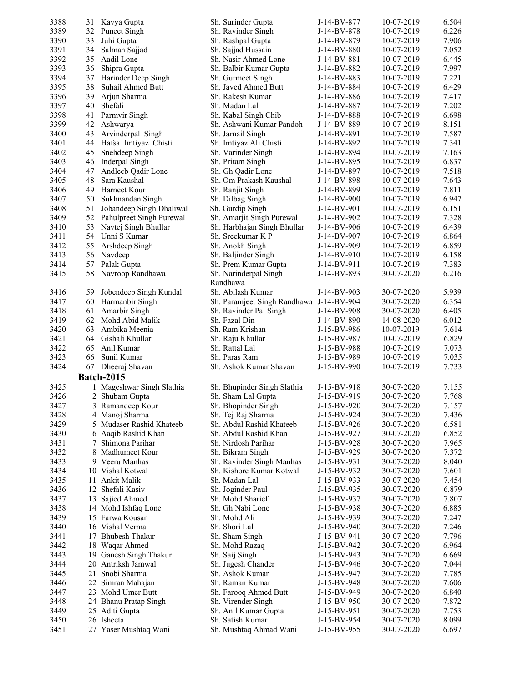| 3388 | 31 | Kavya Gupta                 | Sh. Surinder Gupta                       | J-14-BV-877 | 10-07-2019 | 6.504 |
|------|----|-----------------------------|------------------------------------------|-------------|------------|-------|
| 3389 | 32 | <b>Puneet Singh</b>         | Sh. Ravinder Singh                       | J-14-BV-878 | 10-07-2019 | 6.226 |
| 3390 | 33 | Juhi Gupta                  | Sh. Rashpal Gupta                        | J-14-BV-879 | 10-07-2019 | 7.906 |
| 3391 | 34 | Salman Sajjad               | Sh. Sajjad Hussain                       | J-14-BV-880 | 10-07-2019 | 7.052 |
| 3392 | 35 | Aadil Lone                  | Sh. Nasir Ahmed Lone                     | J-14-BV-881 | 10-07-2019 | 6.445 |
| 3393 | 36 | Shipra Gupta                | Sh. Balbir Kumar Gupta                   | J-14-BV-882 | 10-07-2019 | 7.997 |
| 3394 | 37 | Harinder Deep Singh         | Sh. Gurmeet Singh                        | J-14-BV-883 | 10-07-2019 | 7.221 |
| 3395 | 38 | Suhail Ahmed Butt           | Sh. Javed Ahmed Butt                     | J-14-BV-884 | 10-07-2019 | 6.429 |
| 3396 | 39 | Arjun Sharma                | Sh. Rakesh Kumar                         | J-14-BV-886 | 10-07-2019 | 7.417 |
| 3397 | 40 | Shefali                     | Sh. Madan Lal                            | J-14-BV-887 | 10-07-2019 | 7.202 |
| 3398 | 41 | Parmvir Singh               | Sh. Kabal Singh Chib                     | J-14-BV-888 | 10-07-2019 | 6.698 |
| 3399 | 42 | Ashwarya                    | Sh. Ashwani Kumar Pandoh                 | J-14-BV-889 | 10-07-2019 | 8.151 |
| 3400 | 43 | Arvinderpal Singh           | Sh. Jarnail Singh                        | J-14-BV-891 | 10-07-2019 | 7.587 |
| 3401 | 44 | Hafsa Imtiyaz Chisti        | Sh. Imtiyaz Ali Chisti                   | J-14-BV-892 | 10-07-2019 | 7.341 |
| 3402 | 45 | Snehdeep Singh              | Sh. Varinder Singh                       | J-14-BV-894 | 10-07-2019 | 7.163 |
| 3403 | 46 | Inderpal Singh              | Sh. Pritam Singh                         | J-14-BV-895 | 10-07-2019 | 6.837 |
| 3404 | 47 | Andleeb Qadir Lone          | Sh. Gh Qadir Lone                        | J-14-BV-897 | 10-07-2019 | 7.518 |
|      | 48 | Sara Kaushal                | Sh. Om Prakash Kaushal                   |             |            |       |
| 3405 |    |                             |                                          | J-14-BV-898 | 10-07-2019 | 7.643 |
| 3406 | 49 | Harneet Kour                | Sh. Ranjit Singh                         | J-14-BV-899 | 10-07-2019 | 7.811 |
| 3407 | 50 | Sukhnandan Singh            | Sh. Dilbag Singh                         | J-14-BV-900 | 10-07-2019 | 6.947 |
| 3408 | 51 | Jobandeep Singh Dhaliwal    | Sh. Gurdip Singh                         | J-14-BV-901 | 10-07-2019 | 6.151 |
| 3409 |    | 52 Pahulpreet Singh Purewal | Sh. Amarjit Singh Purewal                | J-14-BV-902 | 10-07-2019 | 7.328 |
| 3410 | 53 | Navtej Singh Bhullar        | Sh. Harbhajan Singh Bhullar              | J-14-BV-906 | 10-07-2019 | 6.439 |
| 3411 | 54 | Unni S Kumar                | Sh. Sreekumar K P                        | J-14-BV-907 | 10-07-2019 | 6.864 |
| 3412 | 55 | Arshdeep Singh              | Sh. Anokh Singh                          | J-14-BV-909 | 10-07-2019 | 6.859 |
| 3413 |    | 56 Navdeep                  | Sh. Baljinder Singh                      | J-14-BV-910 | 10-07-2019 | 6.158 |
| 3414 | 57 | Palak Gupta                 | Sh. Prem Kumar Gupta                     | J-14-BV-911 | 10-07-2019 | 7.383 |
| 3415 | 58 | Navroop Randhawa            | Sh. Narinderpal Singh                    | J-14-BV-893 | 30-07-2020 | 6.216 |
|      |    |                             | Randhawa                                 |             |            |       |
| 3416 | 59 | Jobendeep Singh Kundal      | Sh. Abilash Kumar                        | J-14-BV-903 | 30-07-2020 | 5.939 |
| 3417 | 60 | Harmanbir Singh             | Sh. Paramjeet Singh Randhawa J-14-BV-904 |             | 30-07-2020 | 6.354 |
| 3418 | 61 | Amarbir Singh               | Sh. Ravinder Pal Singh                   | J-14-BV-908 | 30-07-2020 | 6.405 |
| 3419 | 62 | Mohd Abid Malik             | Sh. Fazal Din                            | J-14-BV-890 | 14-08-2020 | 6.012 |
| 3420 | 63 | Ambika Meenia               | Sh. Ram Krishan                          | J-15-BV-986 | 10-07-2019 | 7.614 |
| 3421 | 64 | Gishali Khullar             | Sh. Raju Khullar                         | J-15-BV-987 | 10-07-2019 | 6.829 |
| 3422 | 65 | Anil Kumar                  | Sh. Rattal Lal                           | J-15-BV-988 | 10-07-2019 | 7.073 |
| 3423 | 66 | Sunil Kumar                 | Sh. Paras Ram                            | J-15-BV-989 | 10-07-2019 | 7.035 |
| 3424 |    | 67 Dheeraj Shavan           | Sh. Ashok Kumar Shavan                   | J-15-BV-990 | 10-07-2019 | 7.733 |
|      |    | <b>Batch-2015</b>           |                                          |             |            |       |
| 3425 |    | 1 Mageshwar Singh Slathia   | Sh. Bhupinder Singh Slathia              | J-15-BV-918 | 30-07-2020 | 7.155 |
| 3426 |    | 2 Shubam Gupta              | Sh. Sham Lal Gupta                       | J-15-BV-919 | 30-07-2020 | 7.768 |
| 3427 |    | 3 Ramandeep Kour            | Sh. Bhopinder Singh                      | J-15-BV-920 | 30-07-2020 | 7.157 |
| 3428 |    | 4 Manoj Sharma              | Sh. Tej Raj Sharma                       | J-15-BV-924 | 30-07-2020 | 7.436 |
| 3429 |    | 5 Mudaser Rashid Khateeb    | Sh. Abdul Rashid Khateeb                 | J-15-BV-926 | 30-07-2020 | 6.581 |
| 3430 |    | 6 Aaqib Rashid Khan         | Sh. Abdul Rashid Khan                    | J-15-BV-927 | 30-07-2020 | 6.852 |
| 3431 | 7  | Shimona Parihar             | Sh. Nirdosh Parihar                      | J-15-BV-928 | 30-07-2020 | 7.965 |
| 3432 |    | 8 Madhumeet Kour            | Sh. Bikram Singh                         | J-15-BV-929 | 30-07-2020 | 7.372 |
| 3433 |    | 9 Veeru Manhas              | Sh. Ravinder Singh Manhas                | J-15-BV-931 | 30-07-2020 | 8.040 |
| 3434 |    | 10 Vishal Kotwal            | Sh. Kishore Kumar Kotwal                 | J-15-BV-932 | 30-07-2020 | 7.601 |
| 3435 |    | 11 Ankit Malik              | Sh. Madan Lal                            | J-15-BV-933 | 30-07-2020 | 7.454 |
| 3436 |    | 12 Shefali Kasiv            | Sh. Joginder Paul                        | J-15-BV-935 | 30-07-2020 | 6.879 |
| 3437 |    | 13 Sajied Ahmed             | Sh. Mohd Sharief                         | J-15-BV-937 | 30-07-2020 | 7.807 |
| 3438 |    | 14 Mohd Ishfaq Lone         | Sh. Gh Nabi Lone                         | J-15-BV-938 | 30-07-2020 | 6.885 |
| 3439 |    | 15 Farwa Kousar             | Sh. Mohd Ali                             | J-15-BV-939 | 30-07-2020 | 7.247 |
| 3440 |    | 16 Vishal Verma             | Sh. Shori Lal                            | J-15-BV-940 | 30-07-2020 | 7.246 |
| 3441 |    | 17 Bhubesh Thakur           | Sh. Sham Singh                           | J-15-BV-941 | 30-07-2020 | 7.796 |
| 3442 |    | 18 Waqar Ahmed              | Sh. Mohd Razaq                           | J-15-BV-942 | 30-07-2020 | 6.964 |
| 3443 | 19 | Ganesh Singh Thakur         | Sh. Saij Singh                           | J-15-BV-943 | 30-07-2020 | 6.669 |
| 3444 | 20 | Antriksh Jamwal             | Sh. Jugesh Chander                       | J-15-BV-946 | 30-07-2020 | 7.044 |
| 3445 |    | 21 Snobi Sharma             | Sh. Ashok Kumar                          | J-15-BV-947 | 30-07-2020 | 7.785 |
| 3446 |    | 22 Simran Mahajan           | Sh. Raman Kumar                          | J-15-BV-948 | 30-07-2020 | 7.606 |
| 3447 |    | 23 Mohd Umer Butt           | Sh. Farooq Ahmed Butt                    | J-15-BV-949 | 30-07-2020 | 6.840 |
| 3448 |    | 24 Bhanu Pratap Singh       | Sh. Virender Singh                       | J-15-BV-950 | 30-07-2020 | 7.872 |
| 3449 |    | 25 Aditi Gupta              | Sh. Anil Kumar Gupta                     | J-15-BV-951 | 30-07-2020 | 7.753 |
| 3450 |    | 26 Isheeta                  | Sh. Satish Kumar                         | J-15-BV-954 | 30-07-2020 | 8.099 |
| 3451 |    | 27 Yaser Mushtaq Wani       | Sh. Mushtaq Ahmad Wani                   | J-15-BV-955 | 30-07-2020 | 6.697 |
|      |    |                             |                                          |             |            |       |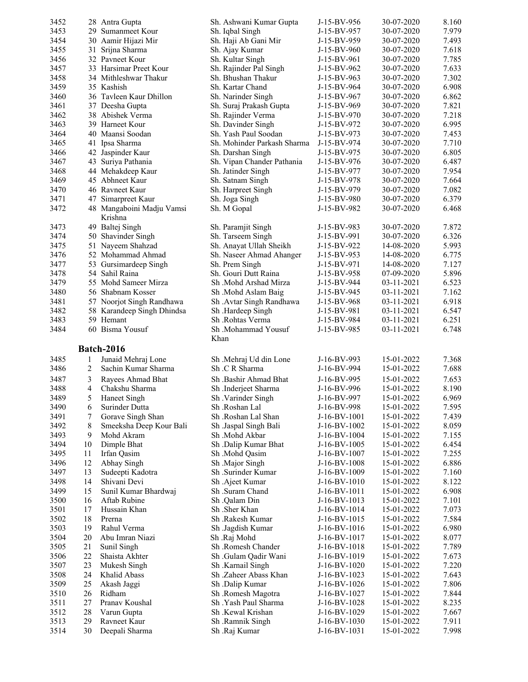| 3452 |              | 28 Antra Gupta             | Sh. Ashwani Kumar Gupta     | J-15-BV-956  | 30-07-2020 | 8.160 |
|------|--------------|----------------------------|-----------------------------|--------------|------------|-------|
| 3453 |              | 29 Sumanmeet Kour          | Sh. Iqbal Singh             | J-15-BV-957  | 30-07-2020 | 7.979 |
| 3454 |              | 30 Aamir Hijazi Mir        | Sh. Haji Ab Gani Mir        | J-15-BV-959  | 30-07-2020 | 7.493 |
| 3455 |              | 31 Srijna Sharma           | Sh. Ajay Kumar              | J-15-BV-960  | 30-07-2020 | 7.618 |
| 3456 |              | 32 Pavneet Kour            | Sh. Kultar Singh            | J-15-BV-961  | 30-07-2020 | 7.785 |
| 3457 |              | 33 Harsimar Preet Kour     | Sh. Rajinder Pal Singh      | J-15-BV-962  | 30-07-2020 | 7.633 |
| 3458 |              | 34 Mithleshwar Thakur      | Sh. Bhushan Thakur          | J-15-BV-963  | 30-07-2020 | 7.302 |
| 3459 |              | 35 Kashish                 | Sh. Kartar Chand            | J-15-BV-964  | 30-07-2020 | 6.908 |
| 3460 |              | 36 Tavleen Kaur Dhillon    | Sh. Narinder Singh          | J-15-BV-967  | 30-07-2020 | 6.862 |
| 3461 |              | 37 Deesha Gupta            | Sh. Suraj Prakash Gupta     | J-15-BV-969  | 30-07-2020 | 7.821 |
| 3462 |              | 38 Abishek Verma           | Sh. Rajinder Verma          | J-15-BV-970  | 30-07-2020 | 7.218 |
| 3463 |              | 39 Harneet Kour            | Sh. Davinder Singh          | J-15-BV-972  | 30-07-2020 | 6.995 |
| 3464 |              | 40 Maansi Soodan           | Sh. Yash Paul Soodan        | J-15-BV-973  | 30-07-2020 | 7.453 |
| 3465 |              | 41 Ipsa Sharma             | Sh. Mohinder Parkash Sharma | J-15-BV-974  | 30-07-2020 | 7.710 |
| 3466 |              | 42 Jaspinder Kaur          | Sh. Darshan Singh           | J-15-BV-975  | 30-07-2020 | 6.805 |
| 3467 |              | 43 Suriya Pathania         | Sh. Vipan Chander Pathania  | J-15-BV-976  | 30-07-2020 | 6.487 |
| 3468 |              | 44 Mehakdeep Kaur          | Sh. Jatinder Singh          | J-15-BV-977  | 30-07-2020 | 7.954 |
| 3469 |              | 45 Abhneet Kaur            | Sh. Satnam Singh            | J-15-BV-978  | 30-07-2020 | 7.664 |
| 3470 |              | 46 Ravneet Kaur            | Sh. Harpreet Singh          | J-15-BV-979  | 30-07-2020 | 7.082 |
| 3471 |              | 47 Simarpreet Kaur         | Sh. Joga Singh              | J-15-BV-980  | 30-07-2020 | 6.379 |
| 3472 |              | 48 Mangaboini Madju Vamsi  | Sh. M Gopal                 | J-15-BV-982  | 30-07-2020 | 6.468 |
|      |              | Krishna                    |                             |              |            |       |
| 3473 |              | 49 Baltej Singh            | Sh. Paramjit Singh          | J-15-BV-983  | 30-07-2020 | 7.872 |
| 3474 |              | 50 Shavinder Singh         | Sh. Tarseem Singh           | J-15-BV-991  | 30-07-2020 | 6.326 |
| 3475 |              | 51 Nayeem Shahzad          | Sh. Anayat Ullah Sheikh     | J-15-BV-922  | 14-08-2020 | 5.993 |
| 3476 |              | 52 Mohammad Ahmad          | Sh. Naseer Ahmad Ahanger    | J-15-BV-953  | 14-08-2020 | 6.775 |
| 3477 |              | 53 Gursimardeep Singh      | Sh. Prem Singh              | J-15-BV-971  | 14-08-2020 | 7.127 |
| 3478 |              | 54 Sahil Raina             | Sh. Gouri Dutt Raina        | J-15-BV-958  | 07-09-2020 | 5.896 |
| 3479 |              | 55 Mohd Sameer Mirza       | Sh .Mohd Arshad Mirza       | J-15-BV-944  | 03-11-2021 | 6.523 |
| 3480 |              | 56 Shabnam Kosser          | Sh .Mohd Aslam Baig         | J-15-BV-945  | 03-11-2021 | 7.162 |
| 3481 |              | 57 Noorjot Singh Randhawa  | Sh .Avtar Singh Randhawa    | J-15-BV-968  | 03-11-2021 | 6.918 |
| 3482 |              | 58 Karandeep Singh Dhindsa | Sh .Hardeep Singh           | J-15-BV-981  | 03-11-2021 | 6.547 |
| 3483 |              | 59 Hemant                  | Sh .Rohtas Verma            | J-15-BV-984  | 03-11-2021 | 6.251 |
| 3484 |              | 60 Bisma Yousuf            | Sh .Mohammad Yousuf         | J-15-BV-985  | 03-11-2021 | 6.748 |
|      |              |                            | Khan                        |              |            |       |
|      |              | <b>Batch-2016</b>          |                             |              |            |       |
| 3485 | $\mathbf{1}$ | Junaid Mehraj Lone         | Sh .Mehraj Ud din Lone      | J-16-BV-993  | 15-01-2022 | 7.368 |
| 3486 | 2            | Sachin Kumar Sharma        | Sh .C R Sharma              | J-16-BV-994  | 15-01-2022 | 7.688 |
| 3487 | 3            | Rayees Ahmad Bhat          | Sh Bashir Ahmad Bhat        | J-16-BV-995  | 15-01-2022 | 7.653 |
| 3488 | 4            | Chakshu Sharma             | Sh .Inderjeet Sharma        | J-16-BV-996  | 15-01-2022 | 8.190 |
| 3489 | 5            | Haneet Singh               | Sh. Varinder Singh          | J-16-BV-997  | 15-01-2022 | 6.969 |
| 3490 | 6            | Surinder Dutta             | Sh .Roshan Lal              | J-16-BV-998  | 15-01-2022 | 7.595 |
| 3491 | 7            | Gorave Singh Shan          | Sh .Roshan Lal Shan         | J-16-BV-1001 | 15-01-2022 | 7.439 |
| 3492 | 8            | Smeeksha Deep Kour Bali    | Sh .Jaspal Singh Bali       | J-16-BV-1002 | 15-01-2022 | 8.059 |
| 3493 | 9            | Mohd Akram                 | Sh .Mohd Akbar              | J-16-BV-1004 | 15-01-2022 | 7.155 |
| 3494 | 10           | Dimple Bhat                | Sh .Dalip Kumar Bhat        | J-16-BV-1005 | 15-01-2022 | 6.454 |
| 3495 | 11           | Irfan Qasim                | Sh .Mohd Qasim              | J-16-BV-1007 | 15-01-2022 | 7.255 |
| 3496 | 12           | Abhay Singh                | Sh .Major Singh             | J-16-BV-1008 | 15-01-2022 | 6.886 |
| 3497 | 13           | Sudeepti Kadotra           | Sh .Surinder Kumar          | J-16-BV-1009 | 15-01-2022 | 7.160 |
| 3498 | 14           | Shivani Devi               | Sh .Ajeet Kumar             | J-16-BV-1010 | 15-01-2022 | 8.122 |
| 3499 | 15           | Sunil Kumar Bhardwaj       | Sh .Suram Chand             | J-16-BV-1011 | 15-01-2022 | 6.908 |
| 3500 | 16           | Aftab Rubine               | Sh .Qalam Din               | J-16-BV-1013 | 15-01-2022 | 7.101 |
| 3501 | 17           | Hussain Khan               | Sh .Sher Khan               | J-16-BV-1014 | 15-01-2022 | 7.073 |
| 3502 | 18           | Prerna                     | Sh Rakesh Kumar             | J-16-BV-1015 | 15-01-2022 | 7.584 |
| 3503 | 19           | Rahul Verma                | Sh .Jagdish Kumar           | J-16-BV-1016 | 15-01-2022 | 6.980 |
| 3504 | 20           | Abu Imran Niazi            | Sh .Raj Mohd                | J-16-BV-1017 | 15-01-2022 | 8.077 |
| 3505 | 21           | Sunil Singh                | Sh .Romesh Chander          | J-16-BV-1018 | 15-01-2022 | 7.789 |
| 3506 | 22           | Shaista Akhter             | Sh .Gulam Qadir Wani        | J-16-BV-1019 | 15-01-2022 | 7.673 |
| 3507 | 23           | Mukesh Singh               | Sh .Karnail Singh           | J-16-BV-1020 | 15-01-2022 | 7.220 |
| 3508 | 24           | Khalid Abass               | Sh .Zaheer Abass Khan       | J-16-BV-1023 | 15-01-2022 | 7.643 |
| 3509 | 25           | Akash Jaggi                | Sh .Dalip Kumar             | J-16-BV-1026 | 15-01-2022 | 7.806 |
| 3510 | 26           | Ridham                     | Sh .Romesh Magotra          | J-16-BV-1027 | 15-01-2022 | 7.844 |
| 3511 | 27           | Pranav Koushal             | Sh .Yash Paul Sharma        | J-16-BV-1028 | 15-01-2022 | 8.235 |
| 3512 | 28           | Varun Gupta                | Sh .Kewal Krishan           | J-16-BV-1029 | 15-01-2022 | 7.667 |
| 3513 | 29           | Ravneet Kaur               | Sh .Ramnik Singh            | J-16-BV-1030 | 15-01-2022 | 7.911 |
| 3514 | 30           | Deepali Sharma             | Sh .Raj Kumar               | J-16-BV-1031 | 15-01-2022 | 7.998 |
|      |              |                            |                             |              |            |       |